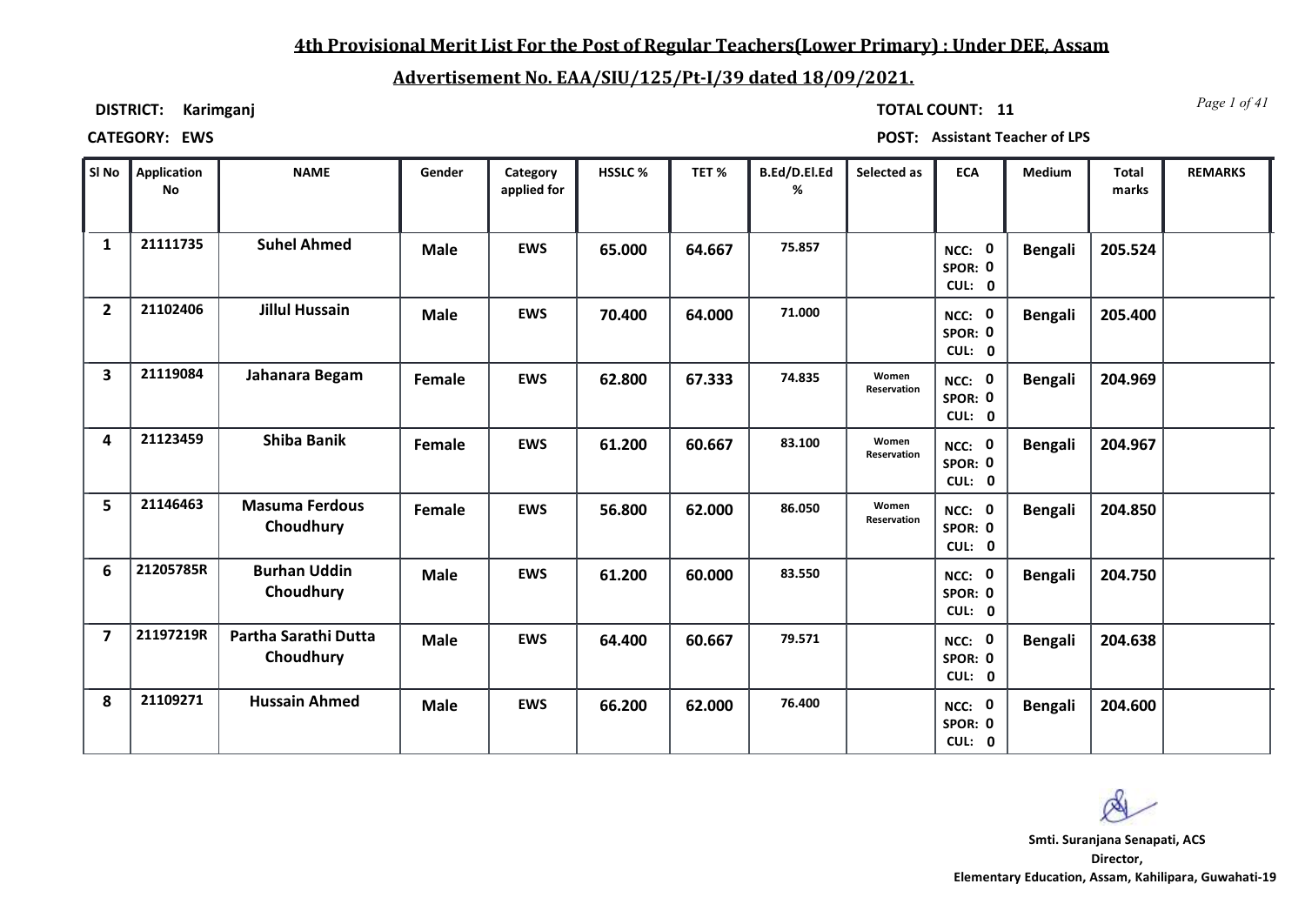## **4th Provisional Merit List For the Post of Regular Teachers(Lower Primary) : Under DEE, Assam**

# **Advertisement No. EAA/SIU/125/Pt-I/39 dated 18/09/2021.**

**DISTRICT: Karimganj**

*Page 1 of 41* **TOTAL COUNT: 11**

**CATEGORY: EWS POST: Assistant Teacher of LPS**

| SI No          | Application<br><b>No</b> | <b>NAME</b>                        | Gender      | Category<br>applied for | HSSLC % | TET%   | B.Ed/D.El.Ed<br>% | Selected as                 | <b>ECA</b>                  | Medium         | <b>Total</b><br>marks | <b>REMARKS</b> |
|----------------|--------------------------|------------------------------------|-------------|-------------------------|---------|--------|-------------------|-----------------------------|-----------------------------|----------------|-----------------------|----------------|
| $\mathbf{1}$   | 21111735                 | <b>Suhel Ahmed</b>                 | <b>Male</b> | <b>EWS</b>              | 65.000  | 64.667 | 75.857            |                             | NCC: 0<br>SPOR: 0<br>CUL: 0 | <b>Bengali</b> | 205.524               |                |
| $\overline{2}$ | 21102406                 | <b>Jillul Hussain</b>              | <b>Male</b> | <b>EWS</b>              | 70.400  | 64.000 | 71.000            |                             | NCC: 0<br>SPOR: 0<br>CUL: 0 | <b>Bengali</b> | 205.400               |                |
| 3              | 21119084                 | Jahanara Begam                     | Female      | <b>EWS</b>              | 62.800  | 67.333 | 74.835            | Women<br>Reservation        | NCC: 0<br>SPOR: 0<br>CUL: 0 | <b>Bengali</b> | 204.969               |                |
| 4              | 21123459                 | <b>Shiba Banik</b>                 | Female      | <b>EWS</b>              | 61.200  | 60.667 | 83.100            | Women<br><b>Reservation</b> | NCC: 0<br>SPOR: 0<br>CUL: 0 | <b>Bengali</b> | 204.967               |                |
| 5              | 21146463                 | <b>Masuma Ferdous</b><br>Choudhury | Female      | <b>EWS</b>              | 56.800  | 62.000 | 86.050            | Women<br>Reservation        | NCC: 0<br>SPOR: 0<br>CUL: 0 | <b>Bengali</b> | 204.850               |                |
| 6              | 21205785R                | <b>Burhan Uddin</b><br>Choudhury   | <b>Male</b> | <b>EWS</b>              | 61.200  | 60.000 | 83.550            |                             | NCC: 0<br>SPOR: 0<br>CUL: 0 | <b>Bengali</b> | 204.750               |                |
| $\overline{7}$ | 21197219R                | Partha Sarathi Dutta<br>Choudhury  | <b>Male</b> | <b>EWS</b>              | 64.400  | 60.667 | 79.571            |                             | NCC: 0<br>SPOR: 0<br>CUL: 0 | Bengali        | 204.638               |                |
| 8              | 21109271                 | <b>Hussain Ahmed</b>               | <b>Male</b> | <b>EWS</b>              | 66.200  | 62.000 | 76.400            |                             | NCC: 0<br>SPOR: 0<br>CUL: 0 | <b>Bengali</b> | 204.600               |                |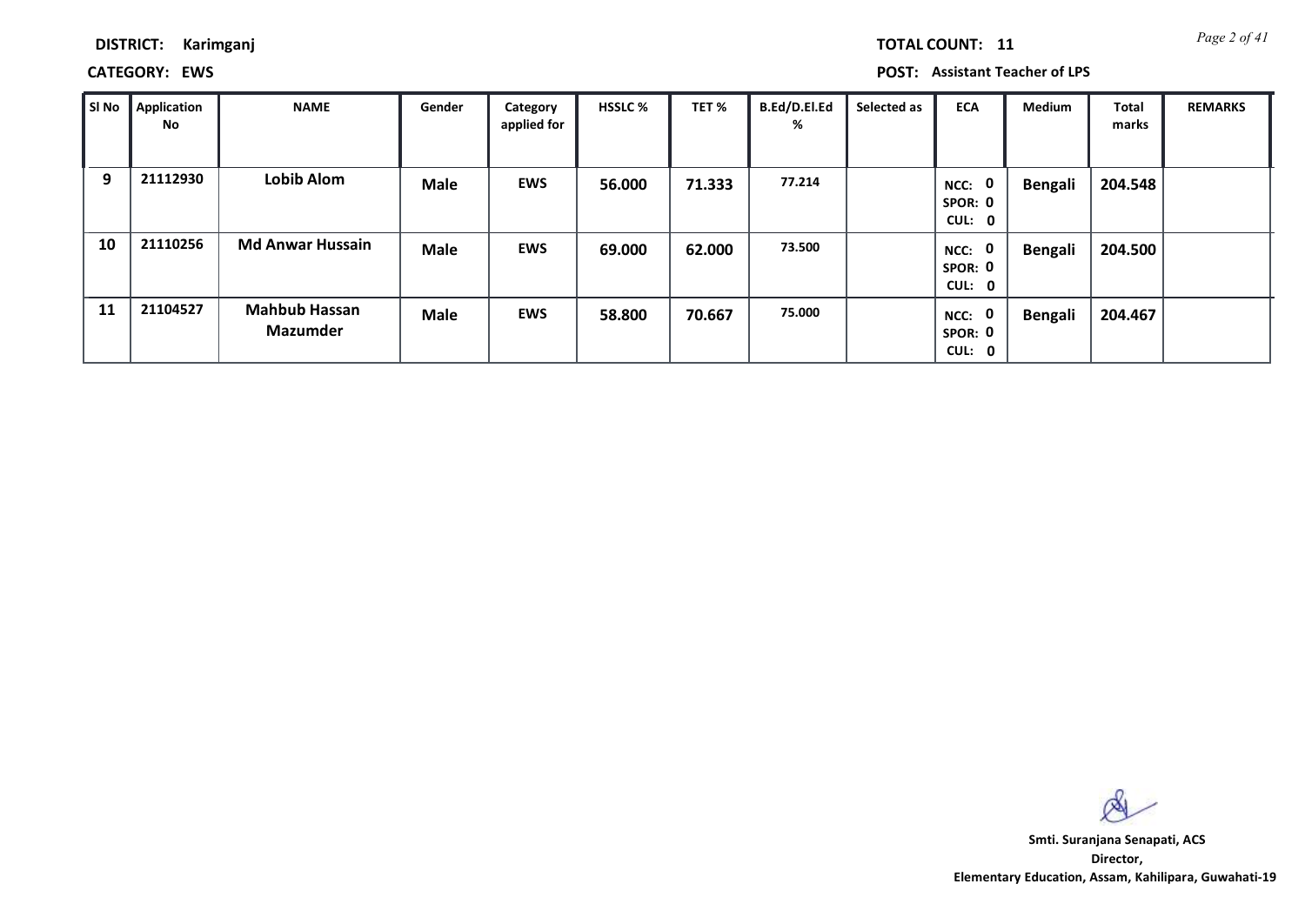**CATEGORY: EWS POST: Assistant Teacher of LPS**

| SI No | <b>Application</b><br>No | <b>NAME</b>                      | Gender      | Category<br>applied for | <b>HSSLC %</b> | TET %  | B.Ed/D.El.Ed<br>% | Selected as | <b>ECA</b>                               | <b>Medium</b>  | <b>Total</b><br>marks | <b>REMARKS</b> |
|-------|--------------------------|----------------------------------|-------------|-------------------------|----------------|--------|-------------------|-------------|------------------------------------------|----------------|-----------------------|----------------|
| 9     | 21112930                 | <b>Lobib Alom</b>                | <b>Male</b> | <b>EWS</b>              | 56.000         | 71.333 | 77.214            |             | $\mathbf 0$<br>NCC:<br>SPOR: 0<br>CUL: 0 | <b>Bengali</b> | 204.548               |                |
| 10    | 21110256                 | <b>Md Anwar Hussain</b>          | <b>Male</b> | <b>EWS</b>              | 69.000         | 62.000 | 73.500            |             | $\mathbf 0$<br>NCC:<br>SPOR: 0<br>CUL: 0 | <b>Bengali</b> | 204.500               |                |
| 11    | 21104527                 | <b>Mahbub Hassan</b><br>Mazumder | <b>Male</b> | <b>EWS</b>              | 58.800         | 70.667 | 75.000            |             | $\mathbf 0$<br>NCC:<br>SPOR: 0<br>CUL: 0 | <b>Bengali</b> | 204.467               |                |

 $\infty$ 

**Director, Elementary Education, Assam, Kahilipara, Guwahati-19 Smti. Suranjana Senapati, ACS**

*Page 2 of 41* **TOTAL COUNT: 11**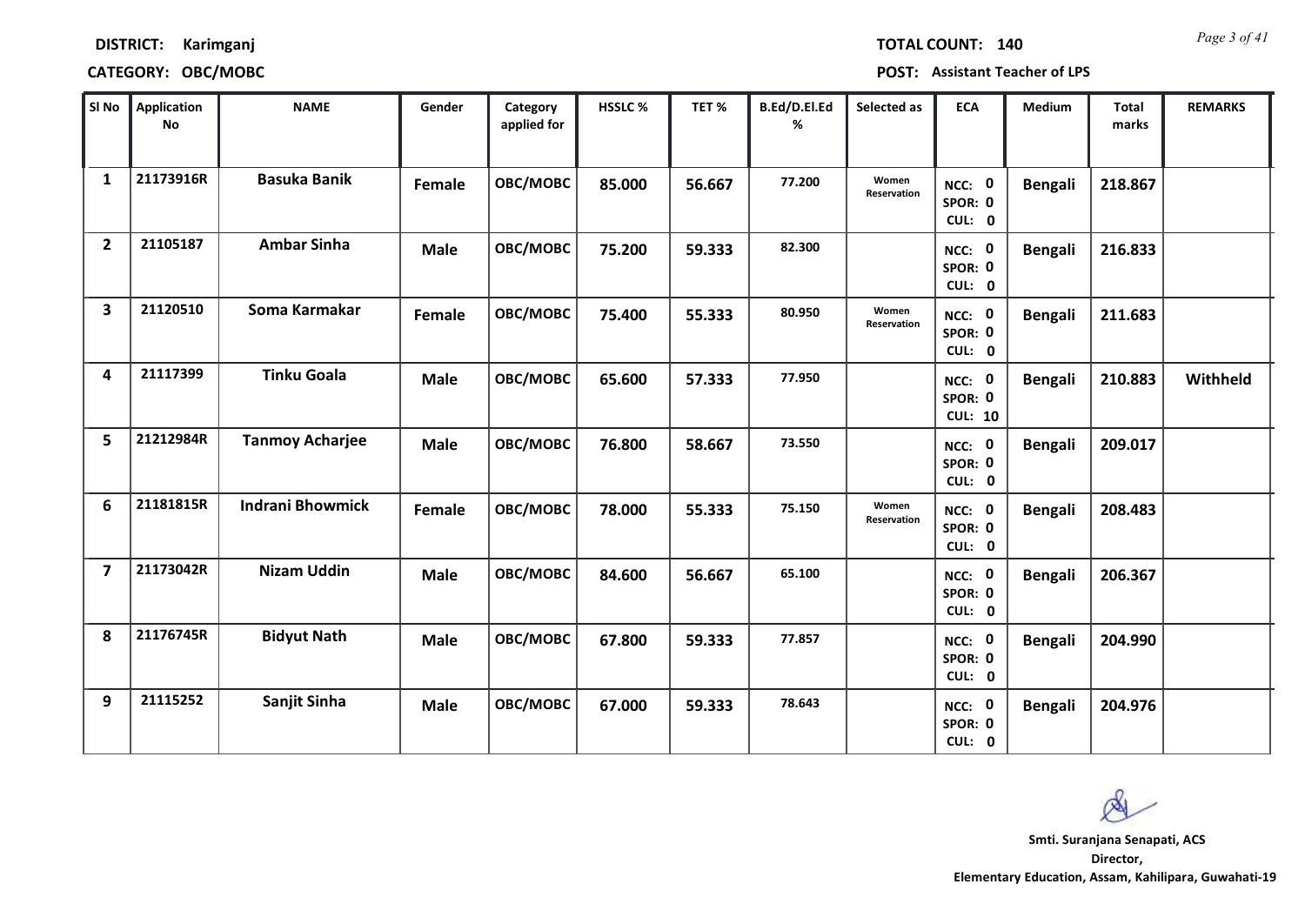*Page 3 of 41* **TOTAL COUNT: 140**

### **DISTRICT: Karimganj**

| SI No                   | <b>Application</b><br>No | <b>NAME</b>             | Gender      | Category<br>applied for | HSSLC % | TET%   | B.Ed/D.El.Ed<br>% | Selected as          | <b>ECA</b>                          | Medium         | <b>Total</b><br>marks | <b>REMARKS</b> |
|-------------------------|--------------------------|-------------------------|-------------|-------------------------|---------|--------|-------------------|----------------------|-------------------------------------|----------------|-----------------------|----------------|
| 1                       | 21173916R                | <b>Basuka Banik</b>     | Female      | OBC/MOBC                | 85.000  | 56.667 | 77.200            | Women<br>Reservation | NCC: 0<br>SPOR: 0<br>CUL: 0         | <b>Bengali</b> | 218.867               |                |
| $\overline{2}$          | 21105187                 | <b>Ambar Sinha</b>      | <b>Male</b> | OBC/MOBC                | 75.200  | 59.333 | 82.300            |                      | NCC: 0<br>SPOR: 0<br>CUL: 0         | <b>Bengali</b> | 216.833               |                |
| $\overline{\mathbf{3}}$ | 21120510                 | Soma Karmakar           | Female      | OBC/MOBC                | 75.400  | 55.333 | 80.950            | Women<br>Reservation | NCC: 0<br>SPOR: 0<br>CUL: 0         | <b>Bengali</b> | 211.683               |                |
| 4                       | 21117399                 | <b>Tinku Goala</b>      | <b>Male</b> | OBC/MOBC                | 65.600  | 57.333 | 77.950            |                      | NCC: 0<br>SPOR: 0<br><b>CUL: 10</b> | Bengali        | 210.883               | Withheld       |
| 5                       | 21212984R                | <b>Tanmoy Acharjee</b>  | <b>Male</b> | OBC/MOBC                | 76.800  | 58.667 | 73.550            |                      | NCC: 0<br>SPOR: 0<br>CUL: 0         | <b>Bengali</b> | 209.017               |                |
| 6                       | 21181815R                | <b>Indrani Bhowmick</b> | Female      | OBC/MOBC                | 78.000  | 55.333 | 75.150            | Women<br>Reservation | NCC: 0<br>SPOR: 0<br>CUL: 0         | <b>Bengali</b> | 208.483               |                |
| $\overline{7}$          | 21173042R                | <b>Nizam Uddin</b>      | <b>Male</b> | OBC/MOBC                | 84.600  | 56.667 | 65.100            |                      | NCC: 0<br>SPOR: 0<br>CUL: 0         | <b>Bengali</b> | 206.367               |                |
| 8                       | 21176745R                | <b>Bidyut Nath</b>      | <b>Male</b> | OBC/MOBC                | 67.800  | 59.333 | 77.857            |                      | NCC: 0<br>SPOR: 0<br>CUL: 0         | <b>Bengali</b> | 204.990               |                |
| 9                       | 21115252                 | Sanjit Sinha            | <b>Male</b> | OBC/MOBC                | 67.000  | 59.333 | 78.643            |                      | NCC: 0<br>SPOR: 0<br>CUL: 0         | <b>Bengali</b> | 204.976               |                |

 $\infty$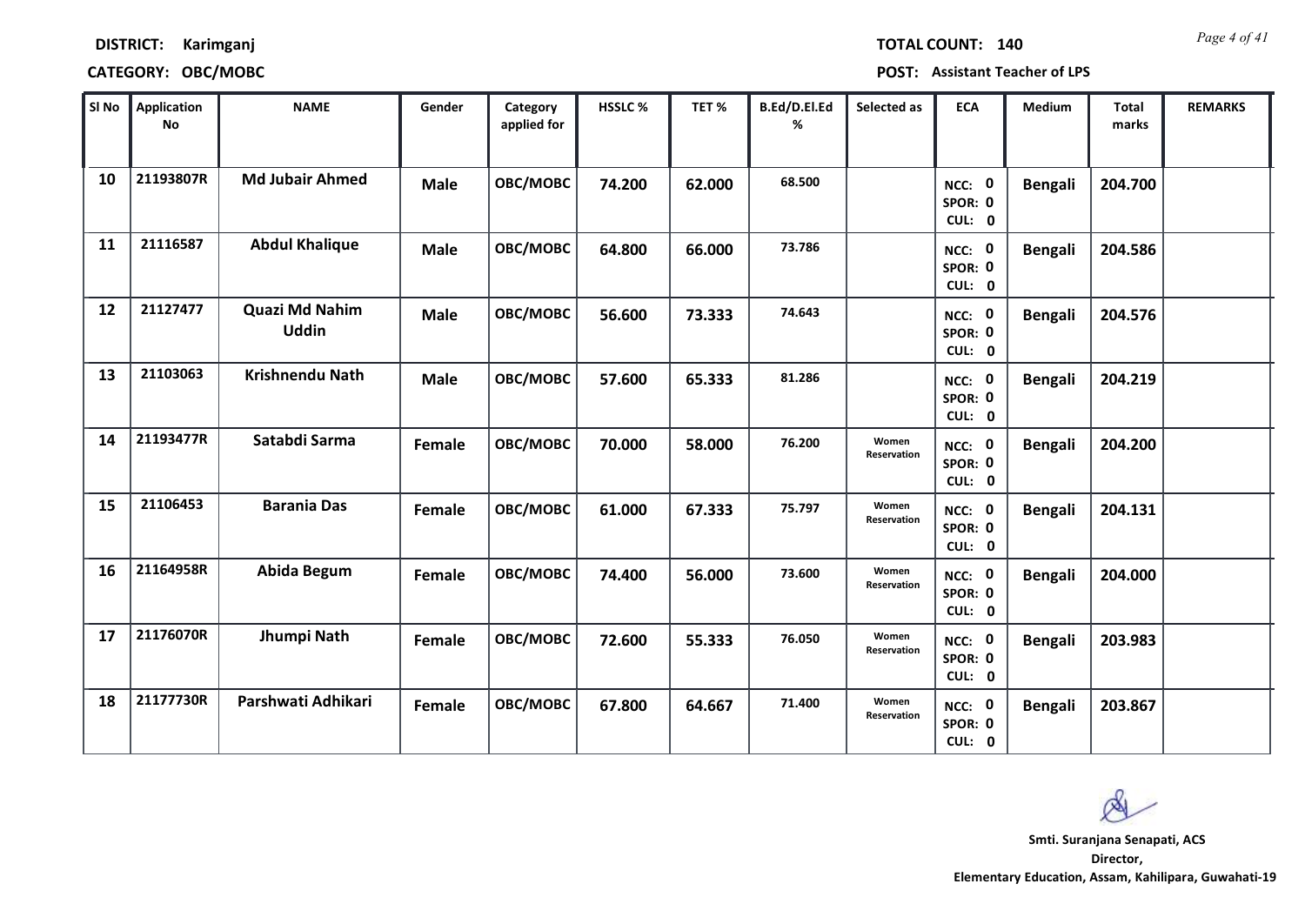| <b>TOTAL COUNT:</b> |  |  |     |
|---------------------|--|--|-----|
|                     |  |  | -14 |

| SI No | Application<br><b>No</b> | <b>NAME</b>                           | Gender      | Category<br>applied for | HSSLC % | TET%   | B.Ed/D.El.Ed<br>% | Selected as          | <b>ECA</b>                         | Medium         | <b>Total</b><br>marks | <b>REMARKS</b> |
|-------|--------------------------|---------------------------------------|-------------|-------------------------|---------|--------|-------------------|----------------------|------------------------------------|----------------|-----------------------|----------------|
| 10    | 21193807R                | <b>Md Jubair Ahmed</b>                | <b>Male</b> | OBC/MOBC                | 74.200  | 62.000 | 68.500            |                      | NCC: 0<br>SPOR: 0<br>CUL: 0        | <b>Bengali</b> | 204.700               |                |
| 11    | 21116587                 | <b>Abdul Khalique</b>                 | <b>Male</b> | OBC/MOBC                | 64.800  | 66.000 | 73.786            |                      | NCC: 0<br>SPOR: 0<br>CUL: 0        | <b>Bengali</b> | 204.586               |                |
| 12    | 21127477                 | <b>Quazi Md Nahim</b><br><b>Uddin</b> | <b>Male</b> | OBC/MOBC                | 56.600  | 73.333 | 74.643            |                      | <b>NCC: 0</b><br>SPOR: 0<br>CUL: 0 | <b>Bengali</b> | 204.576               |                |
| 13    | 21103063                 | <b>Krishnendu Nath</b>                | <b>Male</b> | OBC/MOBC                | 57.600  | 65.333 | 81.286            |                      | NCC: 0<br>SPOR: 0<br>CUL: 0        | <b>Bengali</b> | 204.219               |                |
| 14    | 21193477R                | Satabdi Sarma                         | Female      | OBC/MOBC                | 70.000  | 58.000 | 76.200            | Women<br>Reservation | NCC: 0<br>SPOR: 0<br>CUL: 0        | <b>Bengali</b> | 204.200               |                |
| 15    | 21106453                 | <b>Barania Das</b>                    | Female      | OBC/MOBC                | 61.000  | 67.333 | 75.797            | Women<br>Reservation | NCC: 0<br>SPOR: 0<br>CUL: 0        | <b>Bengali</b> | 204.131               |                |
| 16    | 21164958R                | <b>Abida Begum</b>                    | Female      | OBC/MOBC                | 74.400  | 56.000 | 73.600            | Women<br>Reservation | NCC: 0<br>SPOR: 0<br>CUL: 0        | <b>Bengali</b> | 204.000               |                |
| 17    | 21176070R                | Jhumpi Nath                           | Female      | OBC/MOBC                | 72.600  | 55.333 | 76.050            | Women<br>Reservation | NCC: 0<br>SPOR: 0<br>CUL: 0        | <b>Bengali</b> | 203.983               |                |
| 18    | 21177730R                | Parshwati Adhikari                    | Female      | OBC/MOBC                | 67.800  | 64.667 | 71.400            | Women<br>Reservation | NCC: 0<br>SPOR: 0<br>CUL: 0        | <b>Bengali</b> | 203.867               |                |

 $\infty$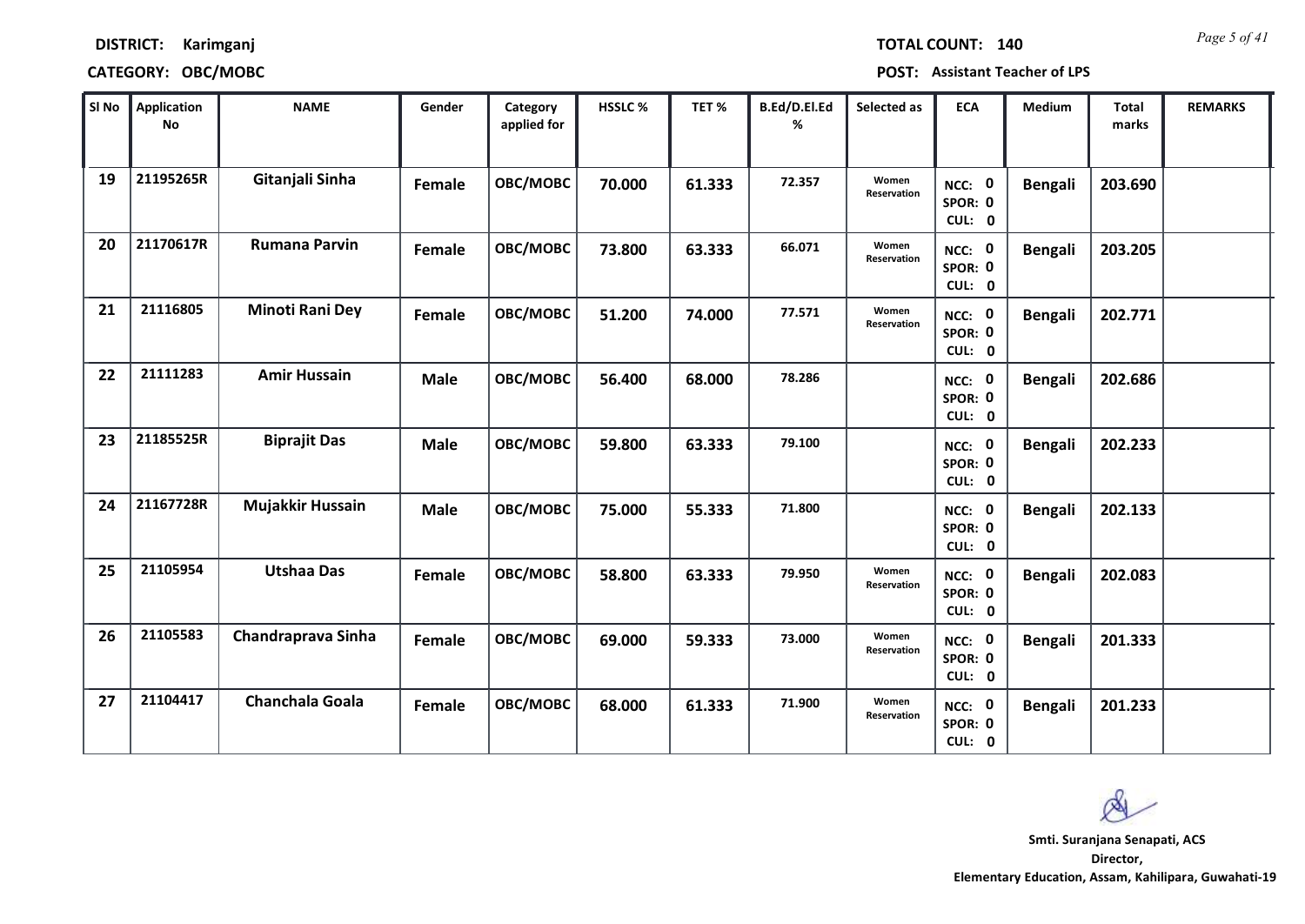*Page 5 of 41* **TOTAL COUNT: 140**

### **DISTRICT: Karimganj**

### **CATEGORY: OBC/MOBC POST: Assistant Teacher of LPS**

| SI No | <b>Application</b><br>No | <b>NAME</b>            | Gender      | Category<br>applied for | HSSLC % | TET %  | B.Ed/D.El.Ed<br>% | Selected as          | <b>ECA</b>                  | <b>Medium</b>  | <b>Total</b><br>marks | <b>REMARKS</b> |
|-------|--------------------------|------------------------|-------------|-------------------------|---------|--------|-------------------|----------------------|-----------------------------|----------------|-----------------------|----------------|
| 19    | 21195265R                | Gitanjali Sinha        | Female      | OBC/MOBC                | 70.000  | 61.333 | 72.357            | Women<br>Reservation | NCC: 0<br>SPOR: 0<br>CUL: 0 | <b>Bengali</b> | 203.690               |                |
| 20    | 21170617R                | <b>Rumana Parvin</b>   | Female      | OBC/MOBC                | 73.800  | 63.333 | 66.071            | Women<br>Reservation | NCC: 0<br>SPOR: 0<br>CUL: 0 | <b>Bengali</b> | 203.205               |                |
| 21    | 21116805                 | <b>Minoti Rani Dey</b> | Female      | OBC/MOBC                | 51.200  | 74.000 | 77.571            | Women<br>Reservation | NCC: 0<br>SPOR: 0<br>CUL: 0 | <b>Bengali</b> | 202.771               |                |
| 22    | 21111283                 | <b>Amir Hussain</b>    | <b>Male</b> | OBC/MOBC                | 56.400  | 68.000 | 78.286            |                      | NCC: 0<br>SPOR: 0<br>CUL: 0 | <b>Bengali</b> | 202.686               |                |
| 23    | 21185525R                | <b>Biprajit Das</b>    | <b>Male</b> | OBC/MOBC                | 59.800  | 63.333 | 79.100            |                      | NCC: 0<br>SPOR: 0<br>CUL: 0 | <b>Bengali</b> | 202.233               |                |
| 24    | 21167728R                | Mujakkir Hussain       | <b>Male</b> | OBC/MOBC                | 75.000  | 55.333 | 71.800            |                      | NCC: 0<br>SPOR: 0<br>CUL: 0 | <b>Bengali</b> | 202.133               |                |
| 25    | 21105954                 | <b>Utshaa Das</b>      | Female      | OBC/MOBC                | 58.800  | 63.333 | 79.950            | Women<br>Reservation | NCC: 0<br>SPOR: 0<br>CUL: 0 | <b>Bengali</b> | 202.083               |                |
| 26    | 21105583                 | Chandraprava Sinha     | Female      | OBC/MOBC                | 69.000  | 59.333 | 73.000            | Women<br>Reservation | NCC: 0<br>SPOR: 0<br>CUL: 0 | <b>Bengali</b> | 201.333               |                |
| 27    | 21104417                 | <b>Chanchala Goala</b> | Female      | OBC/MOBC                | 68.000  | 61.333 | 71.900            | Women<br>Reservation | NCC: 0<br>SPOR: 0<br>CUL: 0 | <b>Bengali</b> | 201.233               |                |

 $\infty$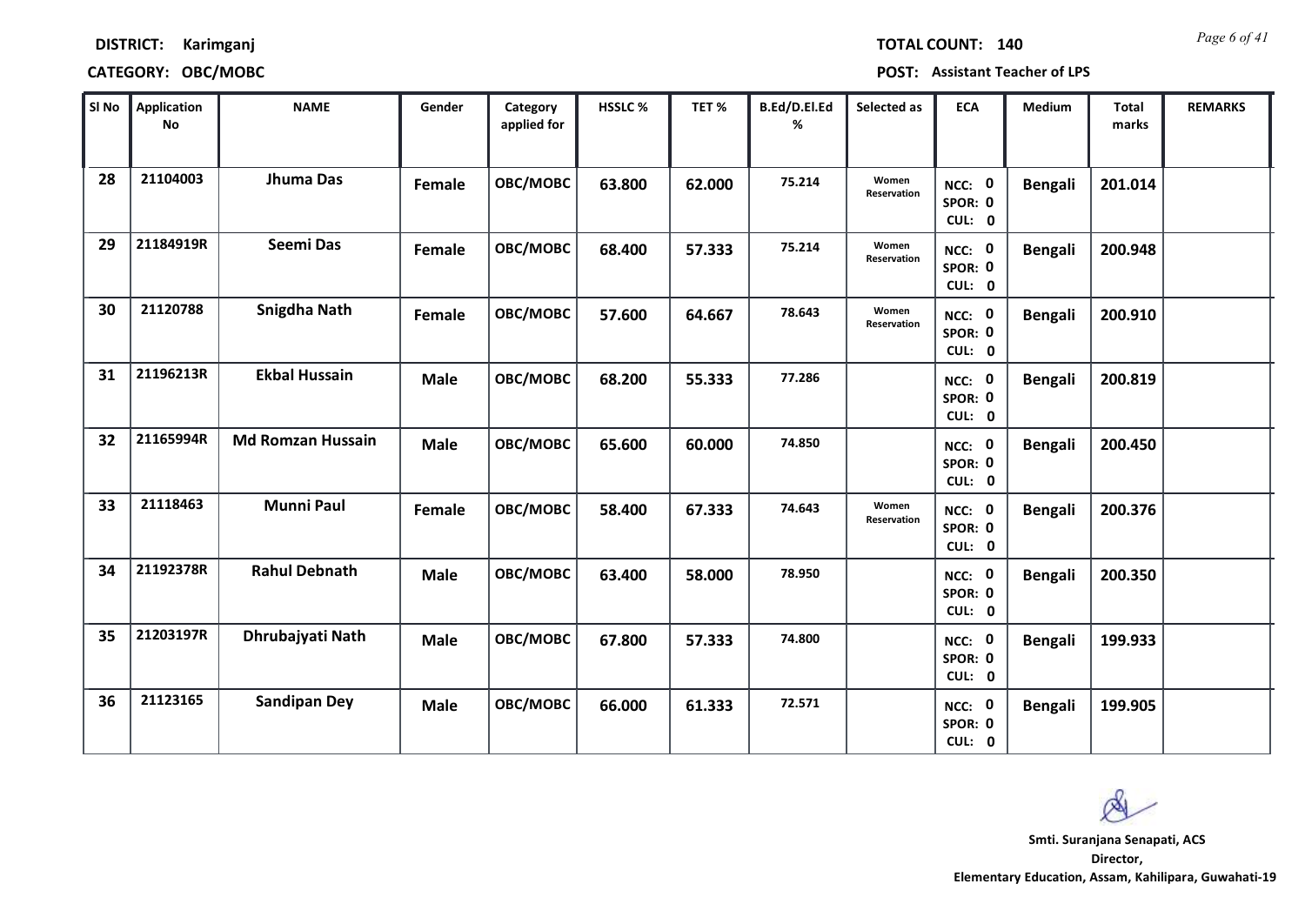*Page 6 of 41* **TOTAL COUNT: 140**

### **DISTRICT: Karimganj**

| SI No | <b>Application</b><br>No | <b>NAME</b>              | Gender      | Category<br>applied for | HSSLC % | TET %  | <b>B.Ed/D.El.Ed</b><br>% | Selected as          | <b>ECA</b>                         | <b>Medium</b>  | <b>Total</b><br>marks | <b>REMARKS</b> |
|-------|--------------------------|--------------------------|-------------|-------------------------|---------|--------|--------------------------|----------------------|------------------------------------|----------------|-----------------------|----------------|
| 28    | 21104003                 | Jhuma Das                | Female      | OBC/MOBC                | 63.800  | 62.000 | 75.214                   | Women<br>Reservation | NCC: 0<br>SPOR: 0<br>CUL: 0        | <b>Bengali</b> | 201.014               |                |
| 29    | 21184919R                | Seemi Das                | Female      | OBC/MOBC                | 68.400  | 57.333 | 75.214                   | Women<br>Reservation | NCC: 0<br>SPOR: 0<br>CUL: 0        | <b>Bengali</b> | 200.948               |                |
| 30    | 21120788                 | <b>Snigdha Nath</b>      | Female      | OBC/MOBC                | 57.600  | 64.667 | 78.643                   | Women<br>Reservation | NCC: 0<br>SPOR: 0<br>CUL: 0        | <b>Bengali</b> | 200.910               |                |
| 31    | 21196213R                | <b>Ekbal Hussain</b>     | <b>Male</b> | OBC/MOBC                | 68.200  | 55.333 | 77.286                   |                      | NCC: 0<br>SPOR: 0<br>CUL: 0        | <b>Bengali</b> | 200.819               |                |
| 32    | 21165994R                | <b>Md Romzan Hussain</b> | <b>Male</b> | OBC/MOBC                | 65.600  | 60.000 | 74.850                   |                      | <b>NCC: 0</b><br>SPOR: 0<br>CUL: 0 | <b>Bengali</b> | 200.450               |                |
| 33    | 21118463                 | <b>Munni Paul</b>        | Female      | OBC/MOBC                | 58.400  | 67.333 | 74.643                   | Women<br>Reservation | NCC: 0<br>SPOR: 0<br>CUL: 0        | <b>Bengali</b> | 200.376               |                |
| 34    | 21192378R                | <b>Rahul Debnath</b>     | <b>Male</b> | <b>OBC/MOBC</b>         | 63.400  | 58.000 | 78.950                   |                      | NCC: 0<br>SPOR: 0<br>CUL: 0        | <b>Bengali</b> | 200.350               |                |
| 35    | 21203197R                | Dhrubajyati Nath         | <b>Male</b> | OBC/MOBC                | 67.800  | 57.333 | 74.800                   |                      | NCC: 0<br>SPOR: 0<br>CUL: 0        | <b>Bengali</b> | 199.933               |                |
| 36    | 21123165                 | <b>Sandipan Dey</b>      | <b>Male</b> | OBC/MOBC                | 66.000  | 61.333 | 72.571                   |                      | NCC: 0<br>SPOR: 0<br>CUL: 0        | <b>Bengali</b> | 199.905               |                |

 $\infty$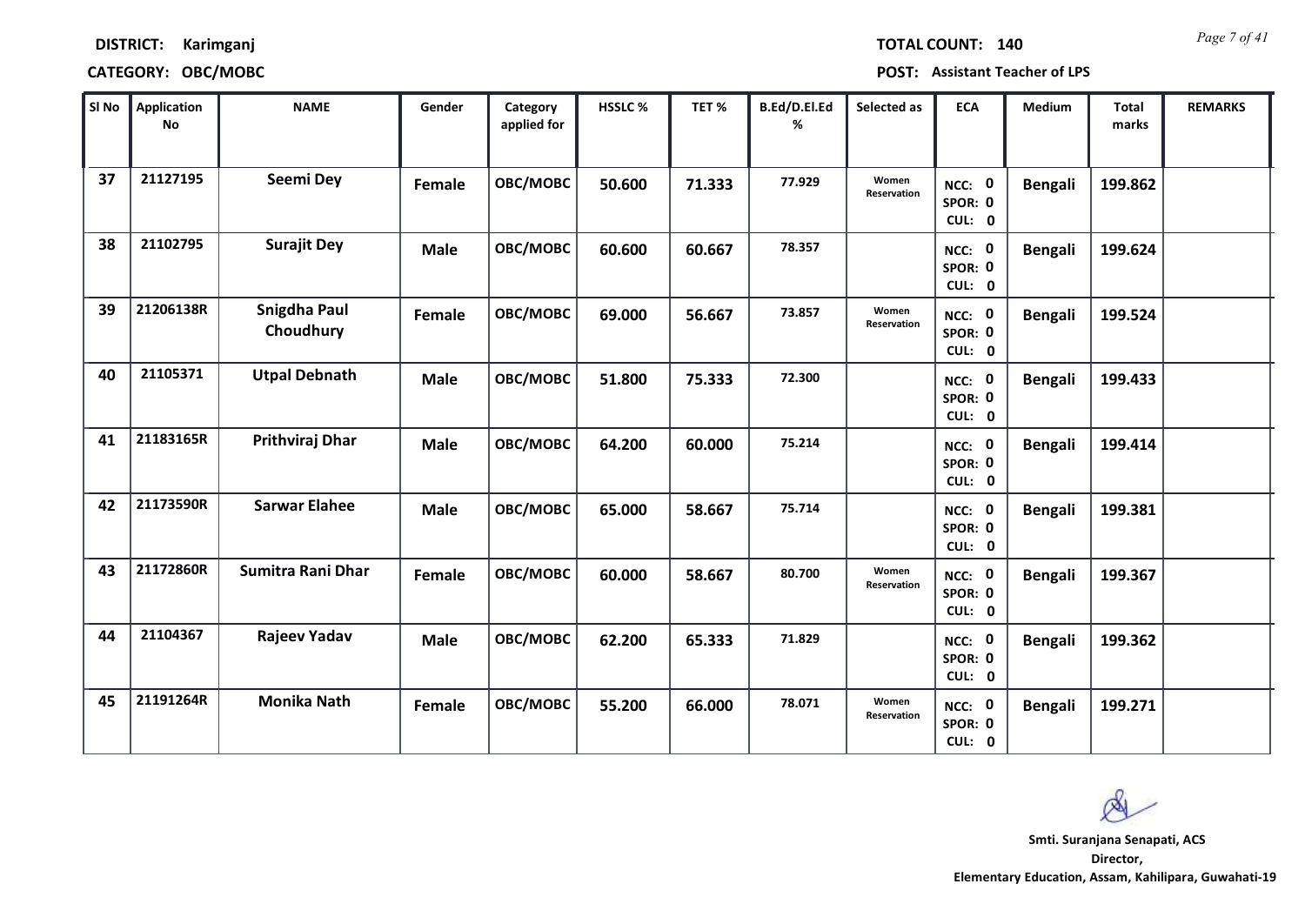| <b>TOTAL COUNT:</b> | 140 |  |  |  |  |  |
|---------------------|-----|--|--|--|--|--|
|---------------------|-----|--|--|--|--|--|

| SI No | <b>Application</b><br>No | <b>NAME</b>               | Gender        | Category<br>applied for | HSSLC % | TET %  | B.Ed/D.El.Ed<br>% | Selected as          | <b>ECA</b>                  | <b>Medium</b>  | <b>Total</b><br>marks | <b>REMARKS</b> |
|-------|--------------------------|---------------------------|---------------|-------------------------|---------|--------|-------------------|----------------------|-----------------------------|----------------|-----------------------|----------------|
| 37    | 21127195                 | Seemi Dey                 | Female        | OBC/MOBC                | 50.600  | 71.333 | 77.929            | Women<br>Reservation | NCC: 0<br>SPOR: 0<br>CUL: 0 | <b>Bengali</b> | 199.862               |                |
| 38    | 21102795                 | <b>Surajit Dey</b>        | <b>Male</b>   | OBC/MOBC                | 60.600  | 60.667 | 78.357            |                      | NCC: 0<br>SPOR: 0<br>CUL: 0 | <b>Bengali</b> | 199.624               |                |
| 39    | 21206138R                | Snigdha Paul<br>Choudhury | <b>Female</b> | OBC/MOBC                | 69.000  | 56.667 | 73.857            | Women<br>Reservation | NCC: 0<br>SPOR: 0<br>CUL: 0 | <b>Bengali</b> | 199.524               |                |
| 40    | 21105371                 | <b>Utpal Debnath</b>      | <b>Male</b>   | OBC/MOBC                | 51.800  | 75.333 | 72.300            |                      | NCC: 0<br>SPOR: 0<br>CUL: 0 | <b>Bengali</b> | 199.433               |                |
| 41    | 21183165R                | Prithviraj Dhar           | <b>Male</b>   | OBC/MOBC                | 64.200  | 60.000 | 75.214            |                      | NCC: 0<br>SPOR: 0<br>CUL: 0 | <b>Bengali</b> | 199.414               |                |
| 42    | 21173590R                | <b>Sarwar Elahee</b>      | <b>Male</b>   | OBC/MOBC                | 65.000  | 58.667 | 75.714            |                      | NCC: 0<br>SPOR: 0<br>CUL: 0 | <b>Bengali</b> | 199.381               |                |
| 43    | 21172860R                | Sumitra Rani Dhar         | <b>Female</b> | OBC/MOBC                | 60.000  | 58.667 | 80.700            | Women<br>Reservation | NCC: 0<br>SPOR: 0<br>CUL: 0 | <b>Bengali</b> | 199.367               |                |
| 44    | 21104367                 | Rajeev Yadav              | <b>Male</b>   | OBC/MOBC                | 62.200  | 65.333 | 71.829            |                      | NCC: 0<br>SPOR: 0<br>CUL: 0 | <b>Bengali</b> | 199.362               |                |
| 45    | 21191264R                | <b>Monika Nath</b>        | Female        | OBC/MOBC                | 55.200  | 66.000 | 78.071            | Women<br>Reservation | NCC: 0<br>SPOR: 0<br>CUL: 0 | <b>Bengali</b> | 199.271               |                |

 $\infty$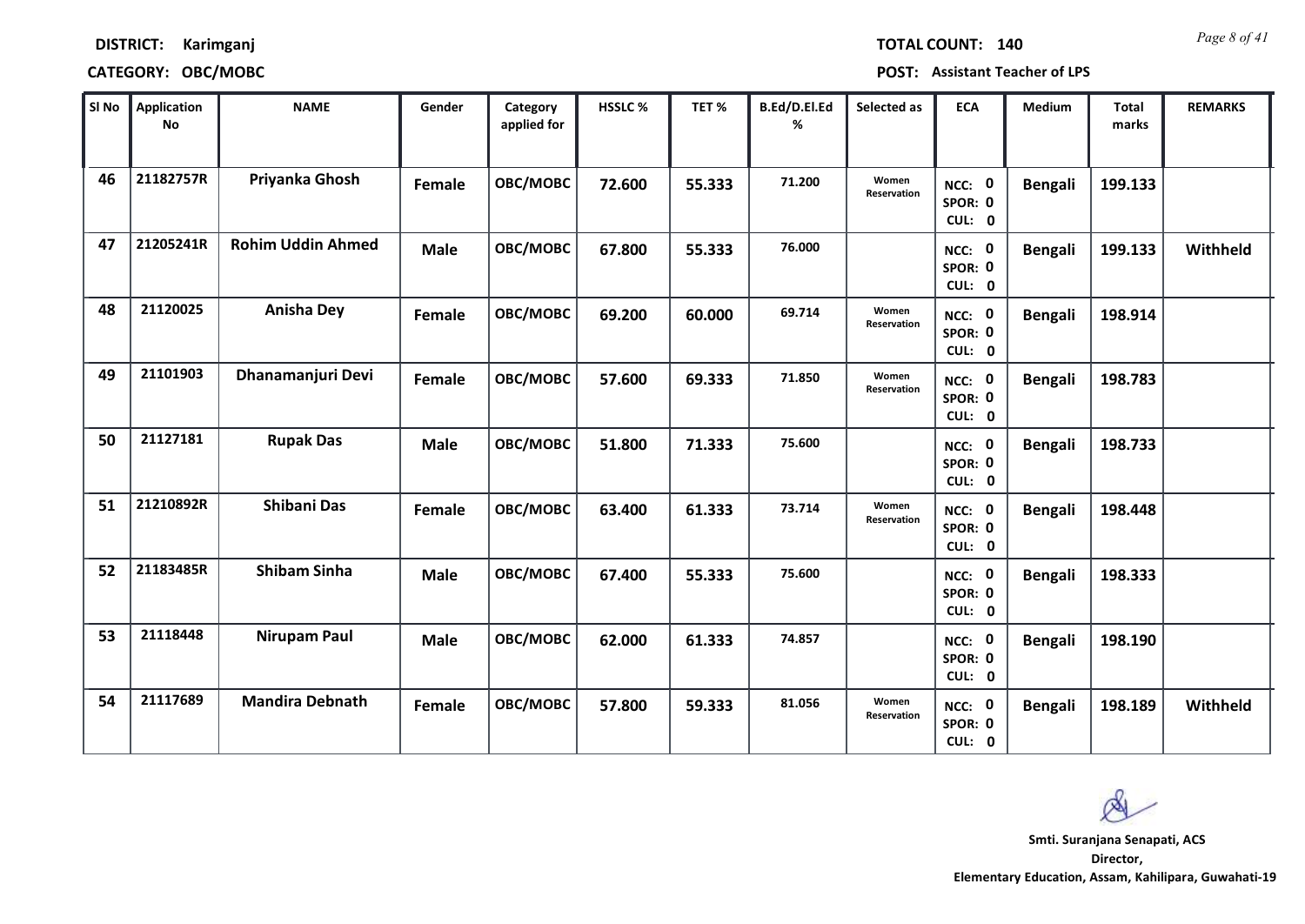*Page 8 of 41* **TOTAL COUNT: 140**

### **DISTRICT: Karimganj**

### **CATEGORY: OBC/MOBC POST: Assistant Teacher of LPS**

| SI No | <b>Application</b><br>No | <b>NAME</b>              | Gender      | Category<br>applied for | <b>HSSLC %</b> | TET %  | B.Ed/D.El.Ed<br>% | Selected as          | <b>ECA</b>                  | <b>Medium</b>  | <b>Total</b><br>marks | <b>REMARKS</b> |
|-------|--------------------------|--------------------------|-------------|-------------------------|----------------|--------|-------------------|----------------------|-----------------------------|----------------|-----------------------|----------------|
| 46    | 21182757R                | Priyanka Ghosh           | Female      | OBC/MOBC                | 72.600         | 55.333 | 71.200            | Women<br>Reservation | NCC: 0<br>SPOR: 0<br>CUL: 0 | <b>Bengali</b> | 199.133               |                |
| 47    | 21205241R                | <b>Rohim Uddin Ahmed</b> | <b>Male</b> | OBC/MOBC                | 67.800         | 55.333 | 76.000            |                      | NCC: 0<br>SPOR: 0<br>CUL: 0 | <b>Bengali</b> | 199.133               | Withheld       |
| 48    | 21120025                 | <b>Anisha Dey</b>        | Female      | OBC/MOBC                | 69.200         | 60.000 | 69.714            | Women<br>Reservation | NCC: 0<br>SPOR: 0<br>CUL: 0 | <b>Bengali</b> | 198.914               |                |
| 49    | 21101903                 | Dhanamanjuri Devi        | Female      | OBC/MOBC                | 57.600         | 69.333 | 71.850            | Women<br>Reservation | NCC: 0<br>SPOR: 0<br>CUL: 0 | <b>Bengali</b> | 198.783               |                |
| 50    | 21127181                 | <b>Rupak Das</b>         | <b>Male</b> | OBC/MOBC                | 51.800         | 71.333 | 75.600            |                      | NCC: 0<br>SPOR: 0<br>CUL: 0 | <b>Bengali</b> | 198.733               |                |
| 51    | 21210892R                | <b>Shibani Das</b>       | Female      | OBC/MOBC                | 63.400         | 61.333 | 73.714            | Women<br>Reservation | NCC: 0<br>SPOR: 0<br>CUL: 0 | <b>Bengali</b> | 198.448               |                |
| 52    | 21183485R                | <b>Shibam Sinha</b>      | <b>Male</b> | OBC/MOBC                | 67.400         | 55.333 | 75.600            |                      | NCC: 0<br>SPOR: 0<br>CUL: 0 | <b>Bengali</b> | 198.333               |                |
| 53    | 21118448                 | <b>Nirupam Paul</b>      | <b>Male</b> | OBC/MOBC                | 62.000         | 61.333 | 74.857            |                      | NCC: 0<br>SPOR: 0<br>CUL: 0 | <b>Bengali</b> | 198.190               |                |
| 54    | 21117689                 | <b>Mandira Debnath</b>   | Female      | OBC/MOBC                | 57.800         | 59.333 | 81.056            | Women<br>Reservation | NCC: 0<br>SPOR: 0<br>CUL: 0 | <b>Bengali</b> | 198.189               | Withheld       |

 $\infty$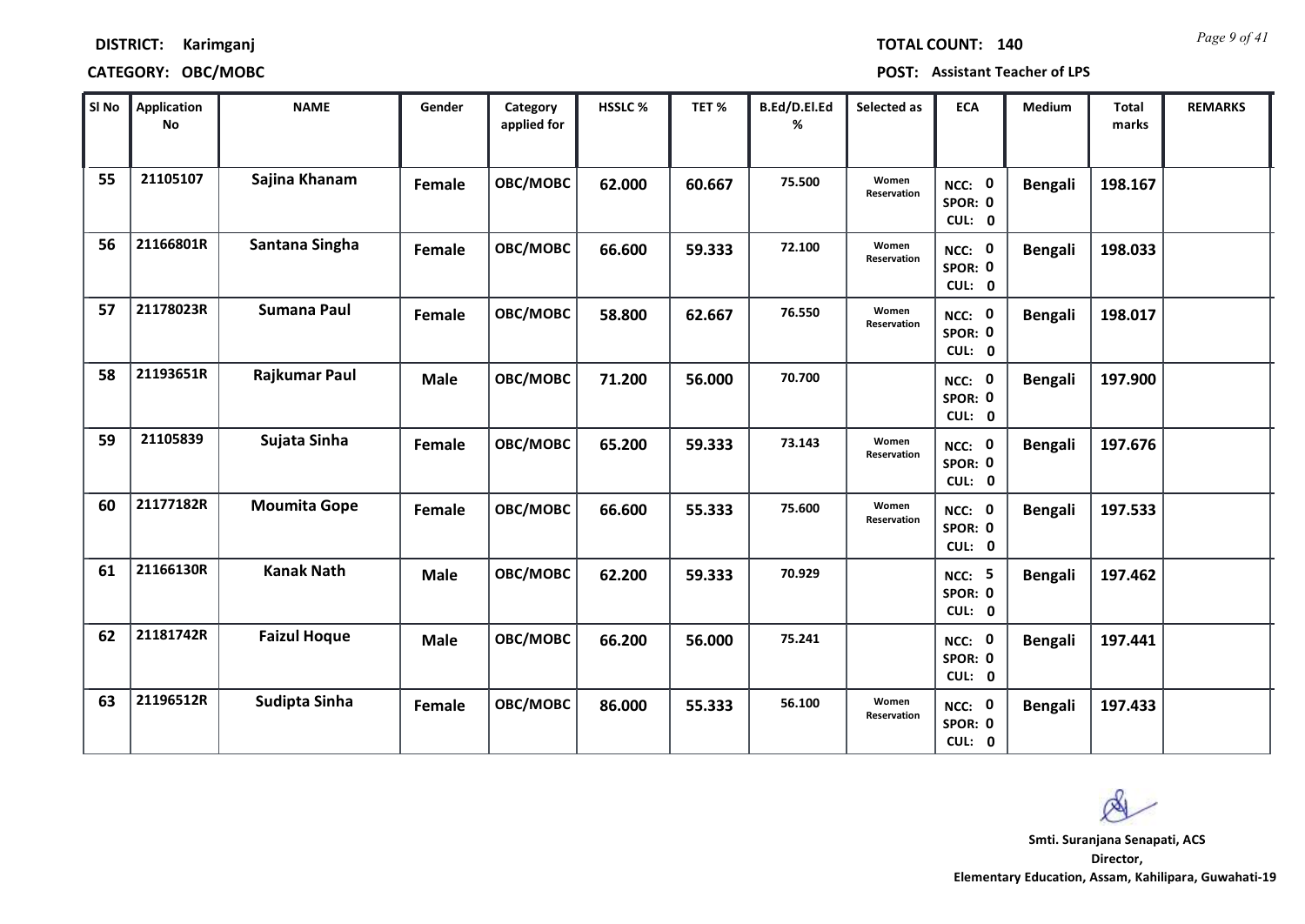*Page 9 of 41* **TOTAL COUNT: 140**

### **DISTRICT: Karimganj**

### **CATEGORY: OBC/MOBC POST: Assistant Teacher of LPS**

| SI No | <b>Application</b><br>No | <b>NAME</b>         | Gender      | Category<br>applied for | <b>HSSLC %</b> | TET %  | B.Ed/D.El.Ed<br>% | Selected as          | <b>ECA</b>                         | <b>Medium</b>  | <b>Total</b><br>marks | <b>REMARKS</b> |
|-------|--------------------------|---------------------|-------------|-------------------------|----------------|--------|-------------------|----------------------|------------------------------------|----------------|-----------------------|----------------|
| 55    | 21105107                 | Sajina Khanam       | Female      | OBC/MOBC                | 62.000         | 60.667 | 75.500            | Women<br>Reservation | NCC: 0<br>SPOR: 0<br>CUL: 0        | <b>Bengali</b> | 198.167               |                |
| 56    | 21166801R                | Santana Singha      | Female      | OBC/MOBC                | 66.600         | 59.333 | 72.100            | Women<br>Reservation | NCC: 0<br>SPOR: 0<br>CUL: 0        | <b>Bengali</b> | 198.033               |                |
| 57    | 21178023R                | <b>Sumana Paul</b>  | Female      | OBC/MOBC                | 58.800         | 62.667 | 76.550            | Women<br>Reservation | NCC: 0<br>SPOR: 0<br>CUL: 0        | <b>Bengali</b> | 198.017               |                |
| 58    | 21193651R                | Rajkumar Paul       | <b>Male</b> | OBC/MOBC                | 71.200         | 56.000 | 70.700            |                      | NCC: 0<br>SPOR: 0<br>CUL: 0        | <b>Bengali</b> | 197.900               |                |
| 59    | 21105839                 | Sujata Sinha        | Female      | OBC/MOBC                | 65.200         | 59.333 | 73.143            | Women<br>Reservation | <b>NCC: 0</b><br>SPOR: 0<br>CUL: 0 | <b>Bengali</b> | 197.676               |                |
| 60    | 21177182R                | <b>Moumita Gope</b> | Female      | OBC/MOBC                | 66.600         | 55.333 | 75.600            | Women<br>Reservation | NCC: 0<br>SPOR: 0<br>CUL: 0        | <b>Bengali</b> | 197.533               |                |
| 61    | 21166130R                | <b>Kanak Nath</b>   | <b>Male</b> | OBC/MOBC                | 62.200         | 59.333 | 70.929            |                      | NCC: 5<br>SPOR: 0<br>CUL: 0        | <b>Bengali</b> | 197.462               |                |
| 62    | 21181742R                | <b>Faizul Hoque</b> | <b>Male</b> | OBC/MOBC                | 66.200         | 56.000 | 75.241            |                      | NCC: 0<br>SPOR: 0<br>CUL: 0        | <b>Bengali</b> | 197.441               |                |
| 63    | 21196512R                | Sudipta Sinha       | Female      | OBC/MOBC                | 86.000         | 55.333 | 56.100            | Women<br>Reservation | NCC: 0<br>SPOR: 0<br>CUL: 0        | <b>Bengali</b> | 197.433               |                |

 $\infty$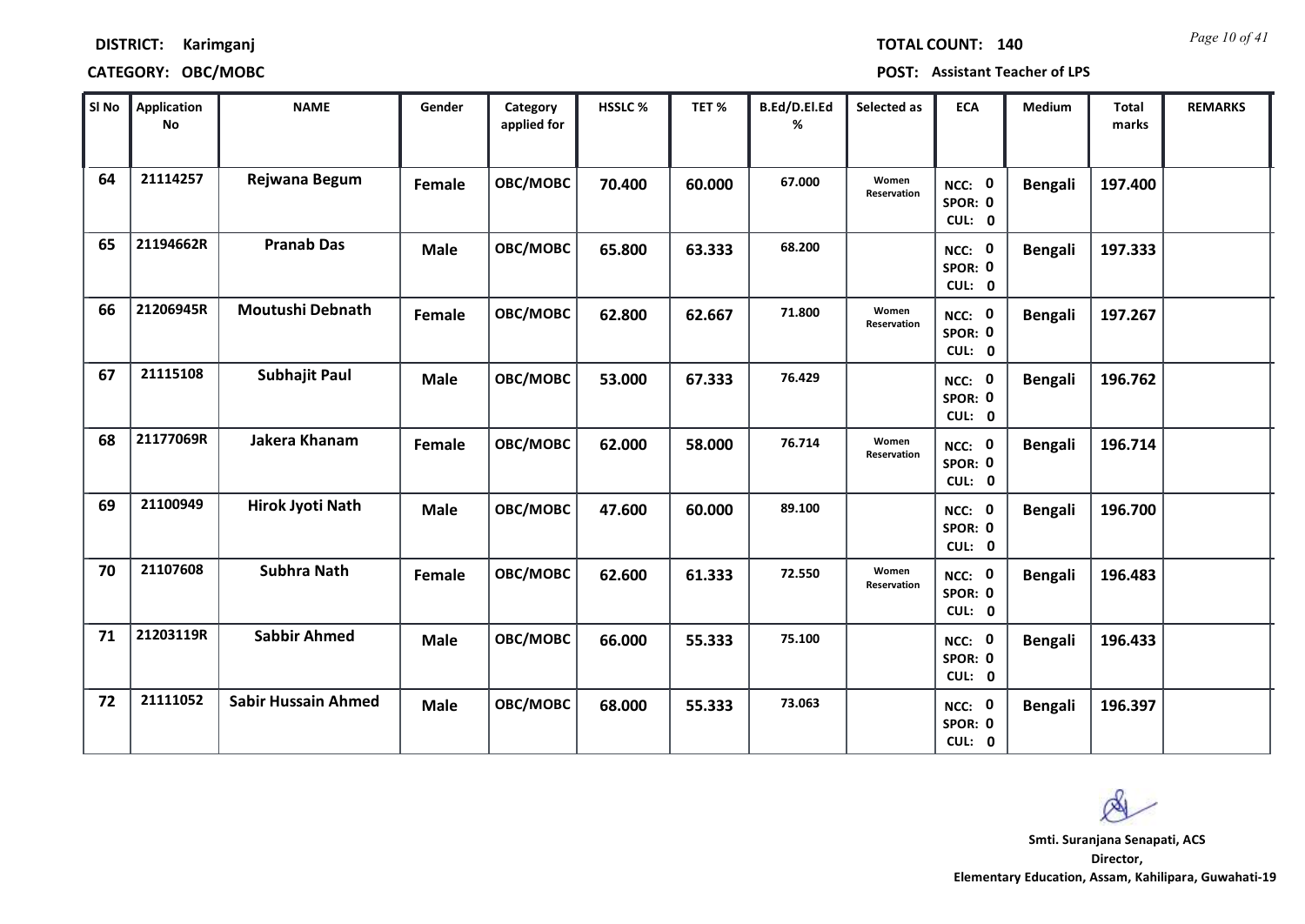*Page 10 of 41* **TOTAL COUNT: 140**

### **DISTRICT: Karimganj**

**CATEGORY: OBC/MOBC POST: Assistant Teacher of LPS**

| SI No | <b>Application</b><br>No | <b>NAME</b>                | Gender        | Category<br>applied for | <b>HSSLC %</b> | TET %  | B.Ed/D.El.Ed<br>% | Selected as          | <b>ECA</b>                  | Medium         | <b>Total</b><br>marks | <b>REMARKS</b> |
|-------|--------------------------|----------------------------|---------------|-------------------------|----------------|--------|-------------------|----------------------|-----------------------------|----------------|-----------------------|----------------|
| 64    | 21114257                 | Rejwana Begum              | <b>Female</b> | OBC/MOBC                | 70.400         | 60.000 | 67.000            | Women<br>Reservation | NCC: 0<br>SPOR: 0<br>CUL: 0 | <b>Bengali</b> | 197.400               |                |
| 65    | 21194662R                | <b>Pranab Das</b>          | <b>Male</b>   | OBC/MOBC                | 65.800         | 63.333 | 68.200            |                      | NCC: 0<br>SPOR: 0<br>CUL: 0 | <b>Bengali</b> | 197.333               |                |
| 66    | 21206945R                | <b>Moutushi Debnath</b>    | <b>Female</b> | OBC/MOBC                | 62.800         | 62.667 | 71.800            | Women<br>Reservation | NCC: 0<br>SPOR: 0<br>CUL: 0 | <b>Bengali</b> | 197.267               |                |
| 67    | 21115108                 | <b>Subhajit Paul</b>       | <b>Male</b>   | OBC/MOBC                | 53.000         | 67.333 | 76.429            |                      | NCC: 0<br>SPOR: 0<br>CUL: 0 | <b>Bengali</b> | 196.762               |                |
| 68    | 21177069R                | Jakera Khanam              | Female        | OBC/MOBC                | 62.000         | 58.000 | 76.714            | Women<br>Reservation | NCC: 0<br>SPOR: 0<br>CUL: 0 | <b>Bengali</b> | 196.714               |                |
| 69    | 21100949                 | Hirok Jyoti Nath           | <b>Male</b>   | OBC/MOBC                | 47.600         | 60.000 | 89.100            |                      | NCC: 0<br>SPOR: 0<br>CUL: 0 | <b>Bengali</b> | 196.700               |                |
| 70    | 21107608                 | <b>Subhra Nath</b>         | Female        | OBC/MOBC                | 62.600         | 61.333 | 72.550            | Women<br>Reservation | NCC: 0<br>SPOR: 0<br>CUL: 0 | <b>Bengali</b> | 196.483               |                |
| 71    | 21203119R                | <b>Sabbir Ahmed</b>        | <b>Male</b>   | OBC/MOBC                | 66.000         | 55.333 | 75.100            |                      | NCC: 0<br>SPOR: 0<br>CUL: 0 | <b>Bengali</b> | 196.433               |                |
| 72    | 21111052                 | <b>Sabir Hussain Ahmed</b> | Male          | OBC/MOBC                | 68.000         | 55.333 | 73.063            |                      | NCC: 0<br>SPOR: 0<br>CUL: 0 | <b>Bengali</b> | 196.397               |                |

 $\infty$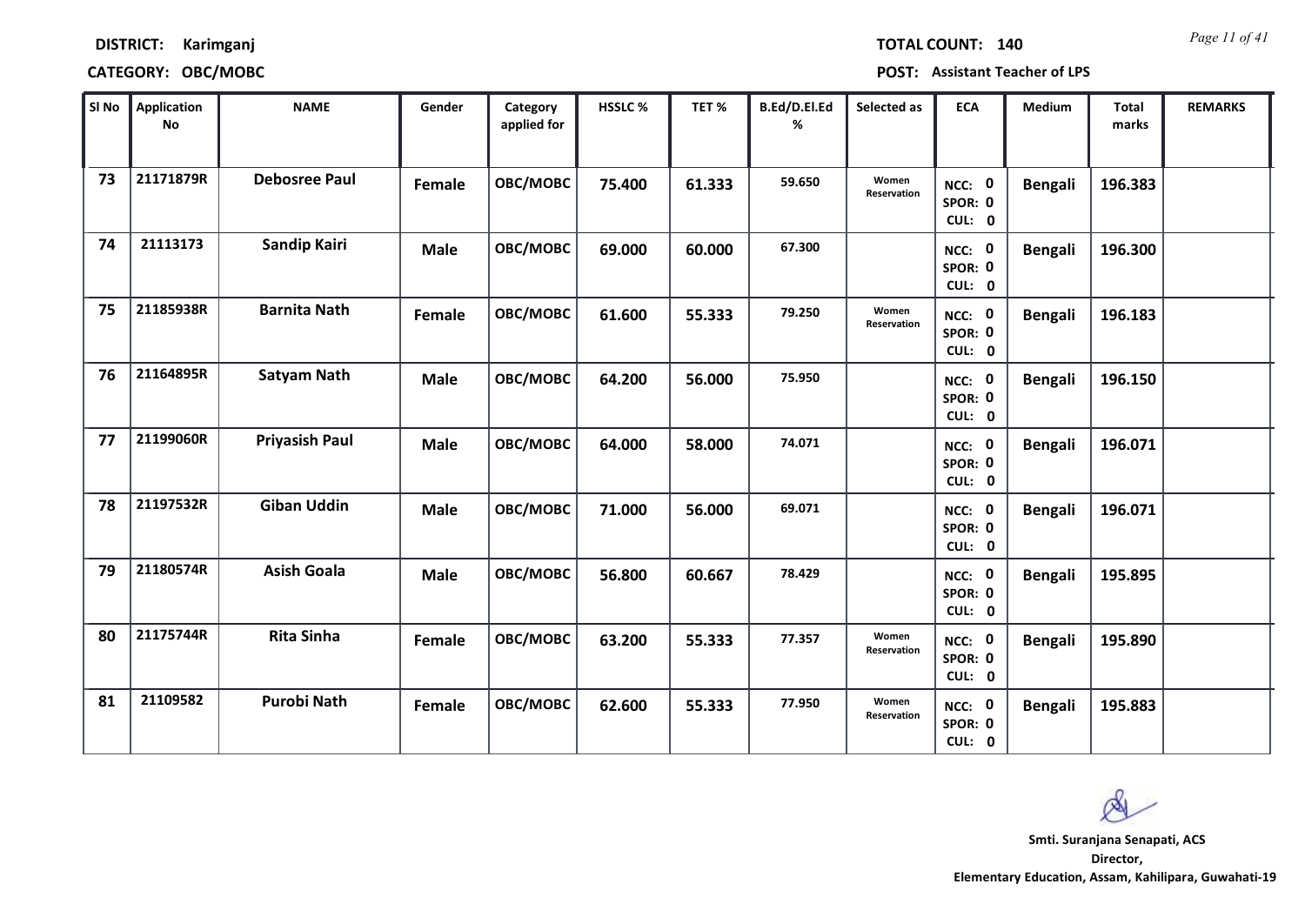*Page 11 of 41* **TOTAL COUNT: 140**

### **DISTRICT: Karimganj**

### **CATEGORY: OBC/MOBC POST: Assistant Teacher of LPS**

| SI No | <b>Application</b><br>$\mathop{\mathsf{No}}$ | <b>NAME</b>           | Gender      | Category<br>applied for | HSSLC % | TET %  | B.Ed/D.El.Ed<br>% | Selected as          | <b>ECA</b>                  | <b>Medium</b>  | <b>Total</b><br>marks | <b>REMARKS</b> |
|-------|----------------------------------------------|-----------------------|-------------|-------------------------|---------|--------|-------------------|----------------------|-----------------------------|----------------|-----------------------|----------------|
| 73    | 21171879R                                    | <b>Debosree Paul</b>  | Female      | OBC/MOBC                | 75.400  | 61.333 | 59.650            | Women<br>Reservation | NCC: 0<br>SPOR: 0<br>CUL: 0 | <b>Bengali</b> | 196.383               |                |
| 74    | 21113173                                     | Sandip Kairi          | <b>Male</b> | OBC/MOBC                | 69.000  | 60.000 | 67.300            |                      | NCC: 0<br>SPOR: 0<br>CUL: 0 | <b>Bengali</b> | 196.300               |                |
| 75    | 21185938R                                    | <b>Barnita Nath</b>   | Female      | OBC/MOBC                | 61.600  | 55.333 | 79.250            | Women<br>Reservation | NCC: 0<br>SPOR: 0<br>CUL: 0 | <b>Bengali</b> | 196.183               |                |
| 76    | 21164895R                                    | <b>Satyam Nath</b>    | <b>Male</b> | OBC/MOBC                | 64.200  | 56.000 | 75.950            |                      | NCC: 0<br>SPOR: 0<br>CUL: 0 | <b>Bengali</b> | 196.150               |                |
| 77    | 21199060R                                    | <b>Priyasish Paul</b> | <b>Male</b> | OBC/MOBC                | 64.000  | 58.000 | 74.071            |                      | NCC: 0<br>SPOR: 0<br>CUL: 0 | <b>Bengali</b> | 196.071               |                |
| 78    | 21197532R                                    | <b>Giban Uddin</b>    | <b>Male</b> | OBC/MOBC                | 71.000  | 56.000 | 69.071            |                      | NCC: 0<br>SPOR: 0<br>CUL: 0 | <b>Bengali</b> | 196.071               |                |
| 79    | 21180574R                                    | <b>Asish Goala</b>    | Male        | OBC/MOBC                | 56.800  | 60.667 | 78.429            |                      | NCC: 0<br>SPOR: 0<br>CUL: 0 | <b>Bengali</b> | 195.895               |                |
| 80    | 21175744R                                    | <b>Rita Sinha</b>     | Female      | OBC/MOBC                | 63.200  | 55.333 | 77.357            | Women<br>Reservation | NCC: 0<br>SPOR: 0<br>CUL: 0 | <b>Bengali</b> | 195.890               |                |
| 81    | 21109582                                     | <b>Purobi Nath</b>    | Female      | OBC/MOBC                | 62.600  | 55.333 | 77.950            | Women<br>Reservation | NCC: 0<br>SPOR: 0<br>CUL: 0 | <b>Bengali</b> | 195.883               |                |

 $\infty$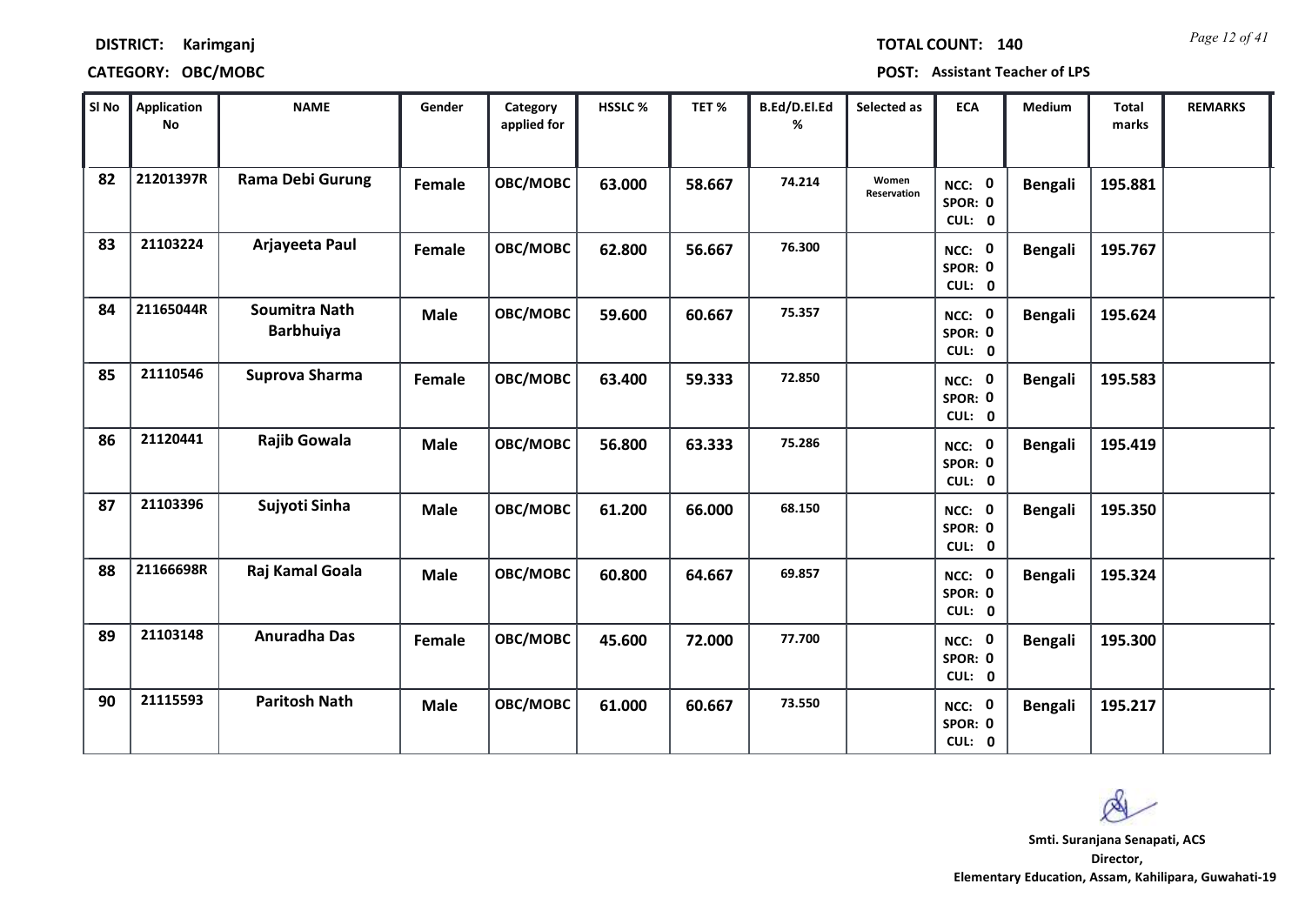| TOTAL COUNT: | 140 |
|--------------|-----|
|              |     |

| SI No | <b>Application</b><br>No | <b>NAME</b>                              | Gender      | Category<br>applied for | HSSLC% | TET%   | B.Ed/D.El.Ed<br>% | Selected as          | <b>ECA</b>                  | Medium         | <b>Total</b><br>marks | <b>REMARKS</b> |
|-------|--------------------------|------------------------------------------|-------------|-------------------------|--------|--------|-------------------|----------------------|-----------------------------|----------------|-----------------------|----------------|
| 82    | 21201397R                | <b>Rama Debi Gurung</b>                  | Female      | OBC/MOBC                | 63.000 | 58.667 | 74.214            | Women<br>Reservation | NCC: 0<br>SPOR: 0<br>CUL: 0 | <b>Bengali</b> | 195.881               |                |
| 83    | 21103224                 | Arjayeeta Paul                           | Female      | OBC/MOBC                | 62.800 | 56.667 | 76.300            |                      | NCC: 0<br>SPOR: 0<br>CUL: 0 | <b>Bengali</b> | 195.767               |                |
| 84    | 21165044R                | <b>Soumitra Nath</b><br><b>Barbhuiya</b> | <b>Male</b> | OBC/MOBC                | 59.600 | 60.667 | 75.357            |                      | NCC: 0<br>SPOR: 0<br>CUL: 0 | <b>Bengali</b> | 195.624               |                |
| 85    | 21110546                 | Suprova Sharma                           | Female      | OBC/MOBC                | 63.400 | 59.333 | 72.850            |                      | NCC: 0<br>SPOR: 0<br>CUL: 0 | <b>Bengali</b> | 195.583               |                |
| 86    | 21120441                 | Rajib Gowala                             | <b>Male</b> | OBC/MOBC                | 56.800 | 63.333 | 75.286            |                      | NCC: 0<br>SPOR: 0<br>CUL: 0 | <b>Bengali</b> | 195.419               |                |
| 87    | 21103396                 | Sujyoti Sinha                            | <b>Male</b> | OBC/MOBC                | 61.200 | 66.000 | 68.150            |                      | NCC: 0<br>SPOR: 0<br>CUL: 0 | <b>Bengali</b> | 195.350               |                |
| 88    | 21166698R                | Raj Kamal Goala                          | <b>Male</b> | OBC/MOBC                | 60.800 | 64.667 | 69.857            |                      | NCC: 0<br>SPOR: 0<br>CUL: 0 | <b>Bengali</b> | 195.324               |                |
| 89    | 21103148                 | <b>Anuradha Das</b>                      | Female      | OBC/MOBC                | 45.600 | 72.000 | 77.700            |                      | NCC: 0<br>SPOR: 0<br>CUL: 0 | <b>Bengali</b> | 195.300               |                |
| 90    | 21115593                 | <b>Paritosh Nath</b>                     | <b>Male</b> | OBC/MOBC                | 61.000 | 60.667 | 73.550            |                      | NCC: 0<br>SPOR: 0<br>CUL: 0 | <b>Bengali</b> | 195.217               |                |

 $\infty$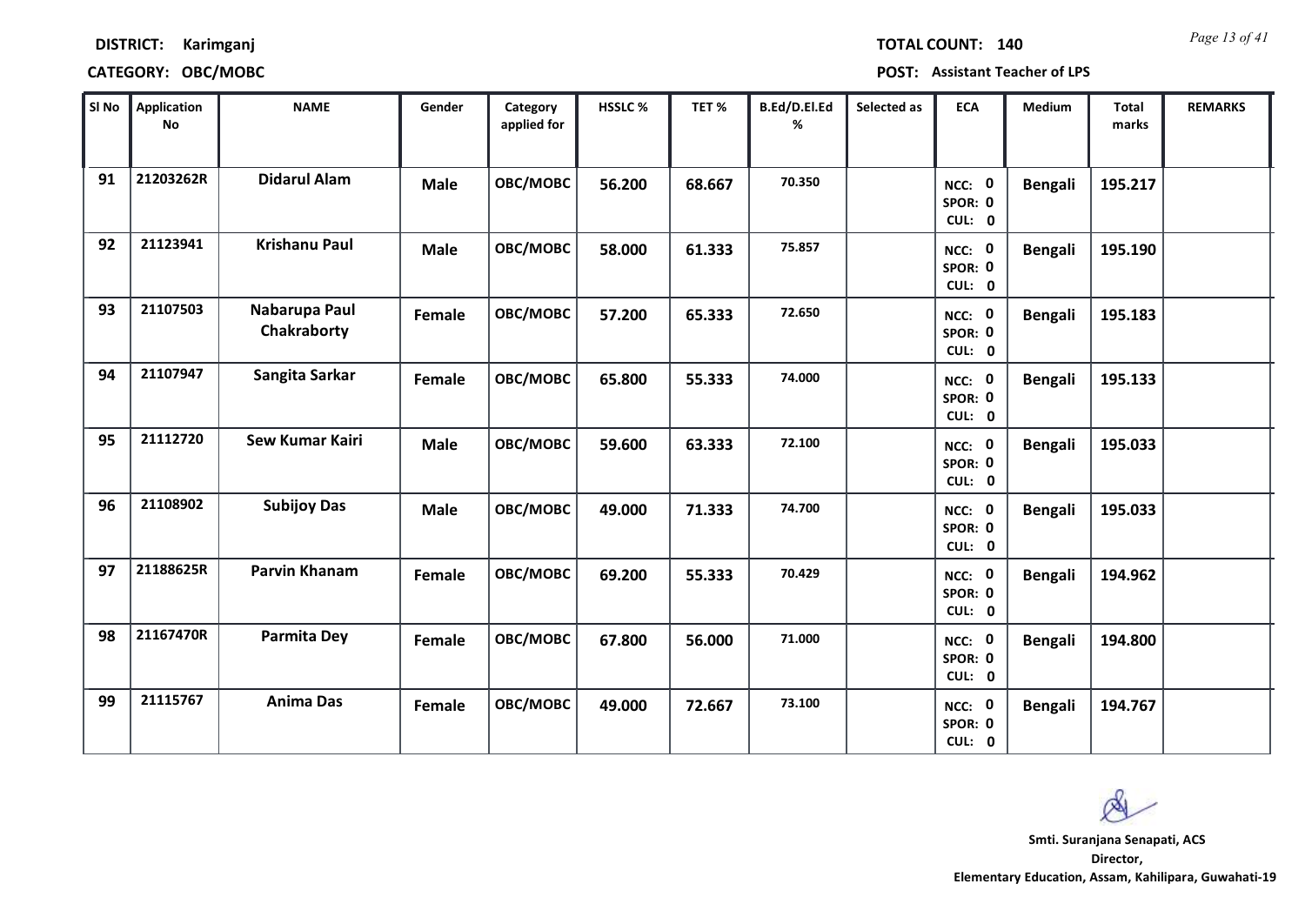| TOTAL COUNT: 140 | Page 13 of 41 |
|------------------|---------------|
|                  |               |

| SI No | <b>Application</b><br>No | <b>NAME</b>                  | Gender      | Category<br>applied for | HSSLC % | TET %  | B.Ed/D.El.Ed<br>% | Selected as | <b>ECA</b>                  | <b>Medium</b>  | <b>Total</b><br>marks | <b>REMARKS</b> |
|-------|--------------------------|------------------------------|-------------|-------------------------|---------|--------|-------------------|-------------|-----------------------------|----------------|-----------------------|----------------|
| 91    | 21203262R                | <b>Didarul Alam</b>          | <b>Male</b> | OBC/MOBC                | 56.200  | 68.667 | 70.350            |             | NCC: 0<br>SPOR: 0<br>CUL: 0 | <b>Bengali</b> | 195.217               |                |
| 92    | 21123941                 | <b>Krishanu Paul</b>         | <b>Male</b> | <b>OBC/MOBC</b>         | 58.000  | 61.333 | 75.857            |             | NCC: 0<br>SPOR: 0<br>CUL: 0 | <b>Bengali</b> | 195.190               |                |
| 93    | 21107503                 | Nabarupa Paul<br>Chakraborty | Female      | OBC/MOBC                | 57.200  | 65.333 | 72.650            |             | NCC: 0<br>SPOR: 0<br>CUL: 0 | <b>Bengali</b> | 195.183               |                |
| 94    | 21107947                 | Sangita Sarkar               | Female      | OBC/MOBC                | 65.800  | 55.333 | 74.000            |             | NCC: 0<br>SPOR: 0<br>CUL: 0 | <b>Bengali</b> | 195.133               |                |
| 95    | 21112720                 | <b>Sew Kumar Kairi</b>       | <b>Male</b> | OBC/MOBC                | 59.600  | 63.333 | 72.100            |             | NCC: 0<br>SPOR: 0<br>CUL: 0 | <b>Bengali</b> | 195.033               |                |
| 96    | 21108902                 | <b>Subijoy Das</b>           | <b>Male</b> | OBC/MOBC                | 49.000  | 71.333 | 74.700            |             | NCC: 0<br>SPOR: 0<br>CUL: 0 | <b>Bengali</b> | 195.033               |                |
| 97    | 21188625R                | <b>Parvin Khanam</b>         | Female      | <b>OBC/MOBC</b>         | 69.200  | 55.333 | 70.429            |             | NCC: 0<br>SPOR: 0<br>CUL: 0 | <b>Bengali</b> | 194.962               |                |
| 98    | 21167470R                | Parmita Dey                  | Female      | OBC/MOBC                | 67.800  | 56.000 | 71.000            |             | NCC: 0<br>SPOR: 0<br>CUL: 0 | <b>Bengali</b> | 194.800               |                |
| 99    | 21115767                 | <b>Anima Das</b>             | Female      | OBC/MOBC                | 49.000  | 72.667 | 73.100            |             | NCC: 0<br>SPOR: 0<br>CUL: 0 | <b>Bengali</b> | 194.767               |                |

 $\infty$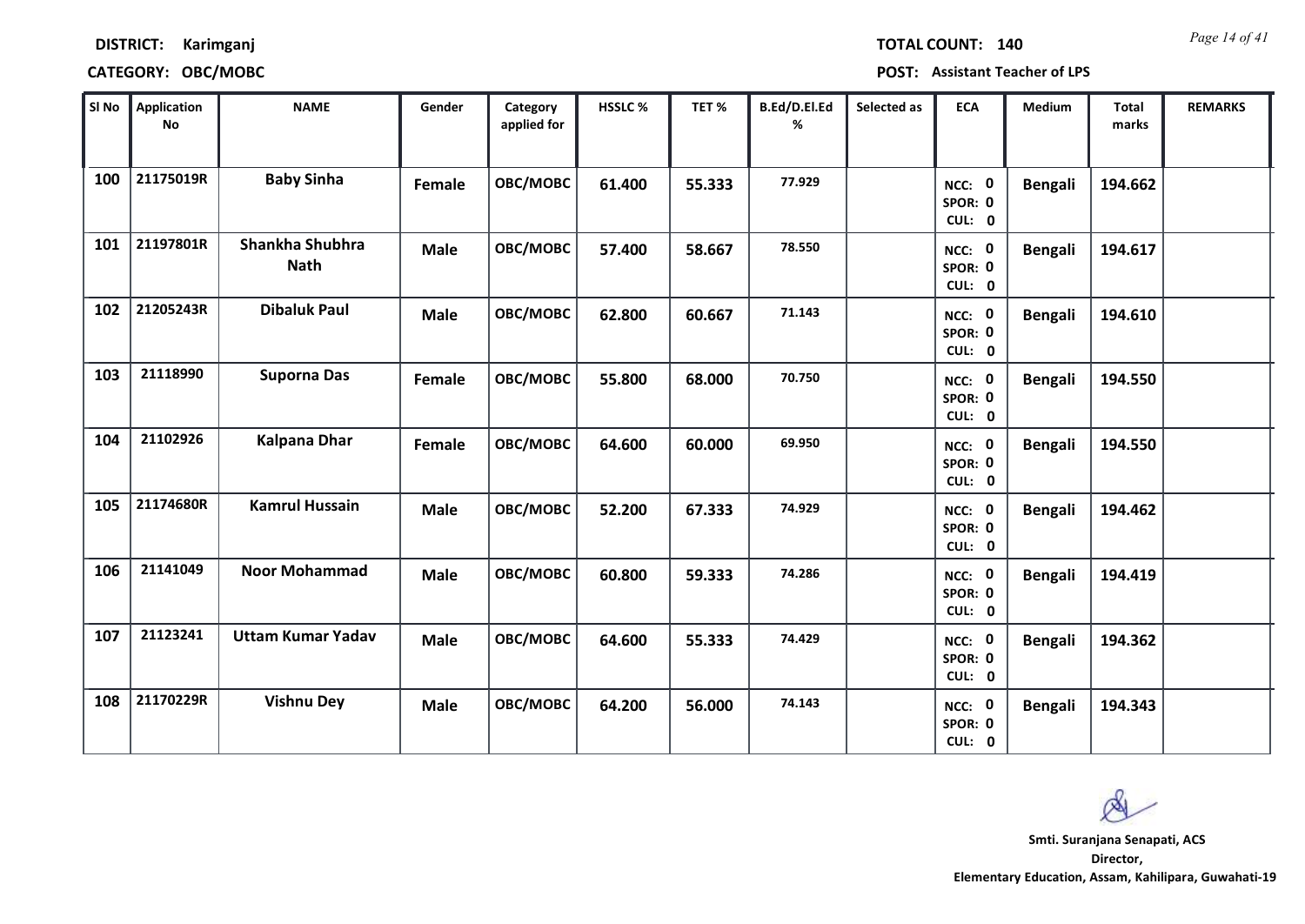| TOTAL COUNT: 140 |  | Page 14 of 41 |
|------------------|--|---------------|
|------------------|--|---------------|

| SI No | <b>Application</b><br>$\mathop{\mathsf{No}}$ | <b>NAME</b>                    | Gender      | Category<br>applied for | HSSLC % | TET %  | B.Ed/D.El.Ed<br>% | Selected as | <b>ECA</b>                  | <b>Medium</b>  | <b>Total</b><br>marks | <b>REMARKS</b> |
|-------|----------------------------------------------|--------------------------------|-------------|-------------------------|---------|--------|-------------------|-------------|-----------------------------|----------------|-----------------------|----------------|
| 100   | 21175019R                                    | <b>Baby Sinha</b>              | Female      | OBC/MOBC                | 61.400  | 55.333 | 77.929            |             | NCC: 0<br>SPOR: 0<br>CUL: 0 | <b>Bengali</b> | 194.662               |                |
| 101   | 21197801R                                    | Shankha Shubhra<br><b>Nath</b> | <b>Male</b> | OBC/MOBC                | 57.400  | 58.667 | 78.550            |             | NCC: 0<br>SPOR: 0<br>CUL: 0 | <b>Bengali</b> | 194.617               |                |
| 102   | 21205243R                                    | <b>Dibaluk Paul</b>            | <b>Male</b> | OBC/MOBC                | 62.800  | 60.667 | 71.143            |             | NCC: 0<br>SPOR: 0<br>CUL: 0 | <b>Bengali</b> | 194.610               |                |
| 103   | 21118990                                     | <b>Suporna Das</b>             | Female      | OBC/MOBC                | 55.800  | 68.000 | 70.750            |             | NCC: 0<br>SPOR: 0<br>CUL: 0 | <b>Bengali</b> | 194.550               |                |
| 104   | 21102926                                     | <b>Kalpana Dhar</b>            | Female      | OBC/MOBC                | 64.600  | 60.000 | 69.950            |             | NCC: 0<br>SPOR: 0<br>CUL: 0 | <b>Bengali</b> | 194.550               |                |
| 105   | 21174680R                                    | <b>Kamrul Hussain</b>          | <b>Male</b> | OBC/MOBC                | 52.200  | 67.333 | 74.929            |             | NCC: 0<br>SPOR: 0<br>CUL: 0 | <b>Bengali</b> | 194.462               |                |
| 106   | 21141049                                     | <b>Noor Mohammad</b>           | Male        | OBC/MOBC                | 60.800  | 59.333 | 74.286            |             | NCC: 0<br>SPOR: 0<br>CUL: 0 | <b>Bengali</b> | 194.419               |                |
| 107   | 21123241                                     | <b>Uttam Kumar Yadav</b>       | <b>Male</b> | OBC/MOBC                | 64.600  | 55.333 | 74.429            |             | NCC: 0<br>SPOR: 0<br>CUL: 0 | <b>Bengali</b> | 194.362               |                |
| 108   | 21170229R                                    | <b>Vishnu Dey</b>              | <b>Male</b> | OBC/MOBC                | 64.200  | 56.000 | 74.143            |             | NCC: 0<br>SPOR: 0<br>CUL: 0 | <b>Bengali</b> | 194.343               |                |

 $\infty$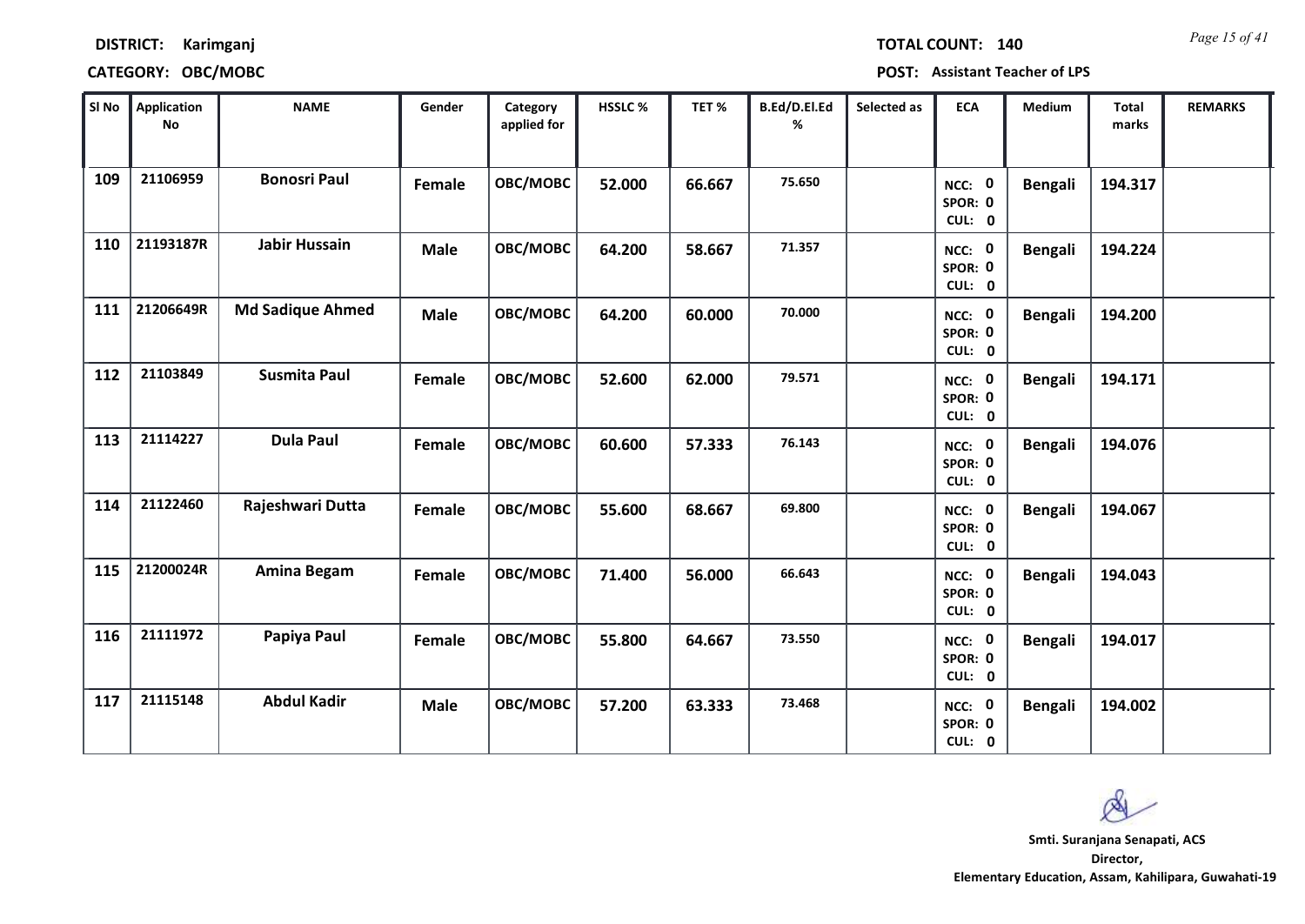| TOTAL COUNT: 140 | Page 15 of 41 |
|------------------|---------------|
|                  |               |

| SI No | <b>Application</b><br>No | <b>NAME</b>             | Gender      | Category<br>applied for | HSSLC% | TET %  | B.Ed/D.El.Ed<br>% | Selected as | <b>ECA</b>                  | <b>Medium</b>  | <b>Total</b><br>marks | <b>REMARKS</b> |
|-------|--------------------------|-------------------------|-------------|-------------------------|--------|--------|-------------------|-------------|-----------------------------|----------------|-----------------------|----------------|
| 109   | 21106959                 | <b>Bonosri Paul</b>     | Female      | OBC/MOBC                | 52.000 | 66.667 | 75.650            |             | NCC: 0<br>SPOR: 0<br>CUL: 0 | <b>Bengali</b> | 194.317               |                |
| 110   | 21193187R                | <b>Jabir Hussain</b>    | <b>Male</b> | OBC/MOBC                | 64.200 | 58.667 | 71.357            |             | NCC: 0<br>SPOR: 0<br>CUL: 0 | <b>Bengali</b> | 194.224               |                |
| 111   | 21206649R                | <b>Md Sadique Ahmed</b> | <b>Male</b> | OBC/MOBC                | 64.200 | 60.000 | 70.000            |             | NCC: 0<br>SPOR: 0<br>CUL: 0 | <b>Bengali</b> | 194.200               |                |
| 112   | 21103849                 | <b>Susmita Paul</b>     | Female      | OBC/MOBC                | 52.600 | 62.000 | 79.571            |             | NCC: 0<br>SPOR: 0<br>CUL: 0 | <b>Bengali</b> | 194.171               |                |
| 113   | 21114227                 | <b>Dula Paul</b>        | Female      | OBC/MOBC                | 60.600 | 57.333 | 76.143            |             | NCC: 0<br>SPOR: 0<br>CUL: 0 | <b>Bengali</b> | 194.076               |                |
| 114   | 21122460                 | Rajeshwari Dutta        | Female      | OBC/MOBC                | 55.600 | 68.667 | 69.800            |             | NCC: 0<br>SPOR: 0<br>CUL: 0 | <b>Bengali</b> | 194.067               |                |
| 115   | 21200024R                | Amina Begam             | Female      | OBC/MOBC                | 71.400 | 56.000 | 66.643            |             | NCC: 0<br>SPOR: 0<br>CUL: 0 | <b>Bengali</b> | 194.043               |                |
| 116   | 21111972                 | Papiya Paul             | Female      | OBC/MOBC                | 55.800 | 64.667 | 73.550            |             | NCC: 0<br>SPOR: 0<br>CUL: 0 | <b>Bengali</b> | 194.017               |                |
| 117   | 21115148                 | <b>Abdul Kadir</b>      | <b>Male</b> | OBC/MOBC                | 57.200 | 63.333 | 73.468            |             | NCC: 0<br>SPOR: 0<br>CUL: 0 | <b>Bengali</b> | 194.002               |                |

 $\infty$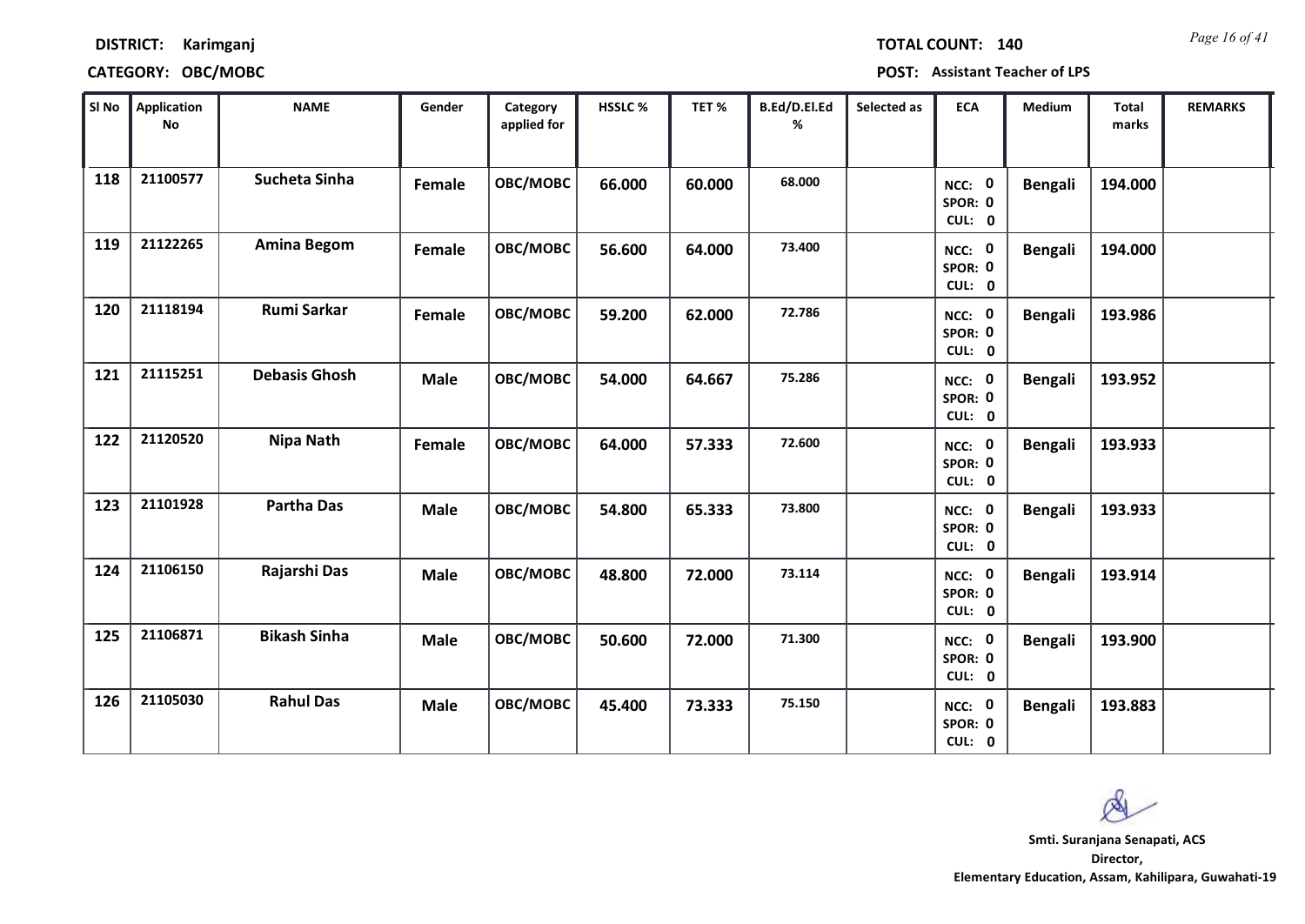*Page 16 of 41* **TOTAL COUNT: 140**

**DISTRICT: Karimganj**

| SI No | <b>Application</b><br>$\mathop{\mathsf{No}}$ | <b>NAME</b>          | Gender        | Category<br>applied for | HSSLC % | TET %  | B.Ed/D.El.Ed<br>% | Selected as | <b>ECA</b>                  | <b>Medium</b>  | <b>Total</b><br>marks | <b>REMARKS</b> |
|-------|----------------------------------------------|----------------------|---------------|-------------------------|---------|--------|-------------------|-------------|-----------------------------|----------------|-----------------------|----------------|
| 118   | 21100577                                     | Sucheta Sinha        | Female        | OBC/MOBC                | 66.000  | 60.000 | 68.000            |             | NCC: 0<br>SPOR: 0<br>CUL: 0 | <b>Bengali</b> | 194.000               |                |
| 119   | 21122265                                     | <b>Amina Begom</b>   | Female        | OBC/MOBC                | 56.600  | 64.000 | 73.400            |             | NCC: 0<br>SPOR: 0<br>CUL: 0 | <b>Bengali</b> | 194.000               |                |
| 120   | 21118194                                     | <b>Rumi Sarkar</b>   | <b>Female</b> | OBC/MOBC                | 59.200  | 62.000 | 72.786            |             | NCC: 0<br>SPOR: 0<br>CUL: 0 | <b>Bengali</b> | 193.986               |                |
| 121   | 21115251                                     | <b>Debasis Ghosh</b> | <b>Male</b>   | OBC/MOBC                | 54.000  | 64.667 | 75.286            |             | NCC: 0<br>SPOR: 0<br>CUL: 0 | <b>Bengali</b> | 193.952               |                |
| 122   | 21120520                                     | <b>Nipa Nath</b>     | <b>Female</b> | OBC/MOBC                | 64.000  | 57.333 | 72.600            |             | NCC: 0<br>SPOR: 0<br>CUL: 0 | <b>Bengali</b> | 193.933               |                |
| 123   | 21101928                                     | <b>Partha Das</b>    | <b>Male</b>   | OBC/MOBC                | 54.800  | 65.333 | 73.800            |             | NCC: 0<br>SPOR: 0<br>CUL: 0 | <b>Bengali</b> | 193.933               |                |
| 124   | 21106150                                     | Rajarshi Das         | <b>Male</b>   | OBC/MOBC                | 48.800  | 72.000 | 73.114            |             | NCC: 0<br>SPOR: 0<br>CUL: 0 | <b>Bengali</b> | 193.914               |                |
| 125   | 21106871                                     | <b>Bikash Sinha</b>  | <b>Male</b>   | OBC/MOBC                | 50.600  | 72.000 | 71.300            |             | NCC: 0<br>SPOR: 0<br>CUL: 0 | <b>Bengali</b> | 193.900               |                |
| 126   | 21105030                                     | <b>Rahul Das</b>     | <b>Male</b>   | OBC/MOBC                | 45.400  | 73.333 | 75.150            |             | NCC: 0<br>SPOR: 0<br>CUL: 0 | <b>Bengali</b> | 193.883               |                |

 $\infty$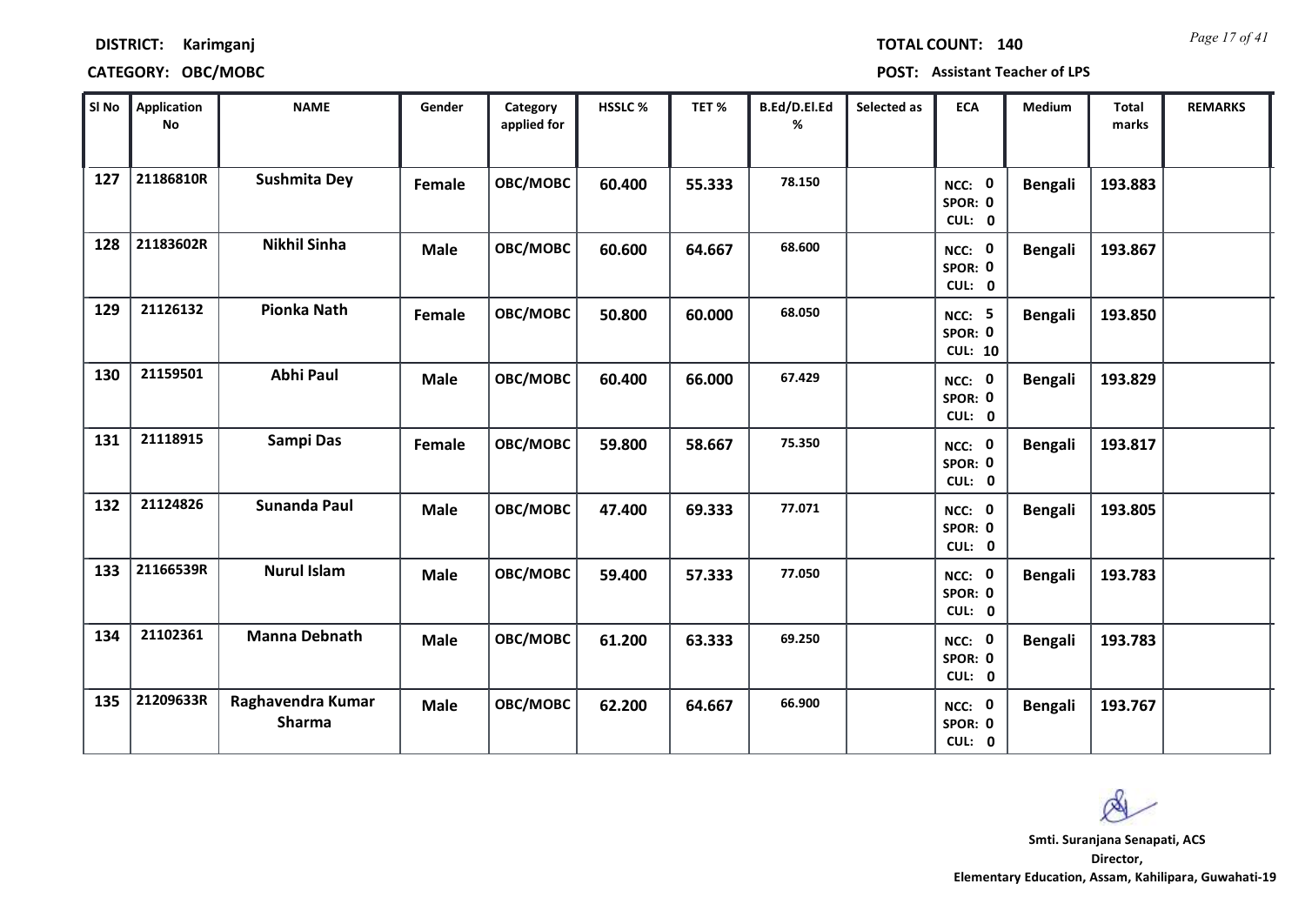*Page 17 of 41* **TOTAL COUNT: 140**

**DISTRICT: Karimganj**

**CATEGORY: OBC/MOBC POST: Assistant Teacher of LPS**

| SI No | <b>Application</b><br>No | <b>NAME</b>                 | Gender      | Category<br>applied for | HSSLC % | TET %  | B.Ed/D.El.Ed<br>% | Selected as | <b>ECA</b>                          | <b>Medium</b>  | <b>Total</b><br>marks | <b>REMARKS</b> |
|-------|--------------------------|-----------------------------|-------------|-------------------------|---------|--------|-------------------|-------------|-------------------------------------|----------------|-----------------------|----------------|
| 127   | 21186810R                | <b>Sushmita Dey</b>         | Female      | OBC/MOBC                | 60.400  | 55.333 | 78.150            |             | NCC: 0<br>SPOR: 0<br>CUL: 0         | <b>Bengali</b> | 193.883               |                |
| 128   | 21183602R                | <b>Nikhil Sinha</b>         | <b>Male</b> | OBC/MOBC                | 60.600  | 64.667 | 68.600            |             | NCC: 0<br>SPOR: 0<br>CUL: 0         | <b>Bengali</b> | 193.867               |                |
| 129   | 21126132                 | <b>Pionka Nath</b>          | Female      | OBC/MOBC                | 50.800  | 60.000 | 68.050            |             | NCC: 5<br>SPOR: 0<br><b>CUL: 10</b> | <b>Bengali</b> | 193.850               |                |
| 130   | 21159501                 | <b>Abhi Paul</b>            | <b>Male</b> | OBC/MOBC                | 60.400  | 66.000 | 67.429            |             | NCC: 0<br>SPOR: 0<br>CUL: 0         | <b>Bengali</b> | 193.829               |                |
| 131   | 21118915                 | Sampi Das                   | Female      | OBC/MOBC                | 59.800  | 58.667 | 75.350            |             | NCC: 0<br>SPOR: 0<br>CUL: 0         | <b>Bengali</b> | 193.817               |                |
| 132   | 21124826                 | <b>Sunanda Paul</b>         | <b>Male</b> | OBC/MOBC                | 47.400  | 69.333 | 77.071            |             | NCC: 0<br>SPOR: 0<br>CUL: 0         | <b>Bengali</b> | 193.805               |                |
| 133   | 21166539R                | <b>Nurul Islam</b>          | <b>Male</b> | OBC/MOBC                | 59.400  | 57.333 | 77.050            |             | NCC: 0<br>SPOR: 0<br>CUL: 0         | <b>Bengali</b> | 193.783               |                |
| 134   | 21102361                 | <b>Manna Debnath</b>        | <b>Male</b> | OBC/MOBC                | 61.200  | 63.333 | 69.250            |             | NCC: 0<br>SPOR: 0<br>CUL: 0         | <b>Bengali</b> | 193.783               |                |
| 135   | 21209633R                | Raghavendra Kumar<br>Sharma | <b>Male</b> | OBC/MOBC                | 62.200  | 64.667 | 66.900            |             | NCC: 0<br>SPOR: 0<br>CUL: 0         | <b>Bengali</b> | 193.767               |                |

 $\infty$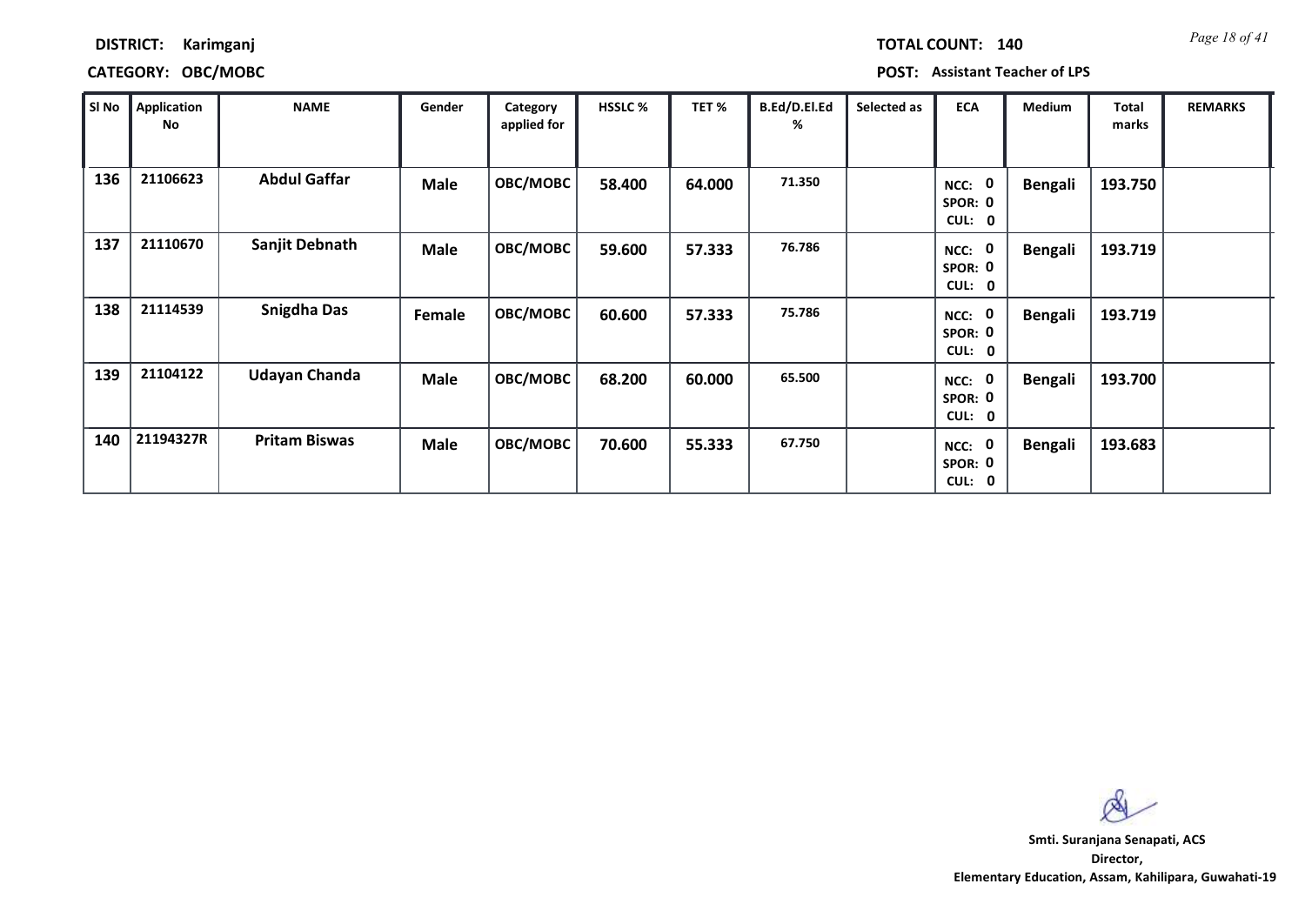*Page 18 of 41* **TOTAL COUNT: 140**

### **DISTRICT: Karimganj**

### **CATEGORY: OBC/MOBC POST: Assistant Teacher of LPS**

| SI No | <b>Application</b><br>No | <b>NAME</b>          | Gender      | Category<br>applied for | <b>HSSLC %</b> | TET %  | B.Ed/D.El.Ed<br>% | Selected as | <b>ECA</b>                  | <b>Medium</b>  | <b>Total</b><br>marks | <b>REMARKS</b> |
|-------|--------------------------|----------------------|-------------|-------------------------|----------------|--------|-------------------|-------------|-----------------------------|----------------|-----------------------|----------------|
| 136   | 21106623                 | <b>Abdul Gaffar</b>  | <b>Male</b> | OBC/MOBC                | 58.400         | 64.000 | 71.350            |             | NCC: 0<br>SPOR: 0<br>CUL: 0 | <b>Bengali</b> | 193.750               |                |
| 137   | 21110670                 | Sanjit Debnath       | <b>Male</b> | OBC/MOBC                | 59.600         | 57.333 | 76.786            |             | NCC: 0<br>SPOR: 0<br>CUL: 0 | <b>Bengali</b> | 193.719               |                |
| 138   | 21114539                 | <b>Snigdha Das</b>   | Female      | OBC/MOBC                | 60.600         | 57.333 | 75.786            |             | NCC: 0<br>SPOR: 0<br>CUL: 0 | <b>Bengali</b> | 193.719               |                |
| 139   | 21104122                 | <b>Udayan Chanda</b> | Male        | OBC/MOBC                | 68.200         | 60.000 | 65.500            |             | NCC: 0<br>SPOR: 0<br>CUL: 0 | <b>Bengali</b> | 193.700               |                |
| 140   | 21194327R                | <b>Pritam Biswas</b> | Male        | OBC/MOBC                | 70.600         | 55.333 | 67.750            |             | NCC: 0<br>SPOR: 0<br>CUL: 0 | <b>Bengali</b> | 193.683               |                |

 $\infty$ **Smti. Suranjana Senapati, ACS**

**Director, Elementary Education, Assam, Kahilipara, Guwahati-19**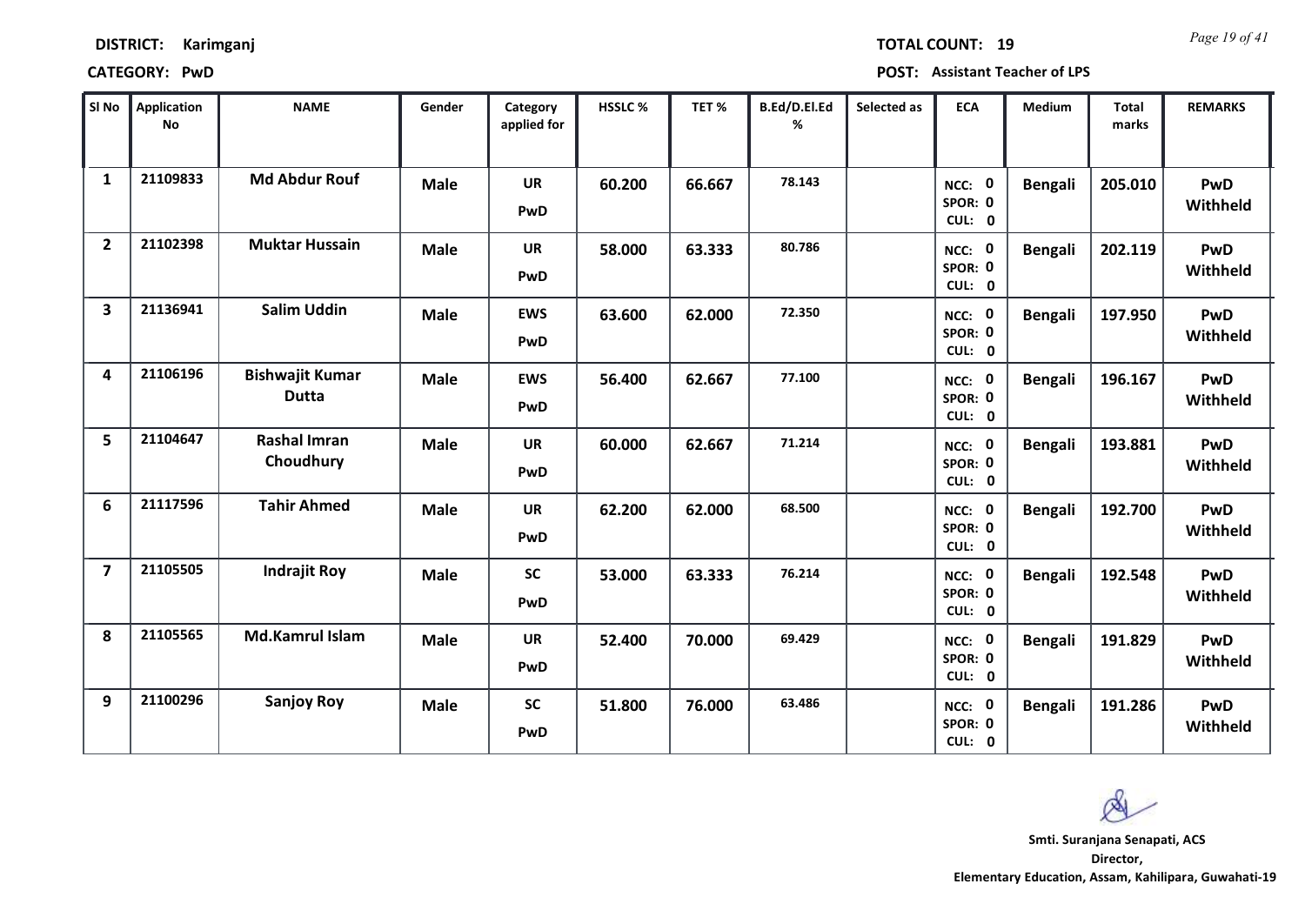| <b>DISTRICT:</b> | Karimganj |
|------------------|-----------|
|                  |           |

| SI <sub>No</sub>        | <b>Application</b><br>No | <b>NAME</b>                            | Gender      | Category<br>applied for | <b>HSSLC %</b> | TET %  | B.Ed/D.El.Ed<br>% | Selected as | <b>ECA</b>                  | <b>Medium</b>  | <b>Total</b><br>marks | <b>REMARKS</b>         |
|-------------------------|--------------------------|----------------------------------------|-------------|-------------------------|----------------|--------|-------------------|-------------|-----------------------------|----------------|-----------------------|------------------------|
| $\mathbf{1}$            | 21109833                 | <b>Md Abdur Rouf</b>                   | <b>Male</b> | <b>UR</b><br>PwD        | 60.200         | 66.667 | 78.143            |             | NCC: 0<br>SPOR: 0<br>CUL: 0 | <b>Bengali</b> | 205.010               | <b>PwD</b><br>Withheld |
| $\overline{2}$          | 21102398                 | <b>Muktar Hussain</b>                  | <b>Male</b> | <b>UR</b><br>PwD        | 58.000         | 63.333 | 80.786            |             | NCC: 0<br>SPOR: 0<br>CUL: 0 | <b>Bengali</b> | 202.119               | PwD<br>Withheld        |
| $\overline{\mathbf{3}}$ | 21136941                 | <b>Salim Uddin</b>                     | <b>Male</b> | <b>EWS</b><br>PwD       | 63.600         | 62.000 | 72.350            |             | NCC: 0<br>SPOR: 0<br>CUL: 0 | <b>Bengali</b> | 197.950               | <b>PwD</b><br>Withheld |
| 4                       | 21106196                 | <b>Bishwajit Kumar</b><br><b>Dutta</b> | <b>Male</b> | <b>EWS</b><br>PwD       | 56.400         | 62.667 | 77.100            |             | NCC: 0<br>SPOR: 0<br>CUL: 0 | <b>Bengali</b> | 196.167               | <b>PwD</b><br>Withheld |
| 5                       | 21104647                 | <b>Rashal Imran</b><br>Choudhury       | <b>Male</b> | <b>UR</b><br>PwD        | 60.000         | 62.667 | 71.214            |             | NCC: 0<br>SPOR: 0<br>CUL: 0 | <b>Bengali</b> | 193.881               | <b>PwD</b><br>Withheld |
| 6                       | 21117596                 | <b>Tahir Ahmed</b>                     | <b>Male</b> | <b>UR</b><br>PwD        | 62.200         | 62.000 | 68.500            |             | NCC: 0<br>SPOR: 0<br>CUL: 0 | <b>Bengali</b> | 192.700               | <b>PwD</b><br>Withheld |
| $\overline{7}$          | 21105505                 | <b>Indrajit Roy</b>                    | <b>Male</b> | <b>SC</b><br>PwD        | 53.000         | 63.333 | 76.214            |             | NCC: 0<br>SPOR: 0<br>CUL: 0 | <b>Bengali</b> | 192.548               | <b>PwD</b><br>Withheld |
| 8                       | 21105565                 | Md.Kamrul Islam                        | <b>Male</b> | <b>UR</b><br>PwD        | 52.400         | 70.000 | 69.429            |             | NCC: 0<br>SPOR: 0<br>CUL: 0 | <b>Bengali</b> | 191.829               | <b>PwD</b><br>Withheld |
| 9                       | 21100296                 | <b>Sanjoy Roy</b>                      | <b>Male</b> | <b>SC</b><br>PwD        | 51.800         | 76.000 | 63.486            |             | NCC: 0<br>SPOR: 0<br>CUL: 0 | <b>Bengali</b> | 191.286               | <b>PwD</b><br>Withheld |

 $\infty$ **Smti. Suranjana Senapati, ACS**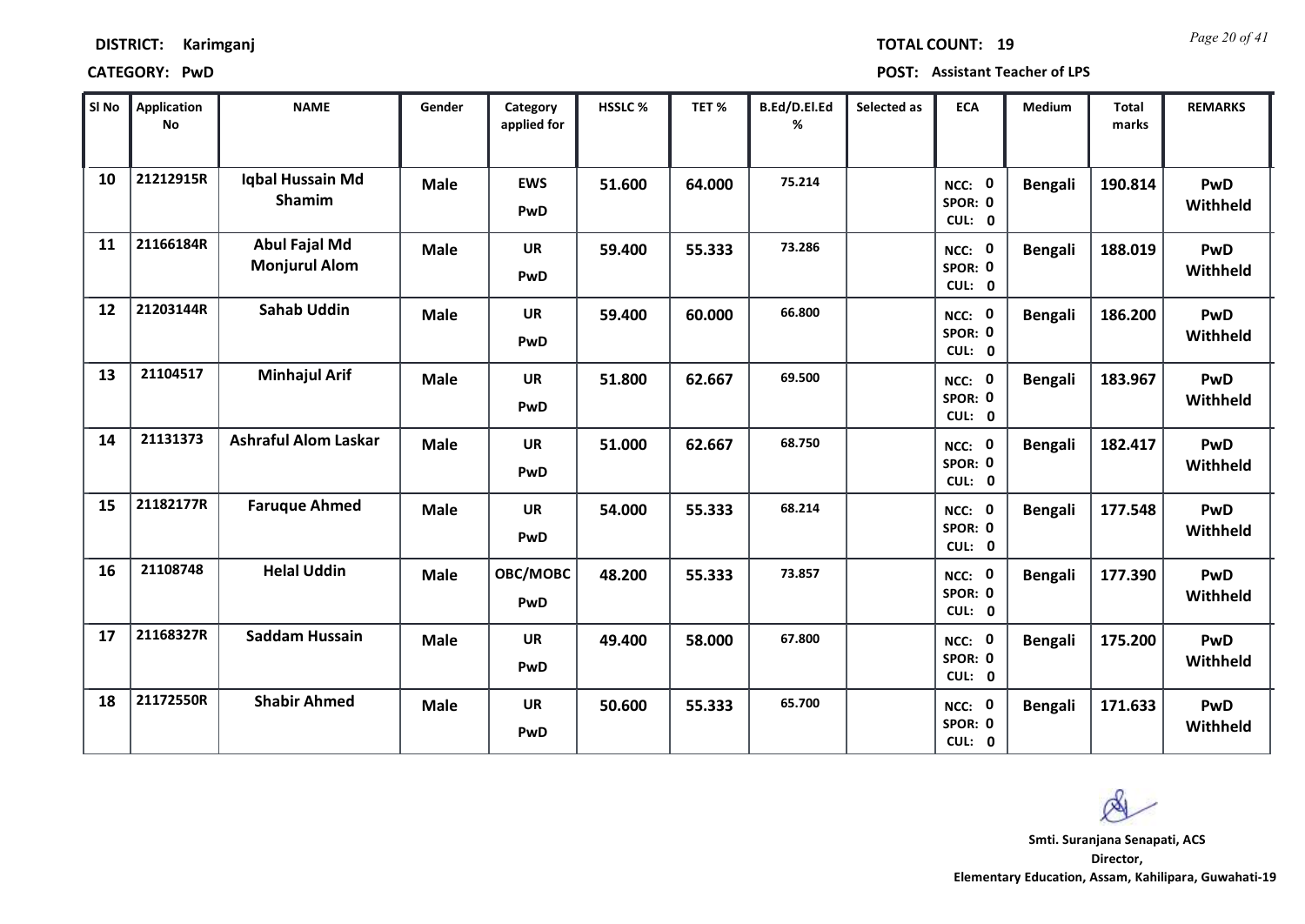### **CATEGORY: PwD POST: Assistant Teacher of LPS**

| SI No | <b>Application</b><br>No | <b>NAME</b>                                  | Gender      | Category<br>applied for | <b>HSSLC%</b> | TET %  | B.Ed/D.El.Ed<br>% | Selected as | <b>ECA</b>                  | Medium         | <b>Total</b><br>marks | <b>REMARKS</b>         |
|-------|--------------------------|----------------------------------------------|-------------|-------------------------|---------------|--------|-------------------|-------------|-----------------------------|----------------|-----------------------|------------------------|
| 10    | 21212915R                | Iqbal Hussain Md<br><b>Shamim</b>            | <b>Male</b> | <b>EWS</b><br>PwD       | 51.600        | 64.000 | 75.214            |             | NCC: 0<br>SPOR: 0<br>CUL: 0 | <b>Bengali</b> | 190.814               | PwD<br>Withheld        |
| 11    | 21166184R                | <b>Abul Fajal Md</b><br><b>Monjurul Alom</b> | <b>Male</b> | <b>UR</b><br>PwD        | 59.400        | 55.333 | 73.286            |             | NCC: 0<br>SPOR: 0<br>CUL: 0 | <b>Bengali</b> | 188.019               | <b>PwD</b><br>Withheld |
| 12    | 21203144R                | <b>Sahab Uddin</b>                           | <b>Male</b> | <b>UR</b><br>PwD        | 59.400        | 60.000 | 66.800            |             | NCC: 0<br>SPOR: 0<br>CUL: 0 | <b>Bengali</b> | 186.200               | PwD<br>Withheld        |
| 13    | 21104517                 | <b>Minhajul Arif</b>                         | <b>Male</b> | <b>UR</b><br>PwD        | 51.800        | 62.667 | 69.500            |             | NCC: 0<br>SPOR: 0<br>CUL: 0 | <b>Bengali</b> | 183.967               | PwD<br>Withheld        |
| 14    | 21131373                 | <b>Ashraful Alom Laskar</b>                  | <b>Male</b> | <b>UR</b><br>PwD        | 51.000        | 62.667 | 68.750            |             | NCC: 0<br>SPOR: 0<br>CUL: 0 | <b>Bengali</b> | 182.417               | <b>PwD</b><br>Withheld |
| 15    | 21182177R                | <b>Faruque Ahmed</b>                         | <b>Male</b> | UR<br>PwD               | 54.000        | 55.333 | 68.214            |             | NCC: 0<br>SPOR: 0<br>CUL: 0 | <b>Bengali</b> | 177.548               | <b>PwD</b><br>Withheld |
| 16    | 21108748                 | <b>Helal Uddin</b>                           | <b>Male</b> | OBC/MOBC<br>PwD         | 48.200        | 55.333 | 73.857            |             | NCC: 0<br>SPOR: 0<br>CUL: 0 | <b>Bengali</b> | 177.390               | <b>PwD</b><br>Withheld |
| 17    | 21168327R                | <b>Saddam Hussain</b>                        | <b>Male</b> | <b>UR</b><br>PwD        | 49.400        | 58.000 | 67.800            |             | NCC: 0<br>SPOR: 0<br>CUL: 0 | <b>Bengali</b> | 175.200               | PwD<br>Withheld        |
| 18    | 21172550R                | <b>Shabir Ahmed</b>                          | <b>Male</b> | <b>UR</b><br>PwD        | 50.600        | 55.333 | 65.700            |             | NCC: 0<br>SPOR: 0<br>CUL: 0 | <b>Bengali</b> | 171.633               | <b>PwD</b><br>Withheld |

Q

*Page 20 of 41* **TOTAL COUNT: 19**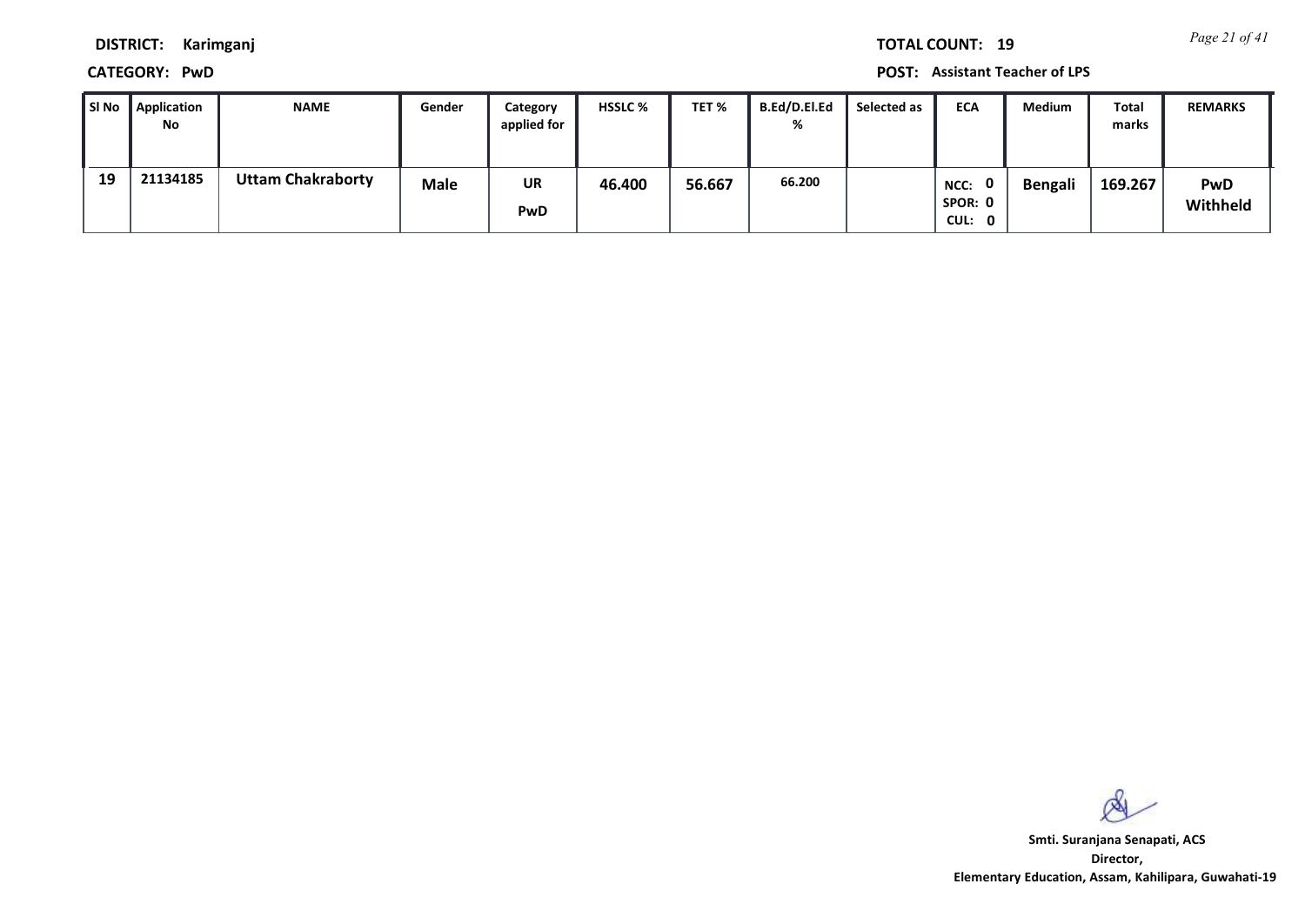*Page 21 of 41* **TOTAL COUNT: 19**

**DISTRICT: Karimganj**

**CATEGORY: PwD POST: Assistant Teacher of LPS**

| l SI No | Application<br>No | <b>NAME</b>              | Gender      | Category<br>applied for | <b>HSSLC %</b> | TET %  | B.Ed/D.El.Ed<br>% | Selected as | <b>ECA</b>                     | <b>Medium</b> | <b>Total</b><br>marks | <b>REMARKS</b>         |
|---------|-------------------|--------------------------|-------------|-------------------------|----------------|--------|-------------------|-------------|--------------------------------|---------------|-----------------------|------------------------|
| 19      | 21134185          | <b>Uttam Chakraborty</b> | <b>Male</b> | UR<br><b>PwD</b>        | 46.400         | 56.667 | 66.200            |             | 0<br>NCC:<br>SPOR: 0<br>CUL: 0 | Bengali       | 169.267               | <b>PwD</b><br>Withheld |

 $\infty$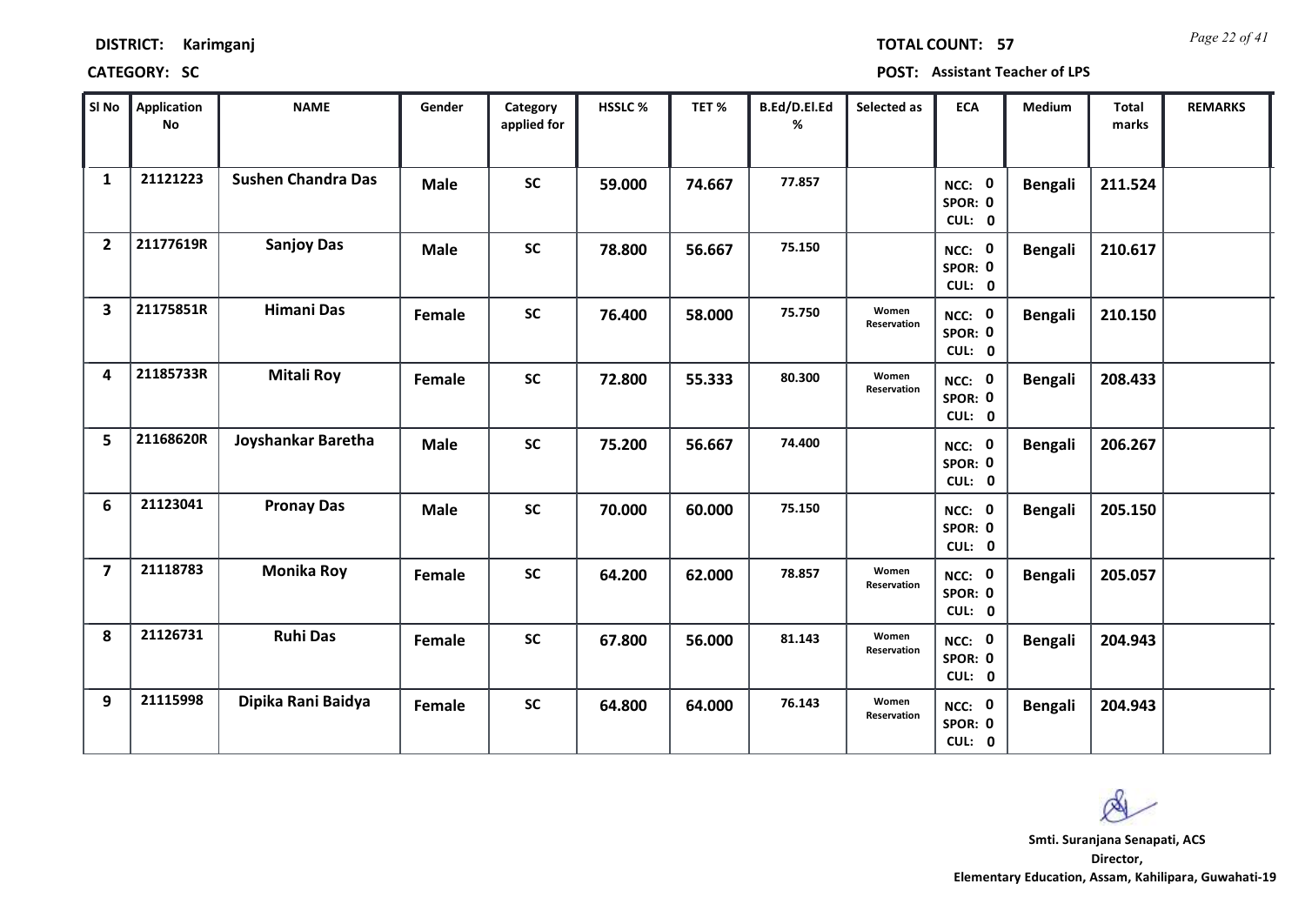| <b>DISTRICT:</b> | Karimganj |
|------------------|-----------|
|------------------|-----------|

*Page 22 of 41* **TOTAL COUNT: 57**

| SI No                   | <b>Application</b><br>No | <b>NAME</b>               | Gender      | Category<br>applied for | <b>HSSLC%</b> | TET%   | B.Ed/D.El.Ed<br>% | Selected as          | <b>ECA</b>                  | <b>Medium</b>  | Total<br>marks | <b>REMARKS</b> |
|-------------------------|--------------------------|---------------------------|-------------|-------------------------|---------------|--------|-------------------|----------------------|-----------------------------|----------------|----------------|----------------|
| $\mathbf{1}$            | 21121223                 | <b>Sushen Chandra Das</b> | <b>Male</b> | <b>SC</b>               | 59.000        | 74.667 | 77.857            |                      | NCC: 0<br>SPOR: 0<br>CUL: 0 | <b>Bengali</b> | 211.524        |                |
| $\overline{2}$          | 21177619R                | <b>Sanjoy Das</b>         | <b>Male</b> | <b>SC</b>               | 78.800        | 56.667 | 75.150            |                      | NCC: 0<br>SPOR: 0<br>CUL: 0 | <b>Bengali</b> | 210.617        |                |
| $\overline{\mathbf{3}}$ | 21175851R                | <b>Himani Das</b>         | Female      | $\mathsf{SC}$           | 76.400        | 58.000 | 75.750            | Women<br>Reservation | NCC: 0<br>SPOR: 0<br>CUL: 0 | <b>Bengali</b> | 210.150        |                |
| 4                       | 21185733R                | <b>Mitali Roy</b>         | Female      | <b>SC</b>               | 72.800        | 55.333 | 80.300            | Women<br>Reservation | NCC: 0<br>SPOR: 0<br>CUL: 0 | <b>Bengali</b> | 208.433        |                |
| 5                       | 21168620R                | Joyshankar Baretha        | <b>Male</b> | <b>SC</b>               | 75.200        | 56.667 | 74.400            |                      | NCC: 0<br>SPOR: 0<br>CUL: 0 | Bengali        | 206.267        |                |
| 6                       | 21123041                 | <b>Pronay Das</b>         | <b>Male</b> | <b>SC</b>               | 70.000        | 60.000 | 75.150            |                      | NCC: 0<br>SPOR: 0<br>CUL: 0 | <b>Bengali</b> | 205.150        |                |
| $\overline{7}$          | 21118783                 | <b>Monika Roy</b>         | Female      | <b>SC</b>               | 64.200        | 62.000 | 78.857            | Women<br>Reservation | NCC: 0<br>SPOR: 0<br>CUL: 0 | <b>Bengali</b> | 205.057        |                |
| 8                       | 21126731                 | <b>Ruhi Das</b>           | Female      | <b>SC</b>               | 67.800        | 56.000 | 81.143            | Women<br>Reservation | NCC: 0<br>SPOR: 0<br>CUL: 0 | <b>Bengali</b> | 204.943        |                |
| 9                       | 21115998                 | Dipika Rani Baidya        | Female      | <b>SC</b>               | 64.800        | 64.000 | 76.143            | Women<br>Reservation | NCC: 0<br>SPOR: 0<br>CUL: 0 | <b>Bengali</b> | 204.943        |                |

 $\infty$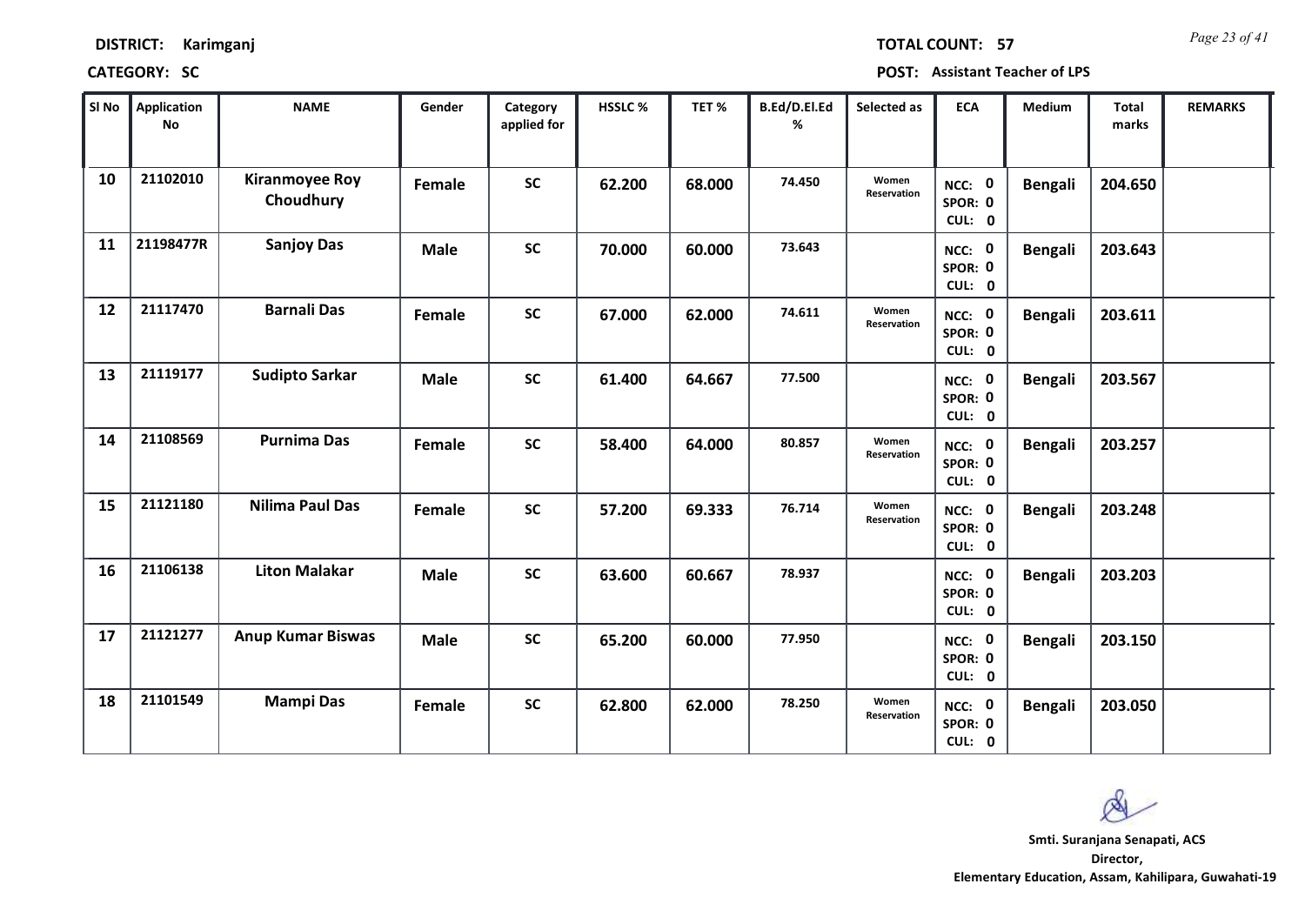*Page 23 of 41* **TOTAL COUNT: 57**

| SI No | <b>Application</b><br>No | <b>NAME</b>                        | Gender      | Category<br>applied for | HSSLC % | TET%   | B.Ed/D.El.Ed<br>% | Selected as          | <b>ECA</b>                  | <b>Medium</b>  | <b>Total</b><br>marks | <b>REMARKS</b> |
|-------|--------------------------|------------------------------------|-------------|-------------------------|---------|--------|-------------------|----------------------|-----------------------------|----------------|-----------------------|----------------|
| 10    | 21102010                 | <b>Kiranmoyee Roy</b><br>Choudhury | Female      | <b>SC</b>               | 62.200  | 68.000 | 74.450            | Women<br>Reservation | NCC: 0<br>SPOR: 0<br>CUL: 0 | <b>Bengali</b> | 204.650               |                |
| 11    | 21198477R                | <b>Sanjoy Das</b>                  | <b>Male</b> | <b>SC</b>               | 70.000  | 60.000 | 73.643            |                      | NCC: 0<br>SPOR: 0<br>CUL: 0 | <b>Bengali</b> | 203.643               |                |
| 12    | 21117470                 | <b>Barnali Das</b>                 | Female      | <b>SC</b>               | 67.000  | 62.000 | 74.611            | Women<br>Reservation | NCC: 0<br>SPOR: 0<br>CUL: 0 | <b>Bengali</b> | 203.611               |                |
| 13    | 21119177                 | <b>Sudipto Sarkar</b>              | <b>Male</b> | <b>SC</b>               | 61.400  | 64.667 | 77.500            |                      | NCC: 0<br>SPOR: 0<br>CUL: 0 | <b>Bengali</b> | 203.567               |                |
| 14    | 21108569                 | <b>Purnima Das</b>                 | Female      | <b>SC</b>               | 58.400  | 64.000 | 80.857            | Women<br>Reservation | NCC: 0<br>SPOR: 0<br>CUL: 0 | <b>Bengali</b> | 203.257               |                |
| 15    | 21121180                 | <b>Nilima Paul Das</b>             | Female      | <b>SC</b>               | 57.200  | 69.333 | 76.714            | Women<br>Reservation | NCC: 0<br>SPOR: 0<br>CUL: 0 | <b>Bengali</b> | 203.248               |                |
| 16    | 21106138                 | <b>Liton Malakar</b>               | <b>Male</b> | <b>SC</b>               | 63.600  | 60.667 | 78.937            |                      | NCC: 0<br>SPOR: 0<br>CUL: 0 | <b>Bengali</b> | 203.203               |                |
| 17    | 21121277                 | <b>Anup Kumar Biswas</b>           | <b>Male</b> | <b>SC</b>               | 65.200  | 60.000 | 77.950            |                      | NCC: 0<br>SPOR: 0<br>CUL: 0 | <b>Bengali</b> | 203.150               |                |
| 18    | 21101549                 | <b>Mampi Das</b>                   | Female      | <b>SC</b>               | 62.800  | 62.000 | 78.250            | Women<br>Reservation | NCC: 0<br>SPOR: 0<br>CUL: 0 | <b>Bengali</b> | 203.050               |                |

 $\infty$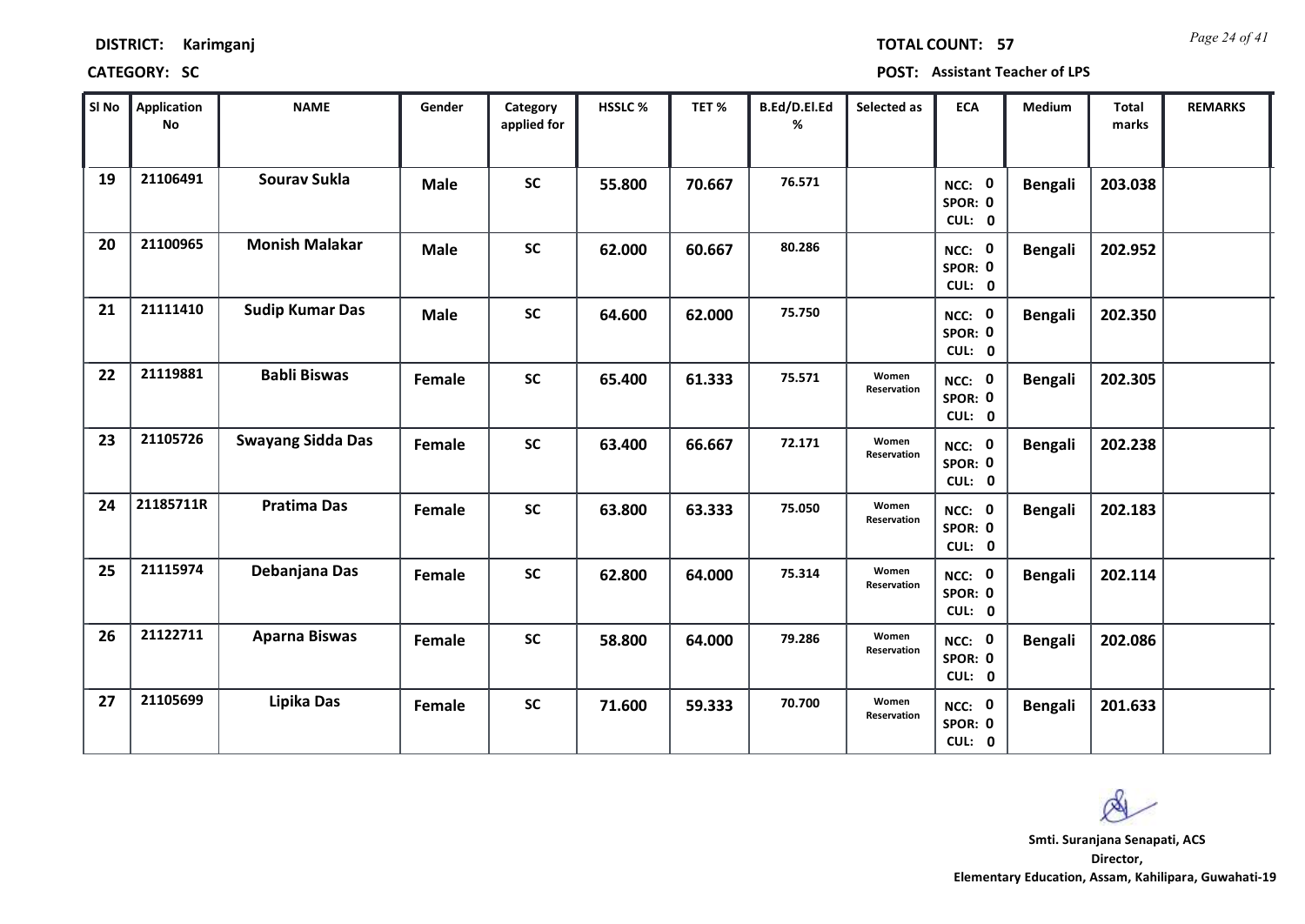| <b>DISTRICT:</b> | Karimganj |
|------------------|-----------|
|------------------|-----------|

*Page 24 of 41* **TOTAL COUNT: 57**

| SI No | <b>Application</b><br>No | <b>NAME</b>              | Gender      | Category<br>applied for | <b>HSSLC %</b> | TET%   | B.Ed/D.El.Ed<br>% | Selected as          | <b>ECA</b>                  | <b>Medium</b>  | Total<br>marks | <b>REMARKS</b> |
|-------|--------------------------|--------------------------|-------------|-------------------------|----------------|--------|-------------------|----------------------|-----------------------------|----------------|----------------|----------------|
| 19    | 21106491                 | <b>Sourav Sukla</b>      | <b>Male</b> | <b>SC</b>               | 55.800         | 70.667 | 76.571            |                      | NCC: 0<br>SPOR: 0<br>CUL: 0 | <b>Bengali</b> | 203.038        |                |
| 20    | 21100965                 | <b>Monish Malakar</b>    | <b>Male</b> | <b>SC</b>               | 62.000         | 60.667 | 80.286            |                      | NCC: 0<br>SPOR: 0<br>CUL: 0 | <b>Bengali</b> | 202.952        |                |
| 21    | 21111410                 | <b>Sudip Kumar Das</b>   | <b>Male</b> | <b>SC</b>               | 64.600         | 62.000 | 75.750            |                      | NCC: 0<br>SPOR: 0<br>CUL: 0 | <b>Bengali</b> | 202.350        |                |
| 22    | 21119881                 | <b>Babli Biswas</b>      | Female      | <b>SC</b>               | 65.400         | 61.333 | 75.571            | Women<br>Reservation | NCC: 0<br>SPOR: 0<br>CUL: 0 | <b>Bengali</b> | 202.305        |                |
| 23    | 21105726                 | <b>Swayang Sidda Das</b> | Female      | <b>SC</b>               | 63.400         | 66.667 | 72.171            | Women<br>Reservation | NCC: 0<br>SPOR: 0<br>CUL: 0 | <b>Bengali</b> | 202.238        |                |
| 24    | 21185711R                | <b>Pratima Das</b>       | Female      | <b>SC</b>               | 63.800         | 63.333 | 75.050            | Women<br>Reservation | NCC: 0<br>SPOR: 0<br>CUL: 0 | <b>Bengali</b> | 202.183        |                |
| 25    | 21115974                 | Debanjana Das            | Female      | <b>SC</b>               | 62.800         | 64.000 | 75.314            | Women<br>Reservation | NCC: 0<br>SPOR: 0<br>CUL: 0 | <b>Bengali</b> | 202.114        |                |
| 26    | 21122711                 | <b>Aparna Biswas</b>     | Female      | <b>SC</b>               | 58.800         | 64.000 | 79.286            | Women<br>Reservation | NCC: 0<br>SPOR: 0<br>CUL: 0 | <b>Bengali</b> | 202.086        |                |
| 27    | 21105699                 | Lipika Das               | Female      | <b>SC</b>               | 71.600         | 59.333 | 70.700            | Women<br>Reservation | NCC: 0<br>SPOR: 0<br>CUL: 0 | <b>Bengali</b> | 201.633        |                |

 $\infty$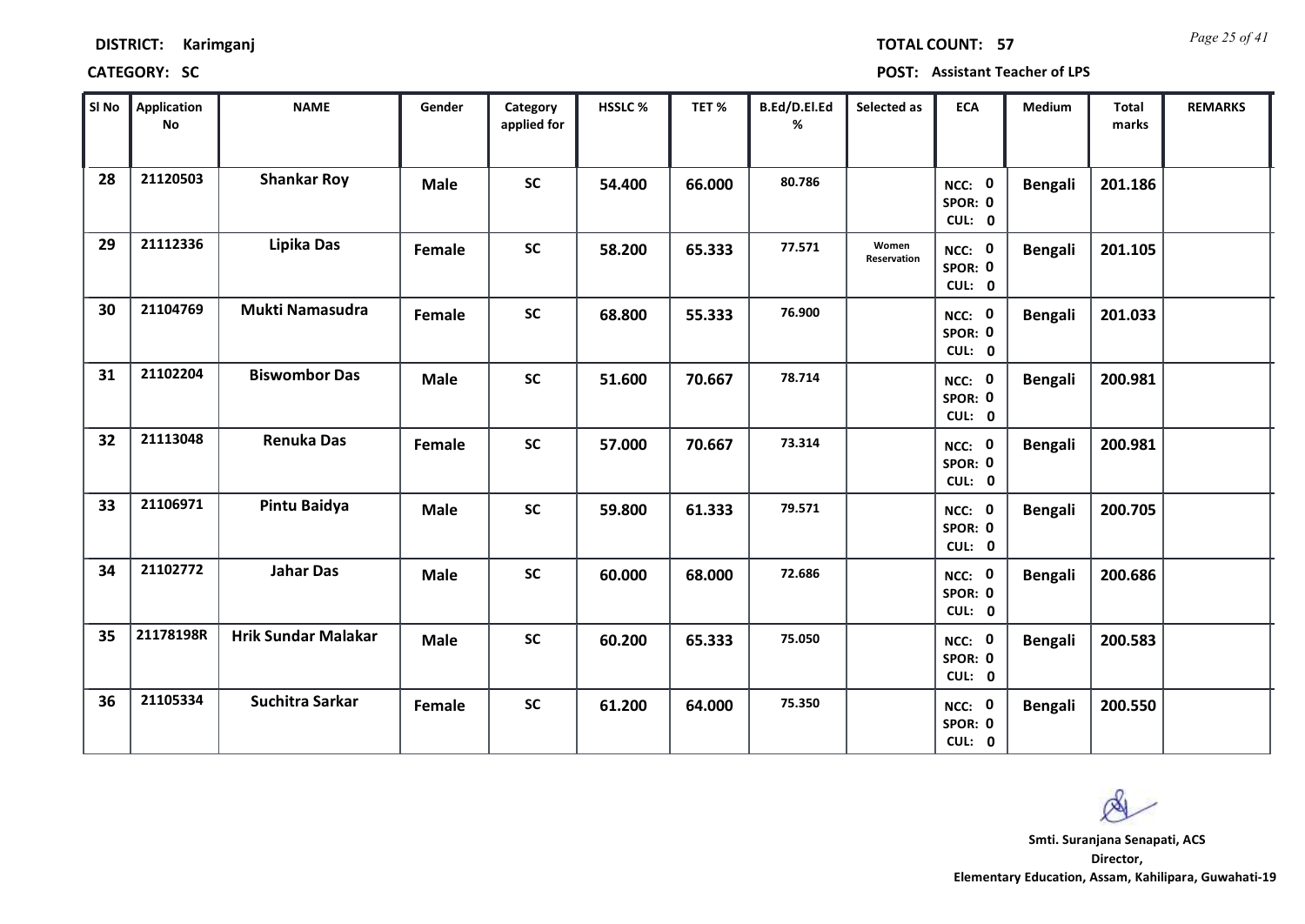| <b>DISTRICT:</b> | Karimganj |
|------------------|-----------|
|------------------|-----------|

*Page 25 of 41* **TOTAL COUNT: 57**

| SI No | <b>Application</b><br>No | <b>NAME</b>                | Gender      | Category<br>applied for | <b>HSSLC %</b> | TET%   | B.Ed/D.El.Ed<br>% | Selected as          | <b>ECA</b>                  | <b>Medium</b>  | <b>Total</b><br>marks | <b>REMARKS</b> |
|-------|--------------------------|----------------------------|-------------|-------------------------|----------------|--------|-------------------|----------------------|-----------------------------|----------------|-----------------------|----------------|
| 28    | 21120503                 | <b>Shankar Roy</b>         | <b>Male</b> | <b>SC</b>               | 54.400         | 66.000 | 80.786            |                      | NCC: 0<br>SPOR: 0<br>CUL: 0 | <b>Bengali</b> | 201.186               |                |
| 29    | 21112336                 | Lipika Das                 | Female      | <b>SC</b>               | 58.200         | 65.333 | 77.571            | Women<br>Reservation | NCC: 0<br>SPOR: 0<br>CUL: 0 | <b>Bengali</b> | 201.105               |                |
| 30    | 21104769                 | <b>Mukti Namasudra</b>     | Female      | <b>SC</b>               | 68.800         | 55.333 | 76.900            |                      | NCC: 0<br>SPOR: 0<br>CUL: 0 | <b>Bengali</b> | 201.033               |                |
| 31    | 21102204                 | <b>Biswombor Das</b>       | <b>Male</b> | <b>SC</b>               | 51.600         | 70.667 | 78.714            |                      | NCC: 0<br>SPOR: 0<br>CUL: 0 | <b>Bengali</b> | 200.981               |                |
| 32    | 21113048                 | <b>Renuka Das</b>          | Female      | <b>SC</b>               | 57.000         | 70.667 | 73.314            |                      | NCC: 0<br>SPOR: 0<br>CUL: 0 | <b>Bengali</b> | 200.981               |                |
| 33    | 21106971                 | Pintu Baidya               | <b>Male</b> | <b>SC</b>               | 59.800         | 61.333 | 79.571            |                      | NCC: 0<br>SPOR: 0<br>CUL: 0 | <b>Bengali</b> | 200.705               |                |
| 34    | 21102772                 | <b>Jahar Das</b>           | <b>Male</b> | <b>SC</b>               | 60.000         | 68.000 | 72.686            |                      | NCC: 0<br>SPOR: 0<br>CUL: 0 | <b>Bengali</b> | 200.686               |                |
| 35    | 21178198R                | <b>Hrik Sundar Malakar</b> | <b>Male</b> | <b>SC</b>               | 60.200         | 65.333 | 75.050            |                      | NCC: 0<br>SPOR: 0<br>CUL: 0 | <b>Bengali</b> | 200.583               |                |
| 36    | 21105334                 | <b>Suchitra Sarkar</b>     | Female      | <b>SC</b>               | 61.200         | 64.000 | 75.350            |                      | NCC: 0<br>SPOR: 0<br>CUL: 0 | <b>Bengali</b> | 200.550               |                |

 $\infty$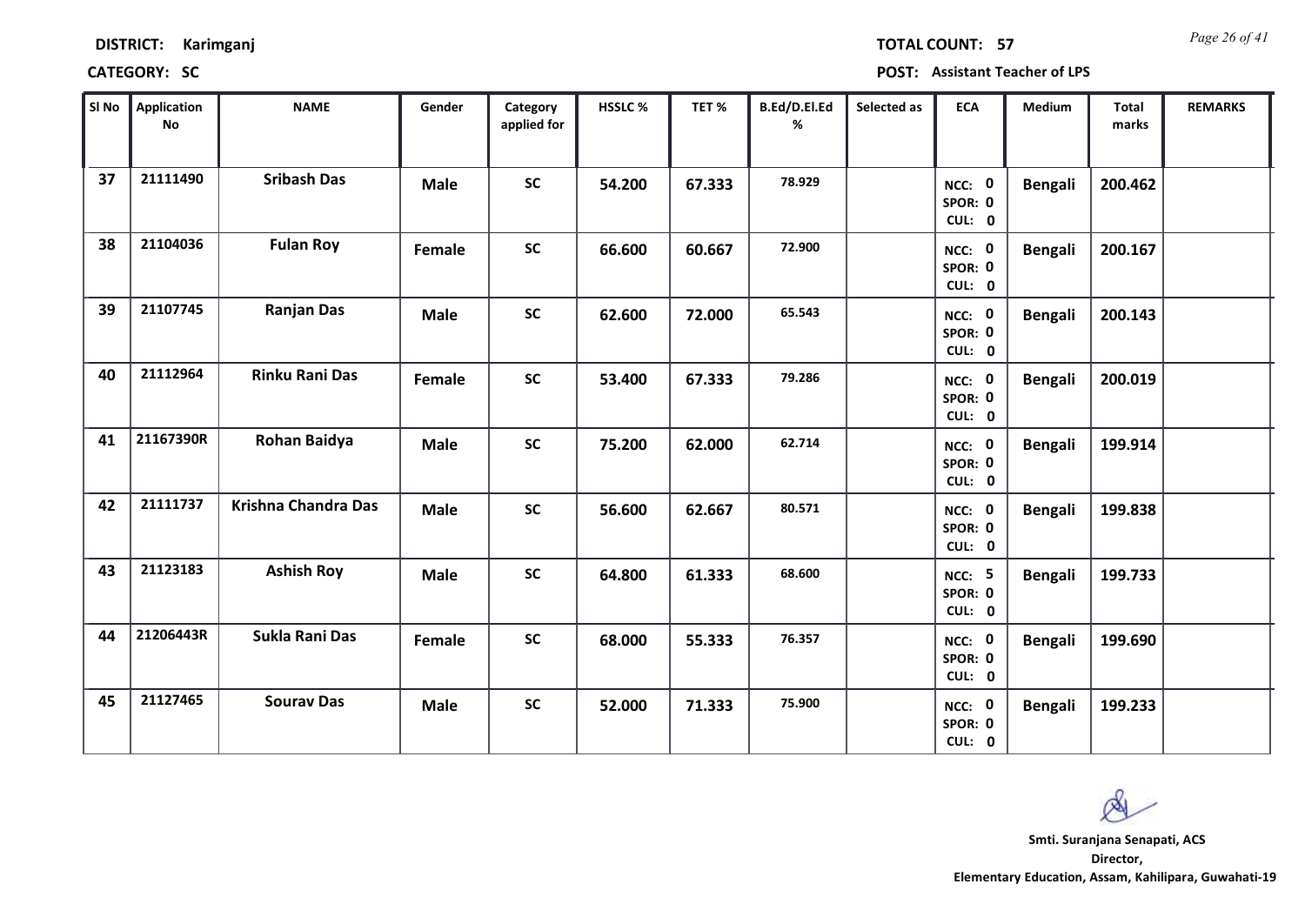| <b>DISTRICT:</b> | Karimganj |
|------------------|-----------|
|------------------|-----------|

*Page 26 of 41* **TOTAL COUNT: 57**

| SI No | Application<br>No | <b>NAME</b>                | Gender      | Category<br>applied for | HSSLC % | TET%   | B.Ed/D.El.Ed<br>% | Selected as | <b>ECA</b>                         | <b>Medium</b>  | Total<br>marks | <b>REMARKS</b> |
|-------|-------------------|----------------------------|-------------|-------------------------|---------|--------|-------------------|-------------|------------------------------------|----------------|----------------|----------------|
| 37    | 21111490          | <b>Sribash Das</b>         | <b>Male</b> | <b>SC</b>               | 54.200  | 67.333 | 78.929            |             | NCC: 0<br>SPOR: 0<br>CUL: 0        | <b>Bengali</b> | 200.462        |                |
| 38    | 21104036          | <b>Fulan Roy</b>           | Female      | <b>SC</b>               | 66.600  | 60.667 | 72.900            |             | NCC: 0<br>SPOR: 0<br>CUL: 0        | <b>Bengali</b> | 200.167        |                |
| 39    | 21107745          | <b>Ranjan Das</b>          | <b>Male</b> | <b>SC</b>               | 62.600  | 72.000 | 65.543            |             | NCC: 0<br>SPOR: 0<br>CUL: 0        | <b>Bengali</b> | 200.143        |                |
| 40    | 21112964          | <b>Rinku Rani Das</b>      | Female      | <b>SC</b>               | 53.400  | 67.333 | 79.286            |             | NCC: 0<br>SPOR: 0<br>CUL: 0        | <b>Bengali</b> | 200.019        |                |
| 41    | 21167390R         | Rohan Baidya               | <b>Male</b> | <b>SC</b>               | 75.200  | 62.000 | 62.714            |             | NCC: 0<br>SPOR: 0<br>CUL: 0        | <b>Bengali</b> | 199.914        |                |
| 42    | 21111737          | <b>Krishna Chandra Das</b> | <b>Male</b> | <b>SC</b>               | 56.600  | 62.667 | 80.571            |             | NCC: 0<br>SPOR: 0<br>CUL: 0        | <b>Bengali</b> | 199.838        |                |
| 43    | 21123183          | <b>Ashish Roy</b>          | <b>Male</b> | <b>SC</b>               | 64.800  | 61.333 | 68.600            |             | <b>NCC: 5</b><br>SPOR: 0<br>CUL: 0 | <b>Bengali</b> | 199.733        |                |
| 44    | 21206443R         | Sukla Rani Das             | Female      | <b>SC</b>               | 68.000  | 55.333 | 76.357            |             | NCC: 0<br>SPOR: 0<br>CUL: 0        | <b>Bengali</b> | 199.690        |                |
| 45    | 21127465          | <b>Sourav Das</b>          | <b>Male</b> | <b>SC</b>               | 52.000  | 71.333 | 75.900            |             | NCC: 0<br>SPOR: 0<br>CUL: 0        | <b>Bengali</b> | 199.233        |                |

 $\infty$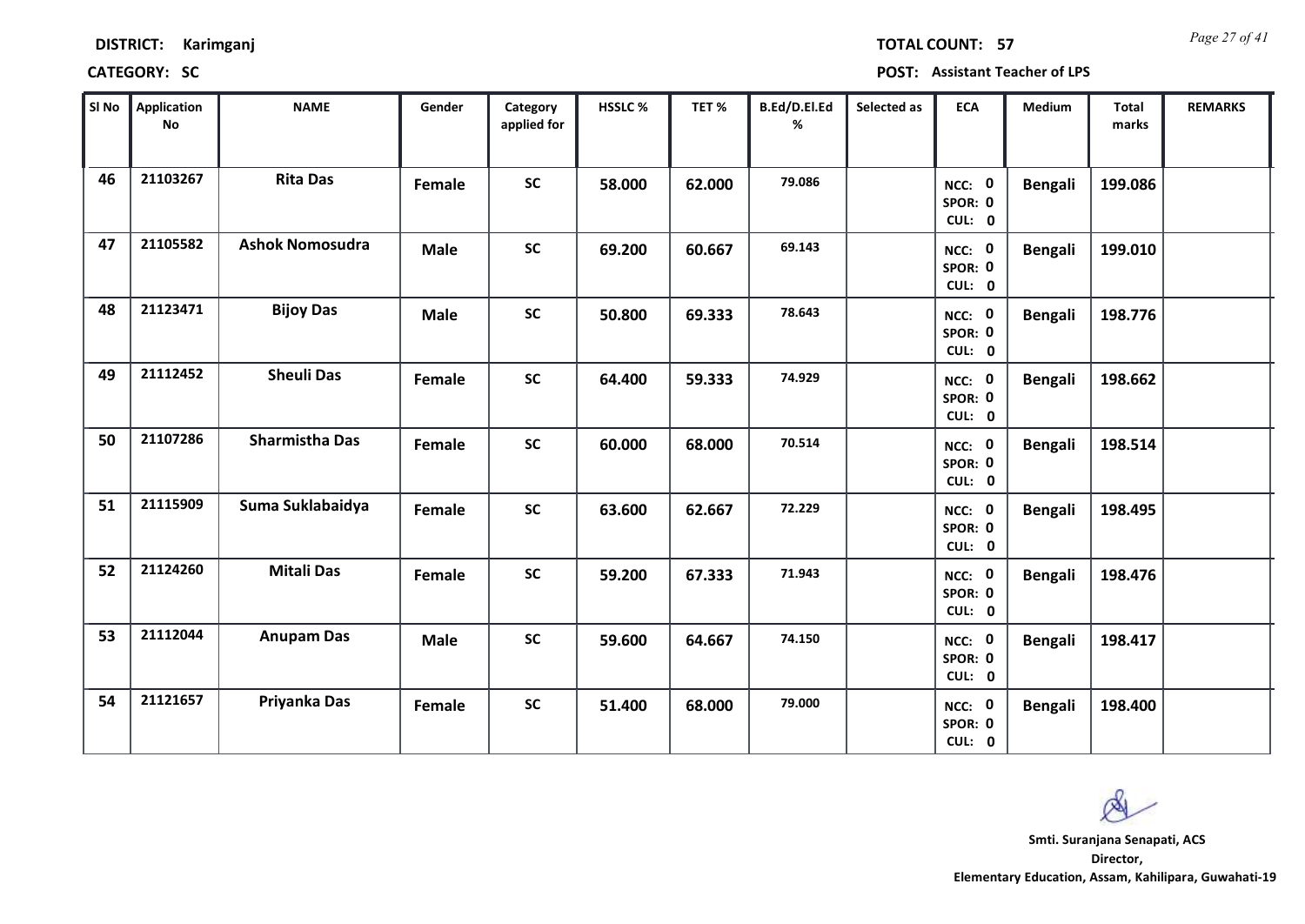| <b>DISTRICT:</b> | Karimganj |
|------------------|-----------|
|------------------|-----------|

*Page 27 of 41* **TOTAL COUNT: 57**

| SI No | <b>Application</b><br>No | <b>NAME</b>            | Gender      | Category<br>applied for | HSSLC% | TET%   | B.Ed/D.El.Ed<br>% | Selected as | <b>ECA</b>                  | Medium         | Total<br>marks | <b>REMARKS</b> |
|-------|--------------------------|------------------------|-------------|-------------------------|--------|--------|-------------------|-------------|-----------------------------|----------------|----------------|----------------|
| 46    | 21103267                 | <b>Rita Das</b>        | Female      | <b>SC</b>               | 58.000 | 62.000 | 79.086            |             | NCC: 0<br>SPOR: 0<br>CUL: 0 | <b>Bengali</b> | 199.086        |                |
| 47    | 21105582                 | <b>Ashok Nomosudra</b> | <b>Male</b> | <b>SC</b>               | 69.200 | 60.667 | 69.143            |             | NCC: 0<br>SPOR: 0<br>CUL: 0 | <b>Bengali</b> | 199.010        |                |
| 48    | 21123471                 | <b>Bijoy Das</b>       | <b>Male</b> | <b>SC</b>               | 50.800 | 69.333 | 78.643            |             | NCC: 0<br>SPOR: 0<br>CUL: 0 | <b>Bengali</b> | 198.776        |                |
| 49    | 21112452                 | <b>Sheuli Das</b>      | Female      | <b>SC</b>               | 64.400 | 59.333 | 74.929            |             | NCC: 0<br>SPOR: 0<br>CUL: 0 | <b>Bengali</b> | 198.662        |                |
| 50    | 21107286                 | <b>Sharmistha Das</b>  | Female      | <b>SC</b>               | 60.000 | 68.000 | 70.514            |             | NCC: 0<br>SPOR: 0<br>CUL: 0 | <b>Bengali</b> | 198.514        |                |
| 51    | 21115909                 | Suma Suklabaidya       | Female      | SC                      | 63.600 | 62.667 | 72.229            |             | NCC: 0<br>SPOR: 0<br>CUL: 0 | <b>Bengali</b> | 198.495        |                |
| 52    | 21124260                 | <b>Mitali Das</b>      | Female      | <b>SC</b>               | 59.200 | 67.333 | 71.943            |             | NCC: 0<br>SPOR: 0<br>CUL: 0 | <b>Bengali</b> | 198.476        |                |
| 53    | 21112044                 | <b>Anupam Das</b>      | <b>Male</b> | <b>SC</b>               | 59.600 | 64.667 | 74.150            |             | NCC: 0<br>SPOR: 0<br>CUL: 0 | <b>Bengali</b> | 198.417        |                |
| 54    | 21121657                 | Priyanka Das           | Female      | <b>SC</b>               | 51.400 | 68.000 | 79.000            |             | NCC: 0<br>SPOR: 0<br>CUL: 0 | <b>Bengali</b> | 198.400        |                |

 $\infty$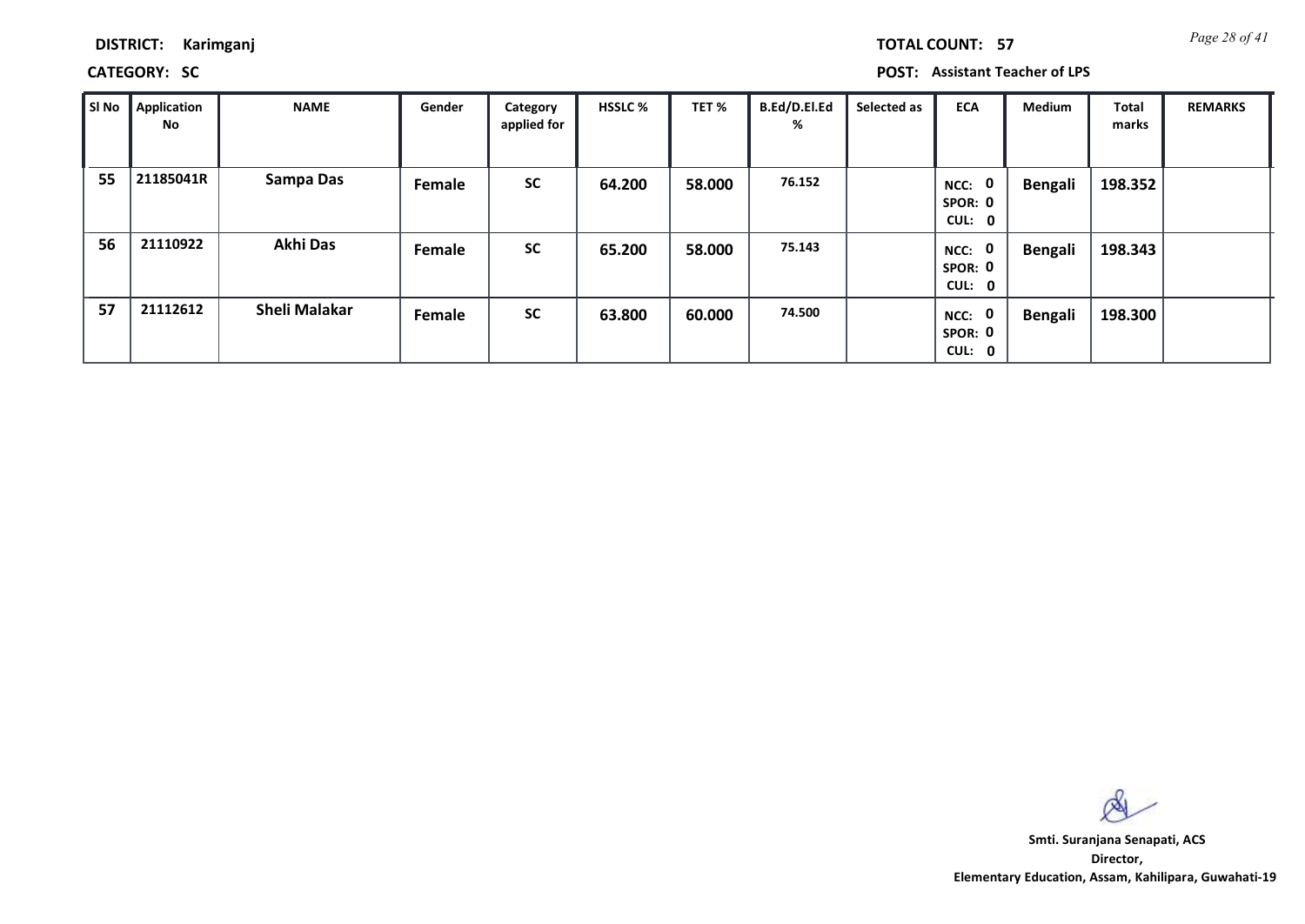**CATEGORY: SC POST: Assistant Teacher of LPS**

| SI No | <b>Application</b><br>No | <b>NAME</b>          | Gender | Category<br>applied for | <b>HSSLC %</b> | TET %  | B.Ed/D.El.Ed<br>% | Selected as | <b>ECA</b>                     | <b>Medium</b>  | Total<br>marks | <b>REMARKS</b> |
|-------|--------------------------|----------------------|--------|-------------------------|----------------|--------|-------------------|-------------|--------------------------------|----------------|----------------|----------------|
| 55    | 21185041R                | Sampa Das            | Female | <b>SC</b>               | 64.200         | 58.000 | 76.152            |             | 0<br>NCC:<br>SPOR: 0<br>CUL: 0 | <b>Bengali</b> | 198.352        |                |
| 56    | 21110922                 | <b>Akhi Das</b>      | Female | <b>SC</b>               | 65.200         | 58.000 | 75.143            |             | 0<br>NCC:<br>SPOR: 0<br>CUL: 0 | <b>Bengali</b> | 198.343        |                |
| 57    | 21112612                 | <b>Sheli Malakar</b> | Female | <b>SC</b>               | 63.800         | 60.000 | 74.500            |             | 0<br>NCC:<br>SPOR: 0<br>CUL: 0 | <b>Bengali</b> | 198.300        |                |

 $\infty$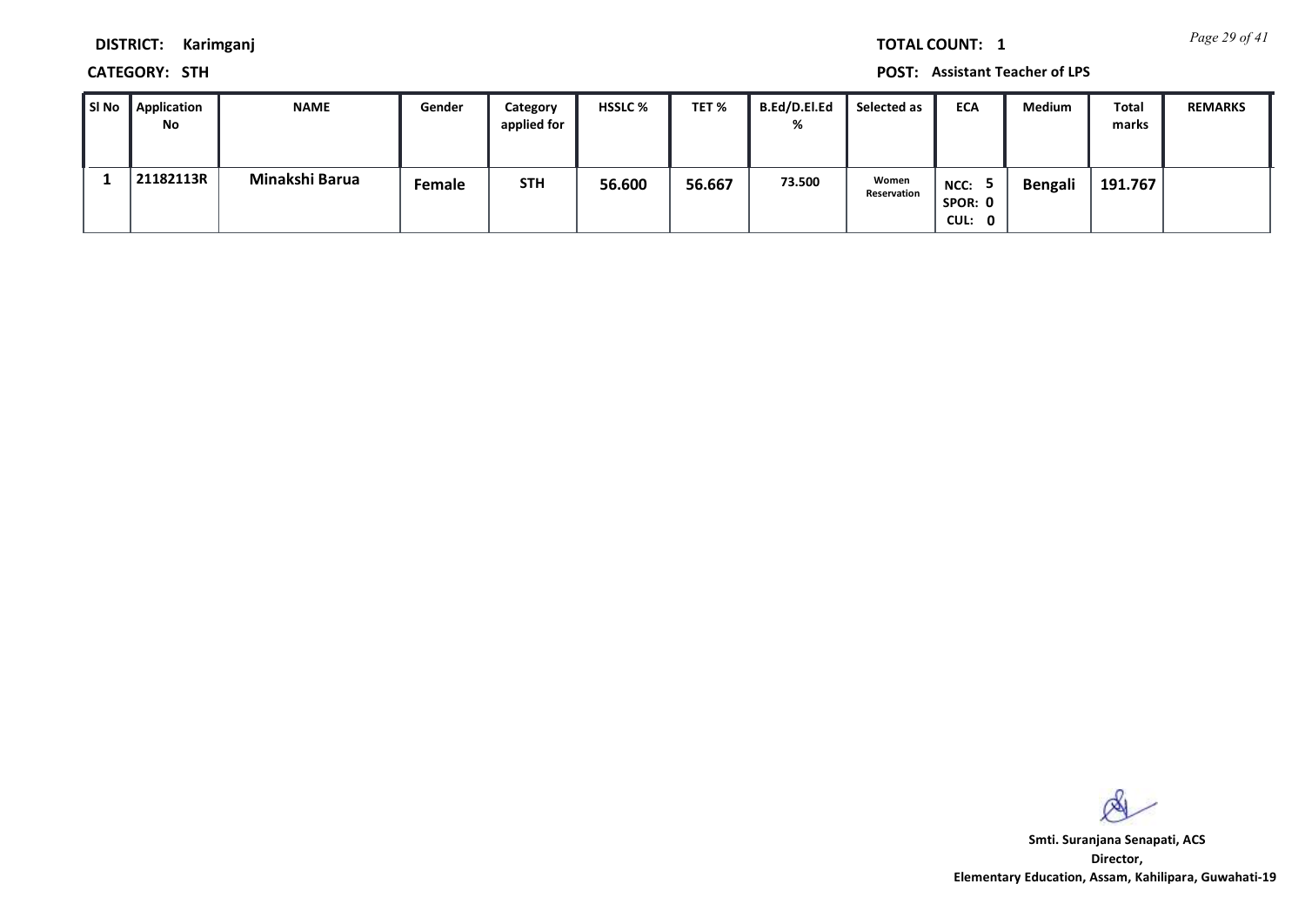*Page 29 of 41* **TOTAL COUNT: 1**

**DISTRICT: Karimganj**

**CATEGORY: STH POST: Assistant Teacher of LPS**

| ∥ SI No | <b>Application</b><br>No | <b>NAME</b>    | Gender        | Category<br>applied for | <b>HSSLC %</b> | TET %  | <b>B.Ed/D.El.Ed</b><br>% | Selected as          | <b>ECA</b>                | Medium         | Total<br>marks | <b>REMARKS</b> |
|---------|--------------------------|----------------|---------------|-------------------------|----------------|--------|--------------------------|----------------------|---------------------------|----------------|----------------|----------------|
|         | 21182113R                | Minakshi Barua | <b>Female</b> | <b>STH</b>              | 56.600         | 56.667 | 73.500                   | Women<br>Reservation | NCC:<br>SPOR: 0<br>CUL: 0 | <b>Bengali</b> | 191.767        |                |

 $\infty$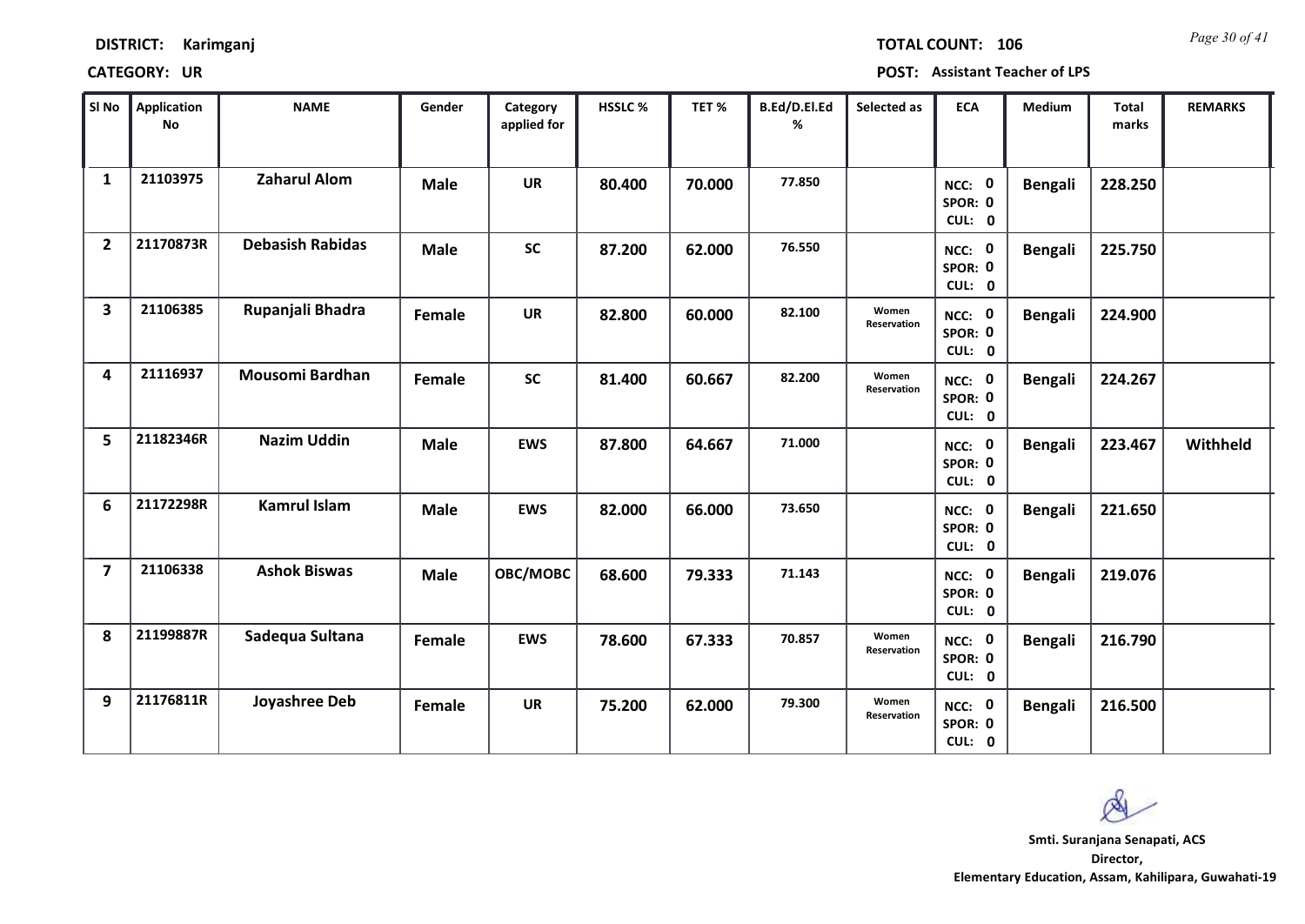|  | <b>DISTRICT:</b> | Karimganj |
|--|------------------|-----------|
|--|------------------|-----------|

*Page 30 of 41* **TOTAL COUNT: 106**

| SI No                   | <b>Application</b><br>No | <b>NAME</b>             | Gender      | Category<br>applied for | HSSLC % | TET%   | B.Ed/D.El.Ed<br>% | Selected as          | <b>ECA</b>                  | <b>Medium</b>  | <b>Total</b><br>marks | <b>REMARKS</b> |
|-------------------------|--------------------------|-------------------------|-------------|-------------------------|---------|--------|-------------------|----------------------|-----------------------------|----------------|-----------------------|----------------|
| $\mathbf{1}$            | 21103975                 | <b>Zaharul Alom</b>     | <b>Male</b> | <b>UR</b>               | 80.400  | 70.000 | 77.850            |                      | NCC: 0<br>SPOR: 0<br>CUL: 0 | <b>Bengali</b> | 228.250               |                |
| $\overline{2}$          | 21170873R                | <b>Debasish Rabidas</b> | <b>Male</b> | <b>SC</b>               | 87.200  | 62.000 | 76.550            |                      | NCC: 0<br>SPOR: 0<br>CUL: 0 | <b>Bengali</b> | 225.750               |                |
| $\overline{\mathbf{3}}$ | 21106385                 | Rupanjali Bhadra        | Female      | <b>UR</b>               | 82.800  | 60.000 | 82.100            | Women<br>Reservation | NCC: 0<br>SPOR: 0<br>CUL: 0 | <b>Bengali</b> | 224.900               |                |
| 4                       | 21116937                 | <b>Mousomi Bardhan</b>  | Female      | <b>SC</b>               | 81.400  | 60.667 | 82.200            | Women<br>Reservation | NCC: 0<br>SPOR: 0<br>CUL: 0 | <b>Bengali</b> | 224.267               |                |
| 5                       | 21182346R                | <b>Nazim Uddin</b>      | <b>Male</b> | <b>EWS</b>              | 87.800  | 64.667 | 71.000            |                      | NCC: 0<br>SPOR: 0<br>CUL: 0 | <b>Bengali</b> | 223.467               | Withheld       |
| 6                       | 21172298R                | <b>Kamrul Islam</b>     | <b>Male</b> | <b>EWS</b>              | 82.000  | 66.000 | 73.650            |                      | NCC: 0<br>SPOR: 0<br>CUL: 0 | <b>Bengali</b> | 221.650               |                |
| $\overline{\mathbf{z}}$ | 21106338                 | <b>Ashok Biswas</b>     | <b>Male</b> | OBC/MOBC                | 68.600  | 79.333 | 71.143            |                      | NCC: 0<br>SPOR: 0<br>CUL: 0 | <b>Bengali</b> | 219.076               |                |
| 8                       | 21199887R                | Sadequa Sultana         | Female      | <b>EWS</b>              | 78.600  | 67.333 | 70.857            | Women<br>Reservation | NCC: 0<br>SPOR: 0<br>CUL: 0 | <b>Bengali</b> | 216.790               |                |
| 9                       | 21176811R                | Joyashree Deb           | Female      | <b>UR</b>               | 75.200  | 62.000 | 79.300            | Women<br>Reservation | NCC: 0<br>SPOR: 0<br>CUL: 0 | <b>Bengali</b> | 216.500               |                |

 $\infty$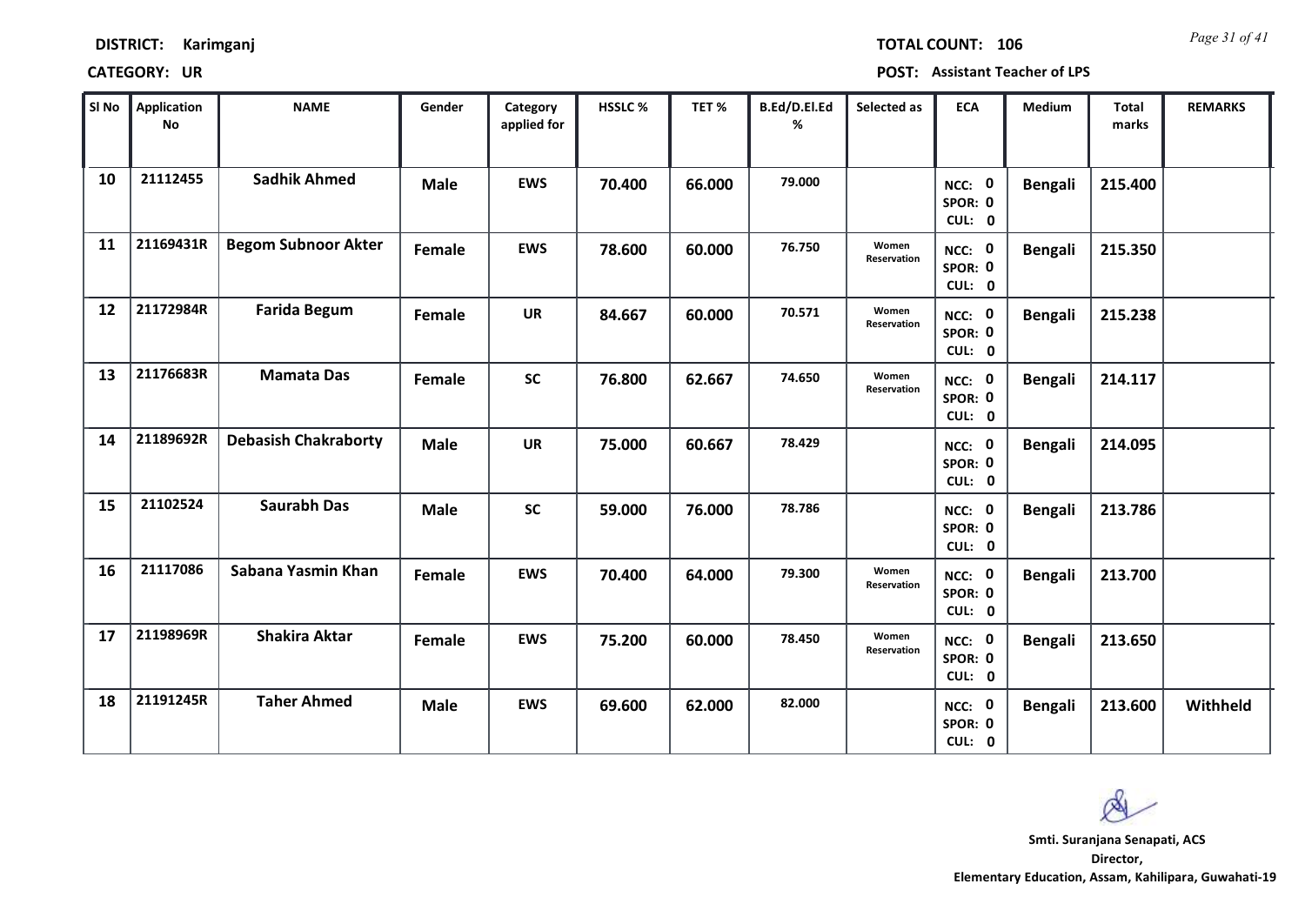| <b>DISTRICT:</b> | Karimganj |
|------------------|-----------|
|------------------|-----------|

*Page 31 of 41* **TOTAL COUNT: 106**

| SI No | <b>Application</b><br>No | <b>NAME</b>                 | Gender      | Category<br>applied for | HSSLC % | TET%   | B.Ed/D.El.Ed<br>% | Selected as          | <b>ECA</b>                  | Medium         | Total<br>marks | <b>REMARKS</b> |
|-------|--------------------------|-----------------------------|-------------|-------------------------|---------|--------|-------------------|----------------------|-----------------------------|----------------|----------------|----------------|
| 10    | 21112455                 | <b>Sadhik Ahmed</b>         | <b>Male</b> | <b>EWS</b>              | 70.400  | 66.000 | 79.000            |                      | NCC: 0<br>SPOR: 0<br>CUL: 0 | <b>Bengali</b> | 215.400        |                |
| 11    | 21169431R                | <b>Begom Subnoor Akter</b>  | Female      | <b>EWS</b>              | 78.600  | 60.000 | 76.750            | Women<br>Reservation | NCC: 0<br>SPOR: 0<br>CUL: 0 | <b>Bengali</b> | 215.350        |                |
| 12    | 21172984R                | <b>Farida Begum</b>         | Female      | <b>UR</b>               | 84.667  | 60.000 | 70.571            | Women<br>Reservation | NCC: 0<br>SPOR: 0<br>CUL: 0 | <b>Bengali</b> | 215.238        |                |
| 13    | 21176683R                | <b>Mamata Das</b>           | Female      | <b>SC</b>               | 76.800  | 62.667 | 74.650            | Women<br>Reservation | NCC: 0<br>SPOR: 0<br>CUL: 0 | <b>Bengali</b> | 214.117        |                |
| 14    | 21189692R                | <b>Debasish Chakraborty</b> | <b>Male</b> | <b>UR</b>               | 75.000  | 60.667 | 78.429            |                      | NCC: 0<br>SPOR: 0<br>CUL: 0 | <b>Bengali</b> | 214.095        |                |
| 15    | 21102524                 | <b>Saurabh Das</b>          | <b>Male</b> | <b>SC</b>               | 59.000  | 76.000 | 78.786            |                      | NCC: 0<br>SPOR: 0<br>CUL: 0 | <b>Bengali</b> | 213.786        |                |
| 16    | 21117086                 | Sabana Yasmin Khan          | Female      | <b>EWS</b>              | 70.400  | 64.000 | 79.300            | Women<br>Reservation | NCC: 0<br>SPOR: 0<br>CUL: 0 | <b>Bengali</b> | 213.700        |                |
| 17    | 21198969R                | <b>Shakira Aktar</b>        | Female      | <b>EWS</b>              | 75.200  | 60.000 | 78.450            | Women<br>Reservation | NCC: 0<br>SPOR: 0<br>CUL: 0 | <b>Bengali</b> | 213.650        |                |
| 18    | 21191245R                | <b>Taher Ahmed</b>          | <b>Male</b> | <b>EWS</b>              | 69.600  | 62.000 | 82.000            |                      | NCC: 0<br>SPOR: 0<br>CUL: 0 | <b>Bengali</b> | 213.600        | Withheld       |

 $\infty$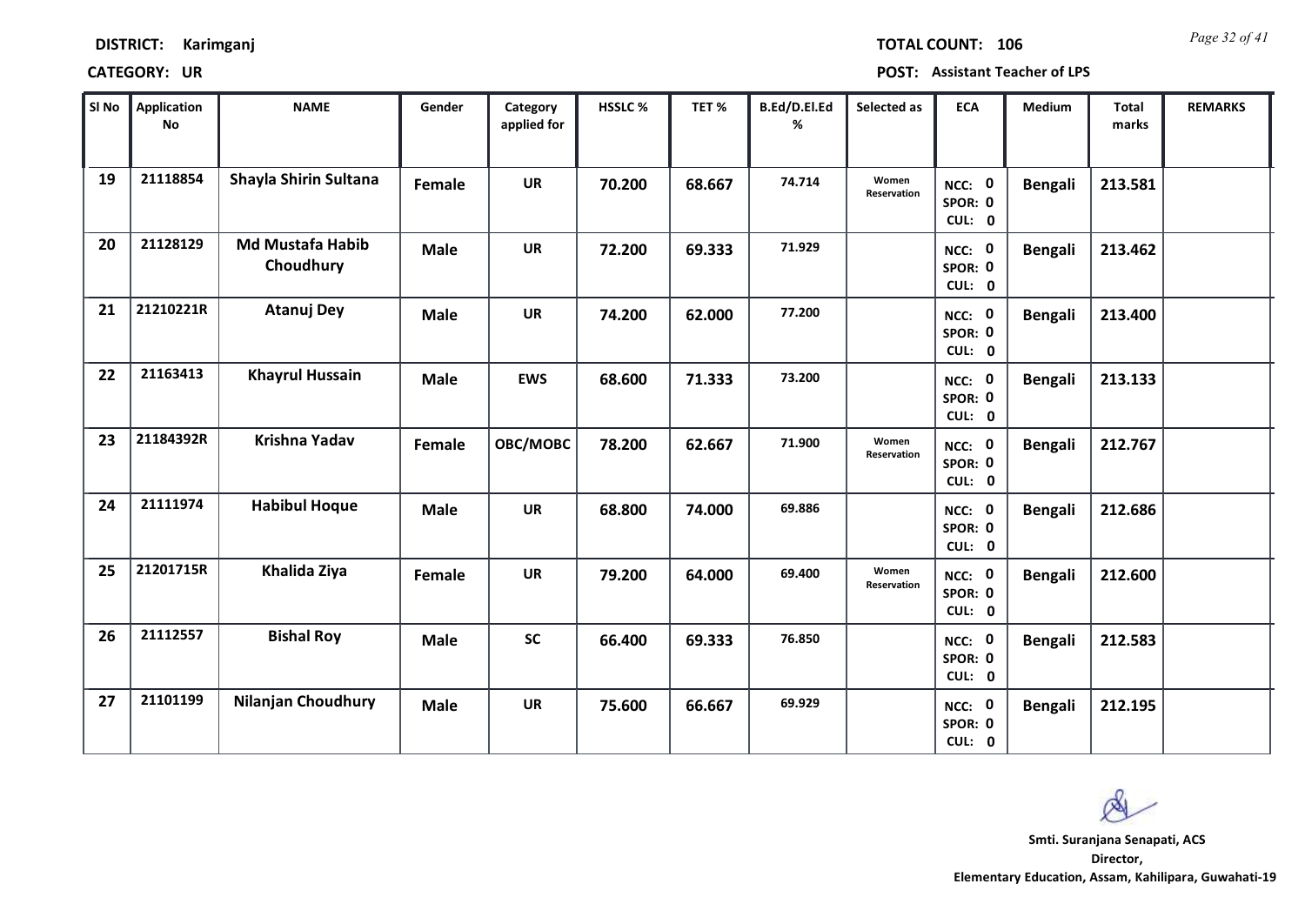*Page 32 of 41* **TOTAL COUNT: 106**

| SI No | Application<br>No | <b>NAME</b>                          | Gender      | Category<br>applied for | HSSLC % | TET%   | B.Ed/D.El.Ed<br>% | Selected as          | <b>ECA</b>                  | Medium         | Total<br>marks | <b>REMARKS</b> |
|-------|-------------------|--------------------------------------|-------------|-------------------------|---------|--------|-------------------|----------------------|-----------------------------|----------------|----------------|----------------|
| 19    | 21118854          | Shayla Shirin Sultana                | Female      | <b>UR</b>               | 70.200  | 68.667 | 74.714            | Women<br>Reservation | NCC: 0<br>SPOR: 0<br>CUL: 0 | <b>Bengali</b> | 213.581        |                |
| 20    | 21128129          | <b>Md Mustafa Habib</b><br>Choudhury | <b>Male</b> | <b>UR</b>               | 72.200  | 69.333 | 71.929            |                      | NCC: 0<br>SPOR: 0<br>CUL: 0 | <b>Bengali</b> | 213.462        |                |
| 21    | 21210221R         | <b>Atanuj Dey</b>                    | <b>Male</b> | <b>UR</b>               | 74.200  | 62.000 | 77.200            |                      | NCC: 0<br>SPOR: 0<br>CUL: 0 | <b>Bengali</b> | 213.400        |                |
| 22    | 21163413          | <b>Khayrul Hussain</b>               | <b>Male</b> | <b>EWS</b>              | 68.600  | 71.333 | 73.200            |                      | NCC: 0<br>SPOR: 0<br>CUL: 0 | <b>Bengali</b> | 213.133        |                |
| 23    | 21184392R         | Krishna Yadav                        | Female      | OBC/MOBC                | 78.200  | 62.667 | 71.900            | Women<br>Reservation | NCC: 0<br>SPOR: 0<br>CUL: 0 | <b>Bengali</b> | 212.767        |                |
| 24    | 21111974          | <b>Habibul Hoque</b>                 | <b>Male</b> | <b>UR</b>               | 68.800  | 74.000 | 69.886            |                      | NCC: 0<br>SPOR: 0<br>CUL: 0 | <b>Bengali</b> | 212.686        |                |
| 25    | 21201715R         | Khalida Ziya                         | Female      | <b>UR</b>               | 79.200  | 64.000 | 69.400            | Women<br>Reservation | NCC: 0<br>SPOR: 0<br>CUL: 0 | <b>Bengali</b> | 212.600        |                |
| 26    | 21112557          | <b>Bishal Roy</b>                    | <b>Male</b> | <b>SC</b>               | 66.400  | 69.333 | 76.850            |                      | NCC: 0<br>SPOR: 0<br>CUL: 0 | <b>Bengali</b> | 212.583        |                |
| 27    | 21101199          | <b>Nilanjan Choudhury</b>            | <b>Male</b> | <b>UR</b>               | 75.600  | 66.667 | 69.929            |                      | NCC: 0<br>SPOR: 0<br>CUL: 0 | <b>Bengali</b> | 212.195        |                |

 $\infty$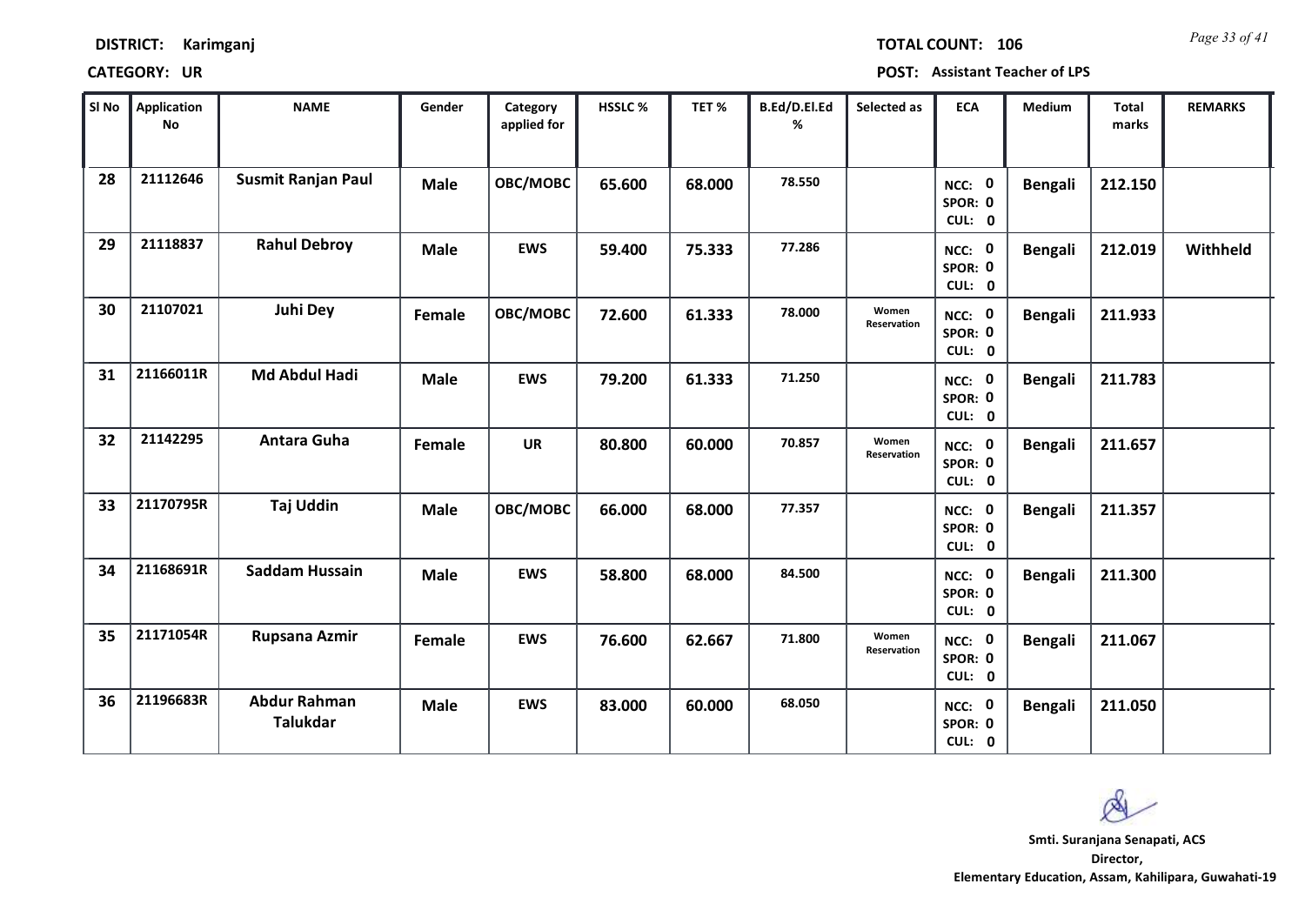| <b>DISTRICT:</b> | Karimganj |
|------------------|-----------|
|                  |           |

*Page 33 of 41* **TOTAL COUNT: 106**

| SI No | <b>Application</b><br>No | <b>NAME</b>                            | Gender      | Category<br>applied for | HSSLC % | TET%   | B.Ed/D.El.Ed<br>% | Selected as          | <b>ECA</b>                  | Medium         | Total<br>marks | <b>REMARKS</b> |
|-------|--------------------------|----------------------------------------|-------------|-------------------------|---------|--------|-------------------|----------------------|-----------------------------|----------------|----------------|----------------|
| 28    | 21112646                 | <b>Susmit Ranjan Paul</b>              | <b>Male</b> | OBC/MOBC                | 65.600  | 68.000 | 78.550            |                      | NCC: 0<br>SPOR: 0<br>CUL: 0 | <b>Bengali</b> | 212.150        |                |
| 29    | 21118837                 | <b>Rahul Debroy</b>                    | <b>Male</b> | <b>EWS</b>              | 59.400  | 75.333 | 77.286            |                      | NCC: 0<br>SPOR: 0<br>CUL: 0 | <b>Bengali</b> | 212.019        | Withheld       |
| 30    | 21107021                 | <b>Juhi Dey</b>                        | Female      | OBC/MOBC                | 72.600  | 61.333 | 78.000            | Women<br>Reservation | NCC: 0<br>SPOR: 0<br>CUL: 0 | <b>Bengali</b> | 211.933        |                |
| 31    | 21166011R                | <b>Md Abdul Hadi</b>                   | <b>Male</b> | <b>EWS</b>              | 79.200  | 61.333 | 71.250            |                      | NCC: 0<br>SPOR: 0<br>CUL: 0 | <b>Bengali</b> | 211.783        |                |
| 32    | 21142295                 | Antara Guha                            | Female      | <b>UR</b>               | 80.800  | 60.000 | 70.857            | Women<br>Reservation | NCC: 0<br>SPOR: 0<br>CUL: 0 | <b>Bengali</b> | 211.657        |                |
| 33    | 21170795R                | Taj Uddin                              | <b>Male</b> | OBC/MOBC                | 66.000  | 68.000 | 77.357            |                      | NCC: 0<br>SPOR: 0<br>CUL: 0 | <b>Bengali</b> | 211.357        |                |
| 34    | 21168691R                | <b>Saddam Hussain</b>                  | <b>Male</b> | <b>EWS</b>              | 58.800  | 68.000 | 84.500            |                      | NCC: 0<br>SPOR: 0<br>CUL: 0 | <b>Bengali</b> | 211.300        |                |
| 35    | 21171054R                | Rupsana Azmir                          | Female      | <b>EWS</b>              | 76.600  | 62.667 | 71.800            | Women<br>Reservation | NCC: 0<br>SPOR: 0<br>CUL: 0 | <b>Bengali</b> | 211.067        |                |
| 36    | 21196683R                | <b>Abdur Rahman</b><br><b>Talukdar</b> | <b>Male</b> | <b>EWS</b>              | 83.000  | 60.000 | 68.050            |                      | NCC: 0<br>SPOR: 0<br>CUL: 0 | <b>Bengali</b> | 211.050        |                |

 $\infty$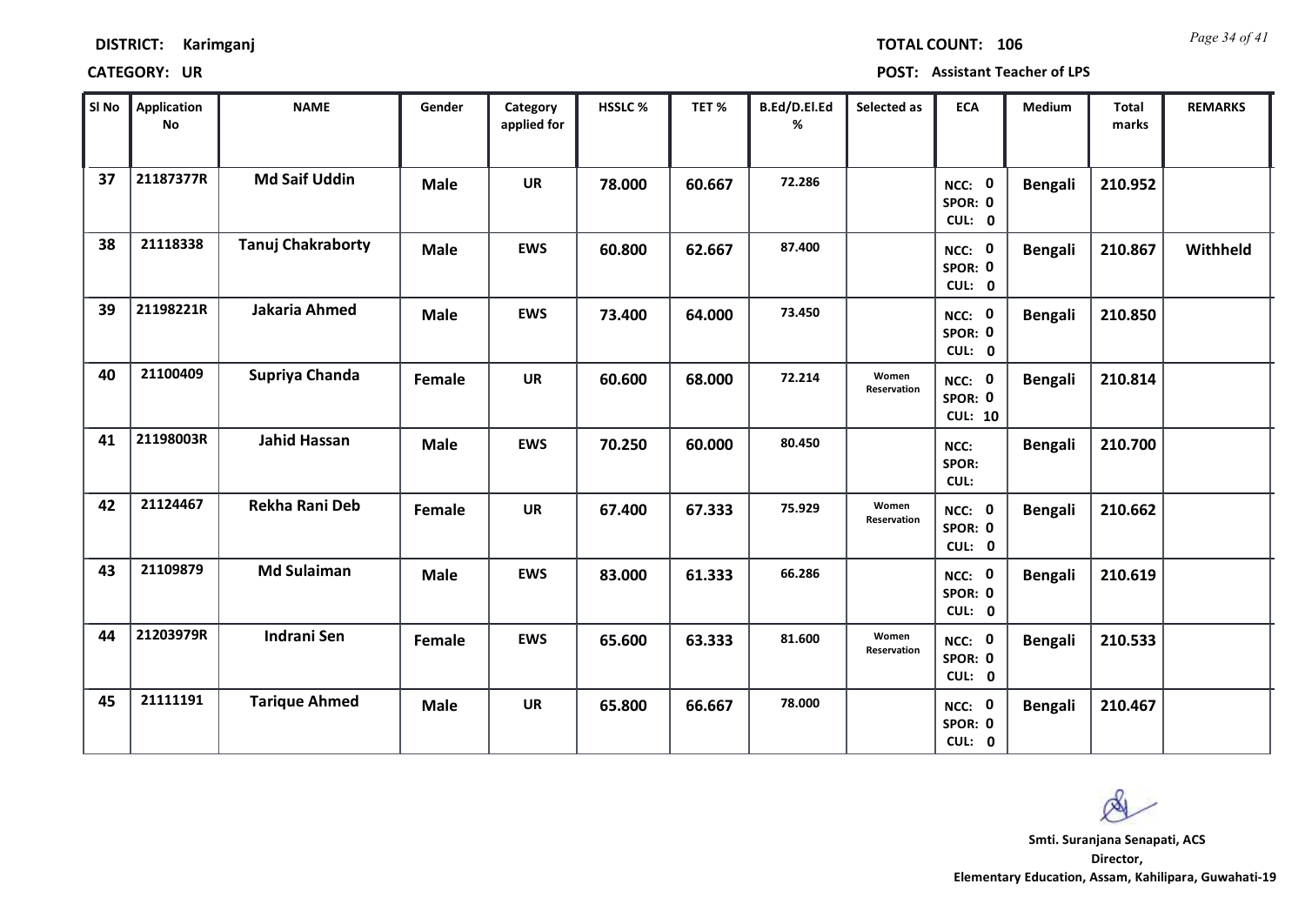| <b>DISTRICT:</b> | Karimganj |
|------------------|-----------|
|------------------|-----------|

*Page 34 of 41* **TOTAL COUNT: 106**

| SI No | <b>Application</b><br>No | <b>NAME</b>              | Gender      | Category<br>applied for | <b>HSSLC %</b> | TET%   | B.Ed/D.El.Ed<br>% | Selected as          | <b>ECA</b>                          | <b>Medium</b>  | <b>Total</b><br>marks | <b>REMARKS</b> |
|-------|--------------------------|--------------------------|-------------|-------------------------|----------------|--------|-------------------|----------------------|-------------------------------------|----------------|-----------------------|----------------|
| 37    | 21187377R                | <b>Md Saif Uddin</b>     | <b>Male</b> | <b>UR</b>               | 78.000         | 60.667 | 72.286            |                      | NCC: 0<br>SPOR: 0<br>CUL: 0         | <b>Bengali</b> | 210.952               |                |
| 38    | 21118338                 | <b>Tanuj Chakraborty</b> | <b>Male</b> | <b>EWS</b>              | 60.800         | 62.667 | 87.400            |                      | NCC: 0<br>SPOR: 0<br>CUL: 0         | <b>Bengali</b> | 210.867               | Withheld       |
| 39    | 21198221R                | Jakaria Ahmed            | <b>Male</b> | <b>EWS</b>              | 73.400         | 64.000 | 73.450            |                      | NCC: 0<br>SPOR: 0<br>CUL: 0         | <b>Bengali</b> | 210.850               |                |
| 40    | 21100409                 | Supriya Chanda           | Female      | <b>UR</b>               | 60.600         | 68.000 | 72.214            | Women<br>Reservation | NCC: 0<br>SPOR: 0<br><b>CUL: 10</b> | <b>Bengali</b> | 210.814               |                |
| 41    | 21198003R                | <b>Jahid Hassan</b>      | <b>Male</b> | <b>EWS</b>              | 70.250         | 60.000 | 80.450            |                      | NCC:<br>SPOR:<br>CUL:               | <b>Bengali</b> | 210.700               |                |
| 42    | 21124467                 | <b>Rekha Rani Deb</b>    | Female      | <b>UR</b>               | 67.400         | 67.333 | 75.929            | Women<br>Reservation | NCC: 0<br>SPOR: 0<br>CUL: 0         | <b>Bengali</b> | 210.662               |                |
| 43    | 21109879                 | <b>Md Sulaiman</b>       | <b>Male</b> | <b>EWS</b>              | 83.000         | 61.333 | 66.286            |                      | NCC: 0<br>SPOR: 0<br>CUL: 0         | <b>Bengali</b> | 210.619               |                |
| 44    | 21203979R                | <b>Indrani Sen</b>       | Female      | <b>EWS</b>              | 65.600         | 63.333 | 81.600            | Women<br>Reservation | NCC: 0<br>SPOR: 0<br>CUL: 0         | <b>Bengali</b> | 210.533               |                |
| 45    | 21111191                 | <b>Tarique Ahmed</b>     | <b>Male</b> | <b>UR</b>               | 65.800         | 66.667 | 78.000            |                      | NCC: 0<br>SPOR: 0<br>CUL: 0         | <b>Bengali</b> | 210.467               |                |

 $\infty$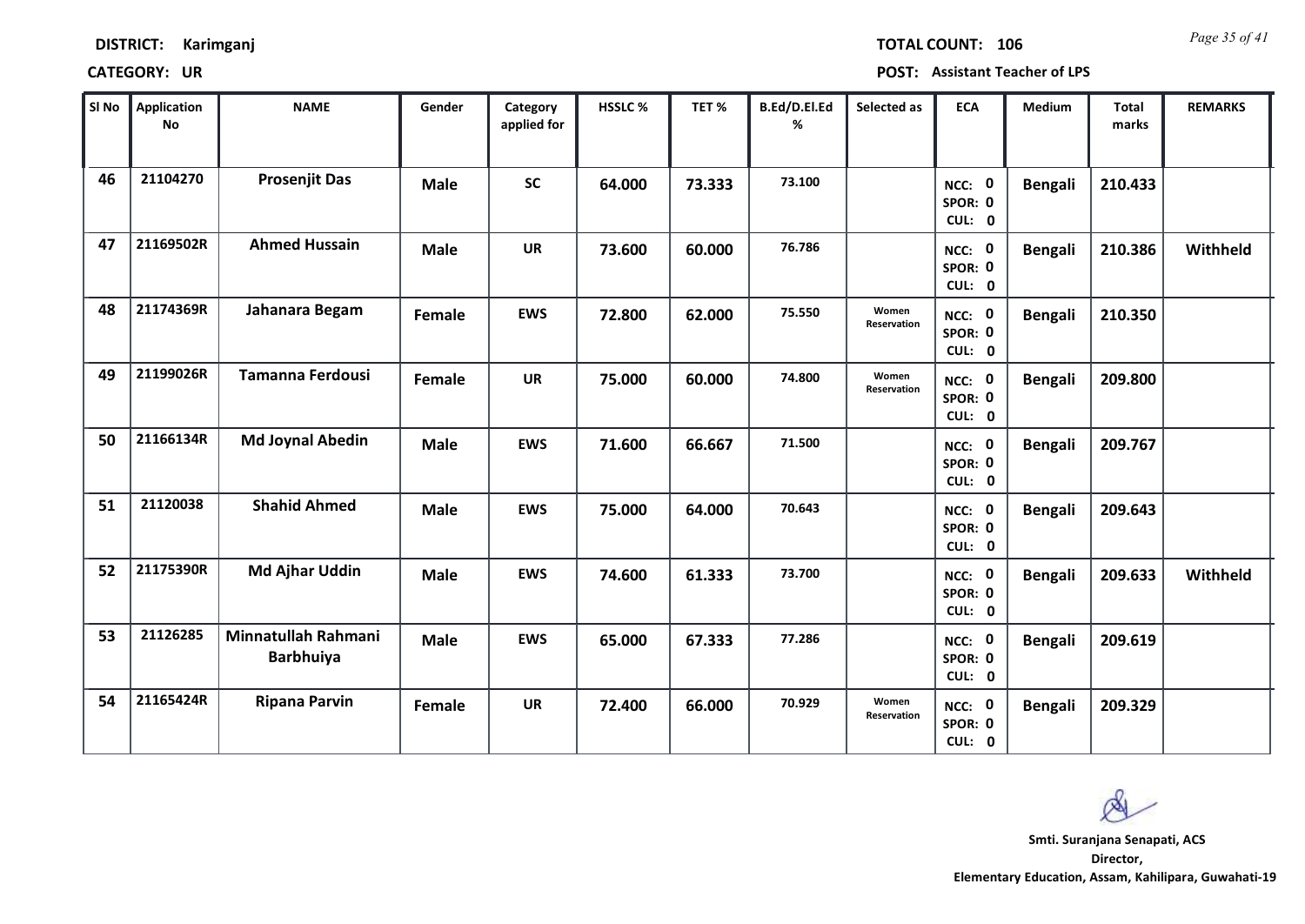*Page 35 of 41* **TOTAL COUNT: 106**

| SI No | <b>Application</b><br><b>No</b> | <b>NAME</b>                             | Gender      | Category<br>applied for | HSSLC% | TET%   | B.Ed/D.El.Ed<br>% | Selected as          | <b>ECA</b>                  | Medium         | <b>Total</b><br>marks | <b>REMARKS</b> |
|-------|---------------------------------|-----------------------------------------|-------------|-------------------------|--------|--------|-------------------|----------------------|-----------------------------|----------------|-----------------------|----------------|
| 46    | 21104270                        | <b>Prosenjit Das</b>                    | <b>Male</b> | <b>SC</b>               | 64.000 | 73.333 | 73.100            |                      | NCC: 0<br>SPOR: 0<br>CUL: 0 | <b>Bengali</b> | 210.433               |                |
| 47    | 21169502R                       | <b>Ahmed Hussain</b>                    | <b>Male</b> | <b>UR</b>               | 73.600 | 60.000 | 76.786            |                      | NCC: 0<br>SPOR: 0<br>CUL: 0 | <b>Bengali</b> | 210.386               | Withheld       |
| 48    | 21174369R                       | Jahanara Begam                          | Female      | <b>EWS</b>              | 72.800 | 62.000 | 75.550            | Women<br>Reservation | NCC: 0<br>SPOR: 0<br>CUL: 0 | <b>Bengali</b> | 210.350               |                |
| 49    | 21199026R                       | <b>Tamanna Ferdousi</b>                 | Female      | <b>UR</b>               | 75.000 | 60.000 | 74.800            | Women<br>Reservation | NCC: 0<br>SPOR: 0<br>CUL: 0 | <b>Bengali</b> | 209.800               |                |
| 50    | 21166134R                       | <b>Md Joynal Abedin</b>                 | <b>Male</b> | <b>EWS</b>              | 71.600 | 66.667 | 71.500            |                      | NCC: 0<br>SPOR: 0<br>CUL: 0 | <b>Bengali</b> | 209.767               |                |
| 51    | 21120038                        | <b>Shahid Ahmed</b>                     | <b>Male</b> | <b>EWS</b>              | 75.000 | 64.000 | 70.643            |                      | NCC: 0<br>SPOR: 0<br>CUL: 0 | <b>Bengali</b> | 209.643               |                |
| 52    | 21175390R                       | <b>Md Ajhar Uddin</b>                   | <b>Male</b> | <b>EWS</b>              | 74.600 | 61.333 | 73.700            |                      | NCC: 0<br>SPOR: 0<br>CUL: 0 | <b>Bengali</b> | 209.633               | Withheld       |
| 53    | 21126285                        | Minnatullah Rahmani<br><b>Barbhuiya</b> | <b>Male</b> | <b>EWS</b>              | 65.000 | 67.333 | 77.286            |                      | NCC: 0<br>SPOR: 0<br>CUL: 0 | <b>Bengali</b> | 209.619               |                |
| 54    | 21165424R                       | <b>Ripana Parvin</b>                    | Female      | <b>UR</b>               | 72.400 | 66.000 | 70.929            | Women<br>Reservation | NCC: 0<br>SPOR: 0<br>CUL: 0 | <b>Bengali</b> | 209.329               |                |

 $\infty$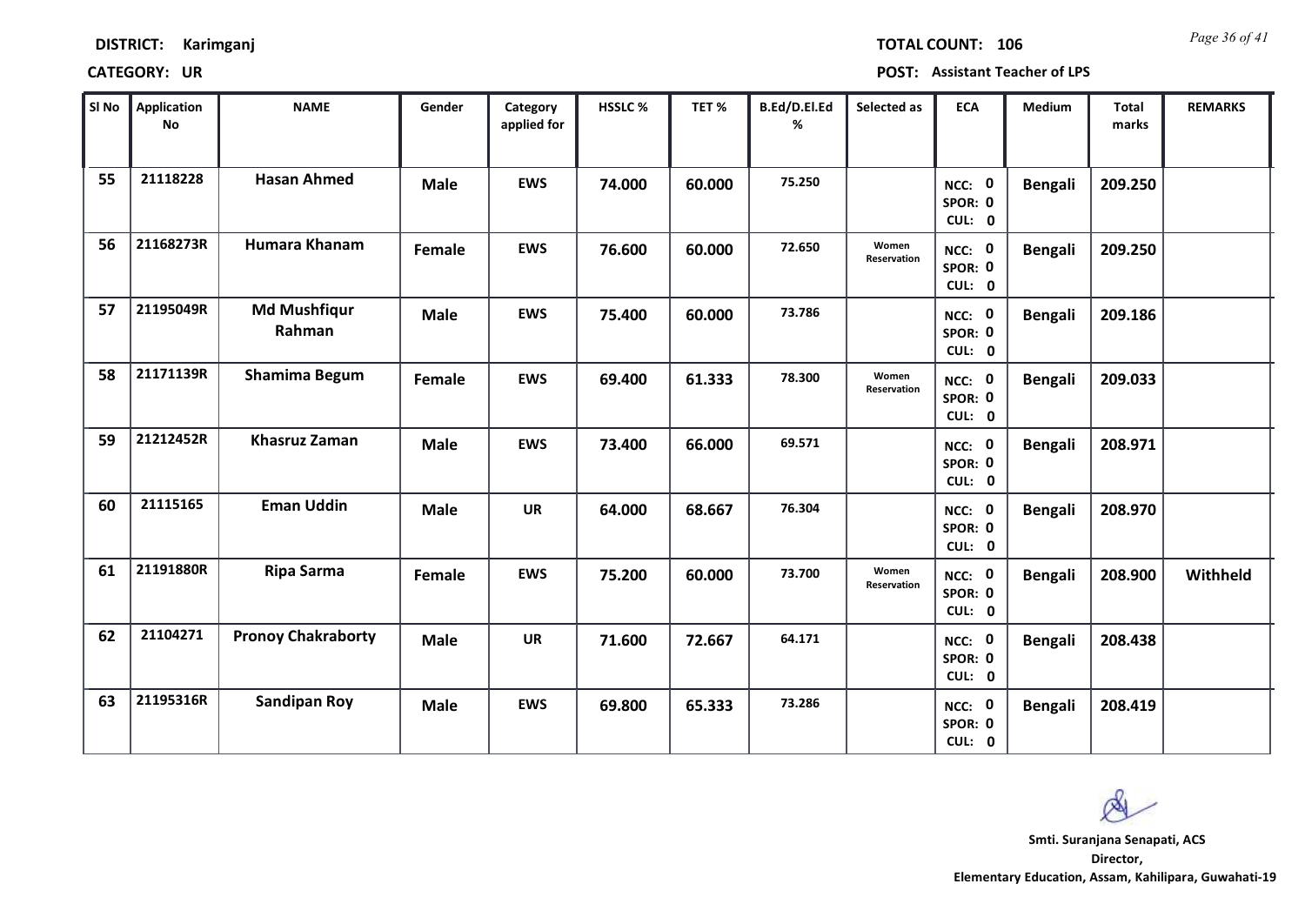| <b>DISTRICT:</b> | Karimganj |
|------------------|-----------|
|------------------|-----------|

*Page 36 of 41* **TOTAL COUNT: 106**

| SI No | <b>Application</b><br>No | <b>NAME</b>                   | Gender      | Category<br>applied for | HSSLC % | TET%   | B.Ed/D.El.Ed<br>% | Selected as          | <b>ECA</b>                  | Medium         | Total<br>marks | <b>REMARKS</b> |
|-------|--------------------------|-------------------------------|-------------|-------------------------|---------|--------|-------------------|----------------------|-----------------------------|----------------|----------------|----------------|
| 55    | 21118228                 | <b>Hasan Ahmed</b>            | <b>Male</b> | <b>EWS</b>              | 74.000  | 60.000 | 75.250            |                      | NCC: 0<br>SPOR: 0<br>CUL: 0 | <b>Bengali</b> | 209.250        |                |
| 56    | 21168273R                | Humara Khanam                 | Female      | <b>EWS</b>              | 76.600  | 60.000 | 72.650            | Women<br>Reservation | NCC: 0<br>SPOR: 0<br>CUL: 0 | <b>Bengali</b> | 209.250        |                |
| 57    | 21195049R                | <b>Md Mushfiqur</b><br>Rahman | <b>Male</b> | <b>EWS</b>              | 75.400  | 60.000 | 73.786            |                      | NCC: 0<br>SPOR: 0<br>CUL: 0 | <b>Bengali</b> | 209.186        |                |
| 58    | 21171139R                | Shamima Begum                 | Female      | <b>EWS</b>              | 69.400  | 61.333 | 78.300            | Women<br>Reservation | NCC: 0<br>SPOR: 0<br>CUL: 0 | <b>Bengali</b> | 209.033        |                |
| 59    | 21212452R                | <b>Khasruz Zaman</b>          | <b>Male</b> | <b>EWS</b>              | 73.400  | 66.000 | 69.571            |                      | NCC: 0<br>SPOR: 0<br>CUL: 0 | <b>Bengali</b> | 208.971        |                |
| 60    | 21115165                 | <b>Eman Uddin</b>             | <b>Male</b> | <b>UR</b>               | 64.000  | 68.667 | 76.304            |                      | NCC: 0<br>SPOR: 0<br>CUL: 0 | <b>Bengali</b> | 208.970        |                |
| 61    | 21191880R                | <b>Ripa Sarma</b>             | Female      | <b>EWS</b>              | 75.200  | 60.000 | 73.700            | Women<br>Reservation | NCC: 0<br>SPOR: 0<br>CUL: 0 | <b>Bengali</b> | 208.900        | Withheld       |
| 62    | 21104271                 | <b>Pronoy Chakraborty</b>     | <b>Male</b> | <b>UR</b>               | 71.600  | 72.667 | 64.171            |                      | NCC: 0<br>SPOR: 0<br>CUL: 0 | <b>Bengali</b> | 208.438        |                |
| 63    | 21195316R                | <b>Sandipan Roy</b>           | <b>Male</b> | <b>EWS</b>              | 69.800  | 65.333 | 73.286            |                      | NCC: 0<br>SPOR: 0<br>CUL: 0 | <b>Bengali</b> | 208.419        |                |

 $\infty$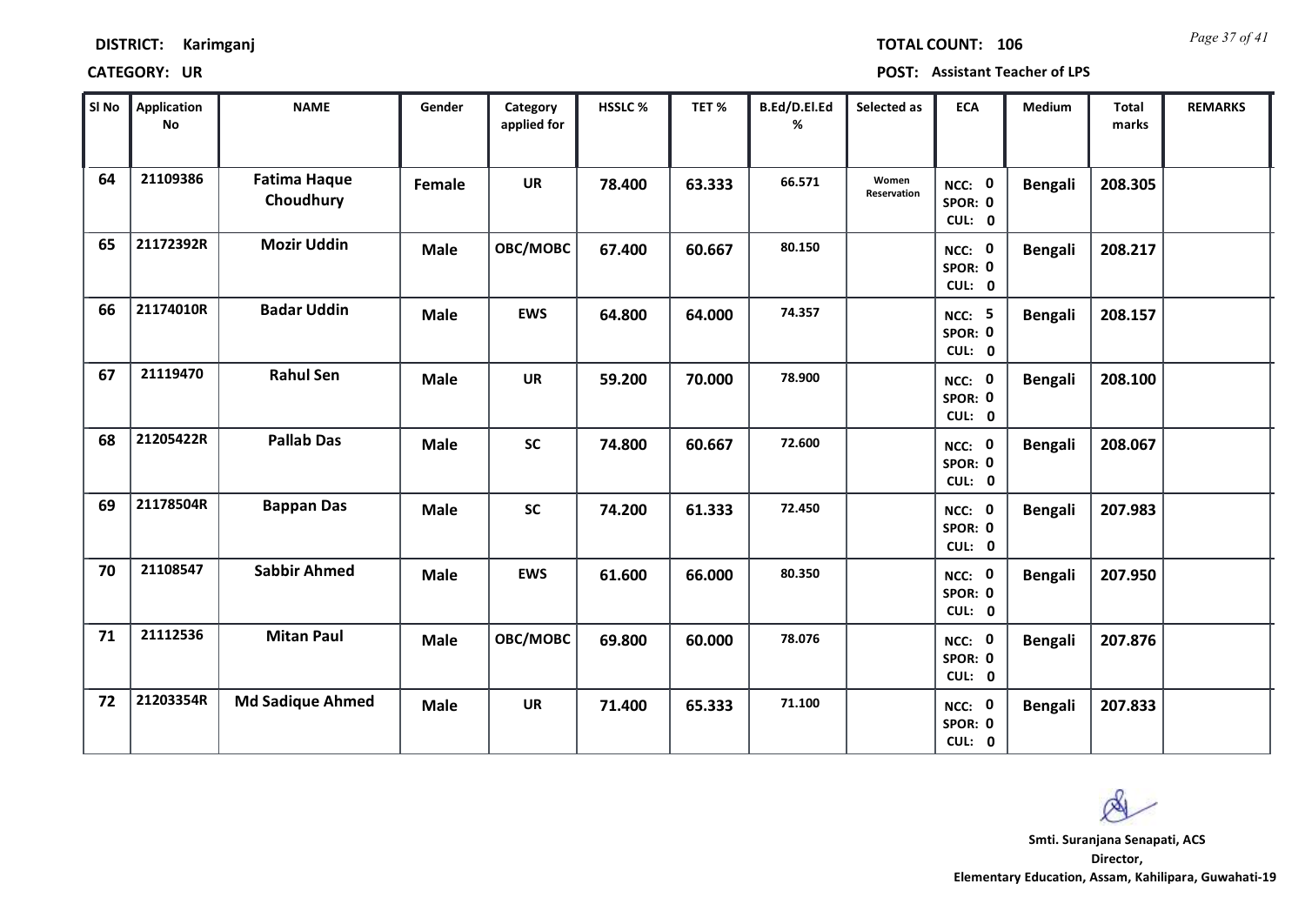*Page 37 of 41* **TOTAL COUNT: 106**

| SI <sub>No</sub> | <b>Application</b><br>No | <b>NAME</b>                      | Gender      | Category<br>applied for | HSSLC % | TET%   | B.Ed/D.El.Ed<br>% | Selected as          | <b>ECA</b>                         | <b>Medium</b>  | <b>Total</b><br>marks | <b>REMARKS</b> |
|------------------|--------------------------|----------------------------------|-------------|-------------------------|---------|--------|-------------------|----------------------|------------------------------------|----------------|-----------------------|----------------|
| 64               | 21109386                 | <b>Fatima Haque</b><br>Choudhury | Female      | <b>UR</b>               | 78.400  | 63.333 | 66.571            | Women<br>Reservation | NCC: 0<br>SPOR: 0<br>CUL: 0        | <b>Bengali</b> | 208.305               |                |
| 65               | 21172392R                | <b>Mozir Uddin</b>               | <b>Male</b> | OBC/MOBC                | 67.400  | 60.667 | 80.150            |                      | NCC: 0<br>SPOR: 0<br>CUL: 0        | <b>Bengali</b> | 208.217               |                |
| 66               | 21174010R                | <b>Badar Uddin</b>               | <b>Male</b> | <b>EWS</b>              | 64.800  | 64.000 | 74.357            |                      | <b>NCC: 5</b><br>SPOR: 0<br>CUL: 0 | <b>Bengali</b> | 208.157               |                |
| 67               | 21119470                 | <b>Rahul Sen</b>                 | <b>Male</b> | <b>UR</b>               | 59.200  | 70.000 | 78.900            |                      | NCC: 0<br>SPOR: 0<br>CUL: 0        | <b>Bengali</b> | 208.100               |                |
| 68               | 21205422R                | <b>Pallab Das</b>                | <b>Male</b> | <b>SC</b>               | 74.800  | 60.667 | 72.600            |                      | NCC: 0<br>SPOR: 0<br>CUL: 0        | <b>Bengali</b> | 208.067               |                |
| 69               | 21178504R                | <b>Bappan Das</b>                | <b>Male</b> | $\mathsf{SC}$           | 74.200  | 61.333 | 72.450            |                      | NCC: 0<br>SPOR: 0<br>CUL: 0        | <b>Bengali</b> | 207.983               |                |
| 70               | 21108547                 | <b>Sabbir Ahmed</b>              | <b>Male</b> | <b>EWS</b>              | 61.600  | 66.000 | 80.350            |                      | NCC: 0<br>SPOR: 0<br>CUL: 0        | <b>Bengali</b> | 207.950               |                |
| 71               | 21112536                 | <b>Mitan Paul</b>                | <b>Male</b> | OBC/MOBC                | 69.800  | 60.000 | 78.076            |                      | NCC: 0<br>SPOR: 0<br>CUL: 0        | <b>Bengali</b> | 207.876               |                |
| 72               | 21203354R                | <b>Md Sadique Ahmed</b>          | <b>Male</b> | <b>UR</b>               | 71.400  | 65.333 | 71.100            |                      | NCC: 0<br>SPOR: 0<br>CUL: 0        | <b>Bengali</b> | 207.833               |                |

Ø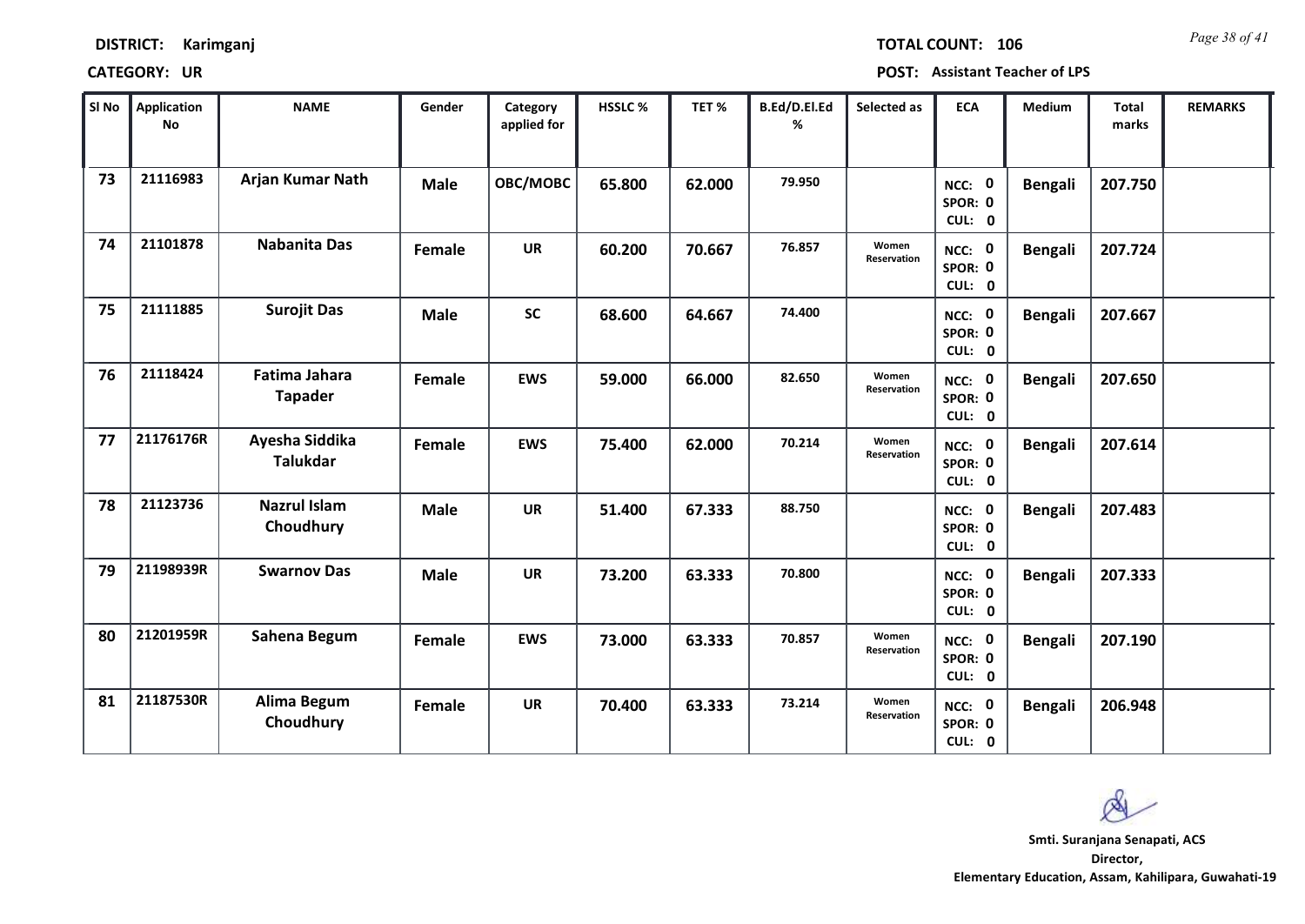| <b>DISTRICT:</b> | Karimganj |
|------------------|-----------|
|------------------|-----------|

*Page 38 of 41* **TOTAL COUNT: 106**

| SI No | Application<br>No | <b>NAME</b>                            | Gender        | Category<br>applied for | <b>HSSLC%</b> | TET %  | B.Ed/D.El.Ed<br>% | Selected as          | <b>ECA</b>                  | <b>Medium</b>  | <b>Total</b><br>marks | <b>REMARKS</b> |
|-------|-------------------|----------------------------------------|---------------|-------------------------|---------------|--------|-------------------|----------------------|-----------------------------|----------------|-----------------------|----------------|
| 73    | 21116983          | Arjan Kumar Nath                       | <b>Male</b>   | OBC/MOBC                | 65.800        | 62.000 | 79.950            |                      | NCC: 0<br>SPOR: 0<br>CUL: 0 | <b>Bengali</b> | 207.750               |                |
| 74    | 21101878          | <b>Nabanita Das</b>                    | <b>Female</b> | <b>UR</b>               | 60.200        | 70.667 | 76.857            | Women<br>Reservation | NCC: 0<br>SPOR: 0<br>CUL: 0 | <b>Bengali</b> | 207.724               |                |
| 75    | 21111885          | <b>Surojit Das</b>                     | <b>Male</b>   | <b>SC</b>               | 68.600        | 64.667 | 74.400            |                      | NCC: 0<br>SPOR: 0<br>CUL: 0 | <b>Bengali</b> | 207.667               |                |
| 76    | 21118424          | <b>Fatima Jahara</b><br><b>Tapader</b> | Female        | <b>EWS</b>              | 59.000        | 66.000 | 82.650            | Women<br>Reservation | NCC: 0<br>SPOR: 0<br>CUL: 0 | <b>Bengali</b> | 207.650               |                |
| 77    | 21176176R         | Ayesha Siddika<br><b>Talukdar</b>      | Female        | <b>EWS</b>              | 75.400        | 62.000 | 70.214            | Women<br>Reservation | NCC: 0<br>SPOR: 0<br>CUL: 0 | <b>Bengali</b> | 207.614               |                |
| 78    | 21123736          | <b>Nazrul Islam</b><br>Choudhury       | <b>Male</b>   | <b>UR</b>               | 51.400        | 67.333 | 88.750            |                      | NCC: 0<br>SPOR: 0<br>CUL: 0 | <b>Bengali</b> | 207.483               |                |
| 79    | 21198939R         | <b>Swarnov Das</b>                     | <b>Male</b>   | <b>UR</b>               | 73.200        | 63.333 | 70.800            |                      | NCC: 0<br>SPOR: 0<br>CUL: 0 | <b>Bengali</b> | 207.333               |                |
| 80    | 21201959R         | Sahena Begum                           | Female        | <b>EWS</b>              | 73.000        | 63.333 | 70.857            | Women<br>Reservation | NCC: 0<br>SPOR: 0<br>CUL: 0 | <b>Bengali</b> | 207.190               |                |
| 81    | 21187530R         | <b>Alima Begum</b><br>Choudhury        | Female        | <b>UR</b>               | 70.400        | 63.333 | 73.214            | Women<br>Reservation | NCC: 0<br>SPOR: 0<br>CUL: 0 | <b>Bengali</b> | 206.948               |                |

 $\infty$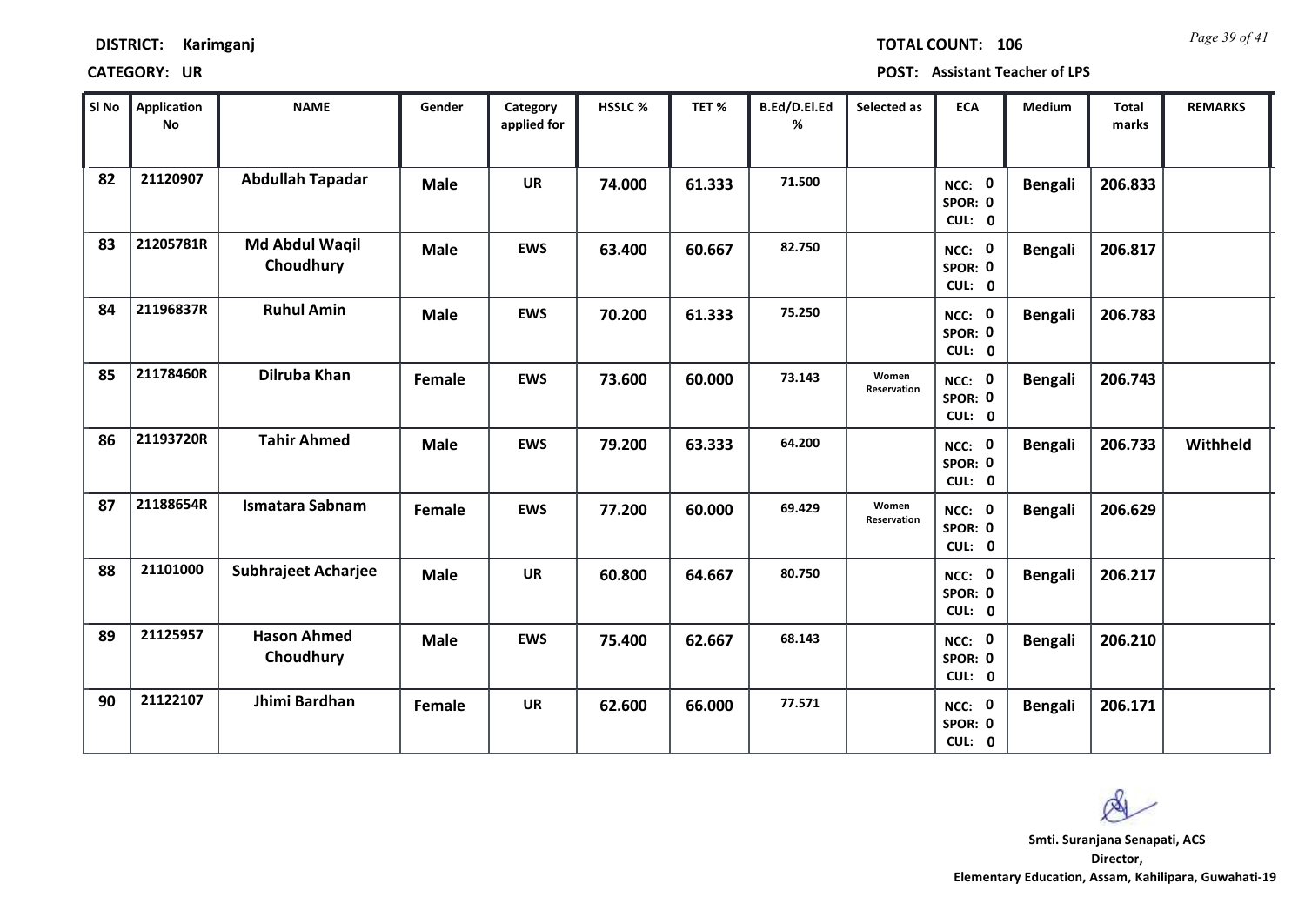| DISTRICT: | Karimganj |
|-----------|-----------|
|-----------|-----------|

*Page 39 of 41* **TOTAL COUNT: 106**

| SI No | <b>Application</b><br><b>No</b> | <b>NAME</b>                     | Gender      | Category<br>applied for | HSSLC% | TET%   | B.Ed/D.El.Ed<br>% | Selected as          | <b>ECA</b>                  | Medium         | <b>Total</b><br>marks | <b>REMARKS</b> |
|-------|---------------------------------|---------------------------------|-------------|-------------------------|--------|--------|-------------------|----------------------|-----------------------------|----------------|-----------------------|----------------|
| 82    | 21120907                        | <b>Abdullah Tapadar</b>         | <b>Male</b> | <b>UR</b>               | 74.000 | 61.333 | 71.500            |                      | NCC: 0<br>SPOR: 0<br>CUL: 0 | <b>Bengali</b> | 206.833               |                |
| 83    | 21205781R                       | Md Abdul Waqil<br>Choudhury     | <b>Male</b> | <b>EWS</b>              | 63.400 | 60.667 | 82.750            |                      | NCC: 0<br>SPOR: 0<br>CUL: 0 | <b>Bengali</b> | 206.817               |                |
| 84    | 21196837R                       | <b>Ruhul Amin</b>               | <b>Male</b> | <b>EWS</b>              | 70.200 | 61.333 | 75.250            |                      | NCC: 0<br>SPOR: 0<br>CUL: 0 | <b>Bengali</b> | 206.783               |                |
| 85    | 21178460R                       | Dilruba Khan                    | Female      | <b>EWS</b>              | 73.600 | 60.000 | 73.143            | Women<br>Reservation | NCC: 0<br>SPOR: 0<br>CUL: 0 | <b>Bengali</b> | 206.743               |                |
| 86    | 21193720R                       | <b>Tahir Ahmed</b>              | <b>Male</b> | <b>EWS</b>              | 79.200 | 63.333 | 64.200            |                      | NCC: 0<br>SPOR: 0<br>CUL: 0 | <b>Bengali</b> | 206.733               | Withheld       |
| 87    | 21188654R                       | <b>Ismatara Sabnam</b>          | Female      | <b>EWS</b>              | 77.200 | 60.000 | 69.429            | Women<br>Reservation | NCC: 0<br>SPOR: 0<br>CUL: 0 | <b>Bengali</b> | 206.629               |                |
| 88    | 21101000                        | <b>Subhrajeet Acharjee</b>      | <b>Male</b> | UR                      | 60.800 | 64.667 | 80.750            |                      | NCC: 0<br>SPOR: 0<br>CUL: 0 | Bengali        | 206.217               |                |
| 89    | 21125957                        | <b>Hason Ahmed</b><br>Choudhury | <b>Male</b> | <b>EWS</b>              | 75.400 | 62.667 | 68.143            |                      | NCC: 0<br>SPOR: 0<br>CUL: 0 | <b>Bengali</b> | 206.210               |                |
| 90    | 21122107                        | Jhimi Bardhan                   | Female      | <b>UR</b>               | 62.600 | 66.000 | 77.571            |                      | NCC: 0<br>SPOR: 0<br>CUL: 0 | <b>Bengali</b> | 206.171               |                |

 $\infty$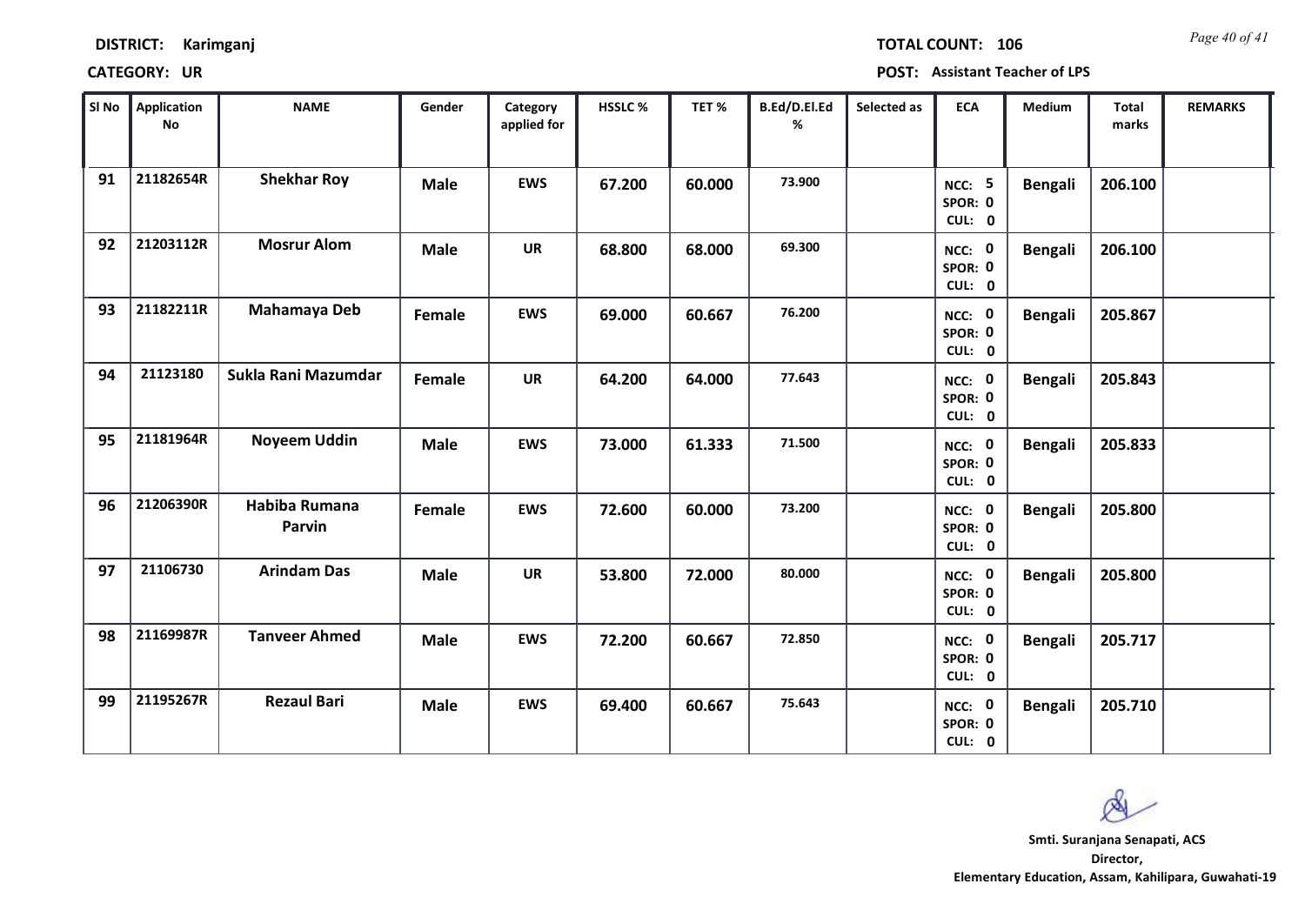| <b>DISTRICT:</b> | Karimganj |
|------------------|-----------|
|------------------|-----------|

*Page 40 of 41* **TOTAL COUNT: 106**

| SI No | <b>Application</b><br>$\mathsf{No}$ | <b>NAME</b>             | Gender      | Category<br>applied for | HSSLC % | TET%   | B.Ed/D.El.Ed<br>% | Selected as | <b>ECA</b>                         | <b>Medium</b>  | <b>Total</b><br>marks | <b>REMARKS</b> |
|-------|-------------------------------------|-------------------------|-------------|-------------------------|---------|--------|-------------------|-------------|------------------------------------|----------------|-----------------------|----------------|
| 91    | 21182654R                           | <b>Shekhar Roy</b>      | <b>Male</b> | <b>EWS</b>              | 67.200  | 60.000 | 73.900            |             | <b>NCC: 5</b><br>SPOR: 0<br>CUL: 0 | <b>Bengali</b> | 206.100               |                |
| 92    | 21203112R                           | <b>Mosrur Alom</b>      | <b>Male</b> | <b>UR</b>               | 68.800  | 68.000 | 69.300            |             | NCC: 0<br>SPOR: 0<br>CUL: 0        | <b>Bengali</b> | 206.100               |                |
| 93    | 21182211R                           | Mahamaya Deb            | Female      | <b>EWS</b>              | 69.000  | 60.667 | 76.200            |             | NCC: 0<br>SPOR: 0<br>CUL: 0        | <b>Bengali</b> | 205.867               |                |
| 94    | 21123180                            | Sukla Rani Mazumdar     | Female      | <b>UR</b>               | 64.200  | 64.000 | 77.643            |             | NCC: 0<br>SPOR: 0<br>CUL: 0        | <b>Bengali</b> | 205.843               |                |
| 95    | 21181964R                           | <b>Noyeem Uddin</b>     | <b>Male</b> | <b>EWS</b>              | 73.000  | 61.333 | 71.500            |             | NCC: 0<br>SPOR: 0<br>CUL: 0        | <b>Bengali</b> | 205.833               |                |
| 96    | 21206390R                           | Habiba Rumana<br>Parvin | Female      | <b>EWS</b>              | 72.600  | 60.000 | 73.200            |             | NCC: 0<br>SPOR: 0<br>CUL: 0        | <b>Bengali</b> | 205.800               |                |
| 97    | 21106730                            | <b>Arindam Das</b>      | <b>Male</b> | <b>UR</b>               | 53.800  | 72.000 | 80.000            |             | NCC: 0<br>SPOR: 0<br>CUL: 0        | <b>Bengali</b> | 205.800               |                |
| 98    | 21169987R                           | <b>Tanveer Ahmed</b>    | <b>Male</b> | <b>EWS</b>              | 72.200  | 60.667 | 72.850            |             | NCC: 0<br>SPOR: 0<br>CUL: 0        | <b>Bengali</b> | 205.717               |                |
| 99    | 21195267R                           | <b>Rezaul Bari</b>      | <b>Male</b> | <b>EWS</b>              | 69.400  | 60.667 | 75.643            |             | NCC: 0<br>SPOR: 0<br>CUL: 0        | <b>Bengali</b> | 205.710               |                |

 $\infty$